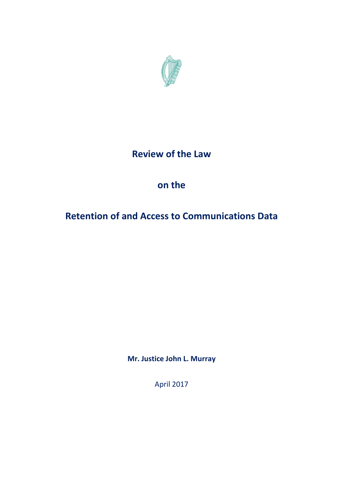

### Review of the Law

# on the

# Retention of and Access to Communications Data

Mr. Justice John L. Murray

April 2017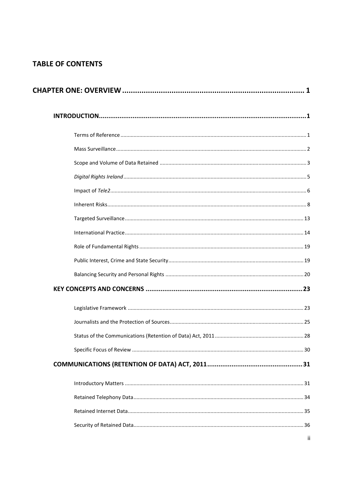### **TABLE OF CONTENTS**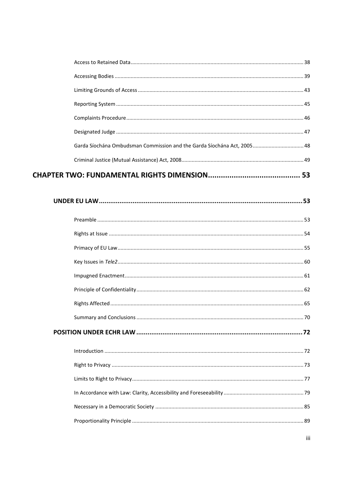| Garda Síochána Ombudsman Commission and the Garda Síochána Act, 2005 48 |  |
|-------------------------------------------------------------------------|--|
|                                                                         |  |
|                                                                         |  |
|                                                                         |  |
|                                                                         |  |
|                                                                         |  |
|                                                                         |  |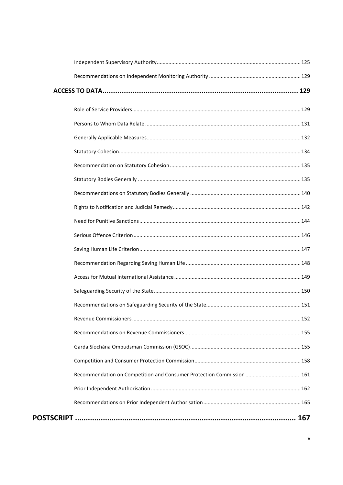| Recommendation on Competition and Consumer Protection Commission  161 |  |
|-----------------------------------------------------------------------|--|
|                                                                       |  |
|                                                                       |  |
|                                                                       |  |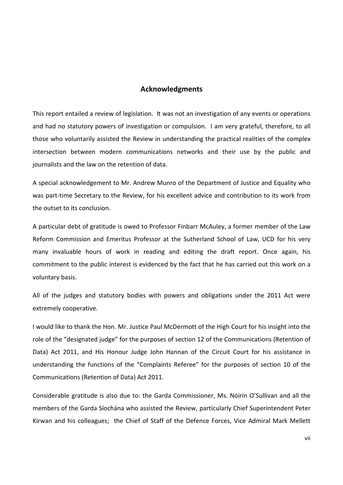#### Acknowledgments

This report entailed a review of legislation. It was not an investigation of any events or operations and had no statutory powers of investigation or compulsion. I am very grateful, therefore, to all those who voluntarily assisted the Review in understanding the practical realities of the complex intersection between modern communications networks and their use by the public and journalists and the law on the retention of data.

A special acknowledgement to Mr. Andrew Munro of the Department of Justice and Equality who was part-time Secretary to the Review, for his excellent advice and contribution to its work from the outset to its conclusion.

A particular debt of gratitude is owed to Professor Finbarr McAuley, a former member of the Law Reform Commission and Emeritus Professor at the Sutherland School of Law, UCD for his very many invaluable hours of work in reading and editing the draft report. Once again, his commitment to the public interest is evidenced by the fact that he has carried out this work on a voluntary basis.

All of the judges and statutory bodies with powers and obligations under the 2011 Act were extremely cooperative.

I would like to thank the Hon. Mr. Justice Paul McDermott of the High Court for his insight into the role of the "designated judge" for the purposes of section 12 of the Communications (Retention of Data) Act 2011, and His Honour Judge John Hannan of the Circuit Court for his assistance in understanding the functions of the "Complaints Referee" for the purposes of section 10 of the Communications (Retention of Data) Act 2011.

Considerable gratitude is also due to: the Garda Commissioner, Ms. Nóirín O'Sullivan and all the members of the Garda Síochána who assisted the Review, particularly Chief Superintendent Peter Kirwan and his colleagues; the Chief of Staff of the Defence Forces, Vice Admiral Mark Mellett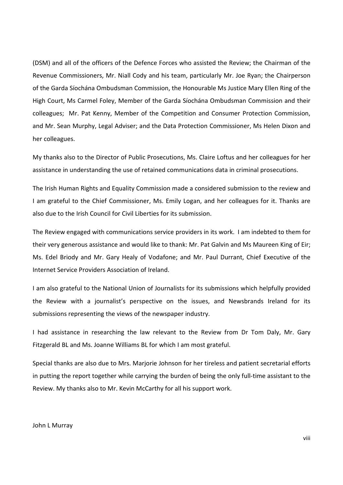(DSM) and all of the officers of the Defence Forces who assisted the Review; the Chairman of the Revenue Commissioners, Mr. Niall Cody and his team, particularly Mr. Joe Ryan; the Chairperson of the Garda Síochána Ombudsman Commission, the Honourable Ms Justice Mary Ellen Ring of the High Court, Ms Carmel Foley, Member of the Garda Síochána Ombudsman Commission and their colleagues; Mr. Pat Kenny, Member of the Competition and Consumer Protection Commission, and Mr. Sean Murphy, Legal Adviser; and the Data Protection Commissioner, Ms Helen Dixon and her colleagues.

My thanks also to the Director of Public Prosecutions, Ms. Claire Loftus and her colleagues for her assistance in understanding the use of retained communications data in criminal prosecutions.

The Irish Human Rights and Equality Commission made a considered submission to the review and I am grateful to the Chief Commissioner, Ms. Emily Logan, and her colleagues for it. Thanks are also due to the Irish Council for Civil Liberties for its submission.

The Review engaged with communications service providers in its work. I am indebted to them for their very generous assistance and would like to thank: Mr. Pat Galvin and Ms Maureen King of Eir; Ms. Edel Briody and Mr. Gary Healy of Vodafone; and Mr. Paul Durrant, Chief Executive of the Internet Service Providers Association of Ireland.

I am also grateful to the National Union of Journalists for its submissions which helpfully provided the Review with a journalist's perspective on the issues, and Newsbrands Ireland for its submissions representing the views of the newspaper industry.

I had assistance in researching the law relevant to the Review from Dr Tom Daly, Mr. Gary Fitzgerald BL and Ms. Joanne Williams BL for which I am most grateful.

Special thanks are also due to Mrs. Marjorie Johnson for her tireless and patient secretarial efforts in putting the report together while carrying the burden of being the only full-time assistant to the Review. My thanks also to Mr. Kevin McCarthy for all his support work.

#### John L Murray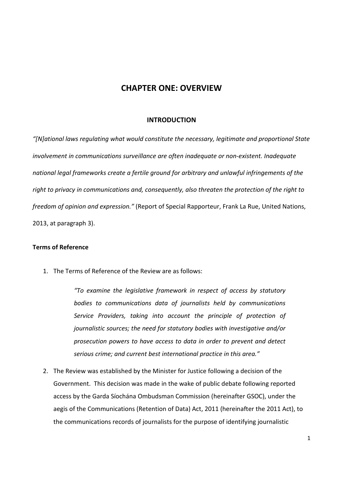### CHAPTER ONE: OVERVIEW

#### INTRODUCTION

"[N]ational laws regulating what would constitute the necessary, legitimate and proportional State involvement in communications surveillance are often inadequate or non-existent. Inadequate national legal frameworks create a fertile ground for arbitrary and unlawful infringements of the right to privacy in communications and, consequently, also threaten the protection of the right to freedom of opinion and expression." (Report of Special Rapporteur, Frank La Rue, United Nations, 2013, at paragraph 3).

#### Terms of Reference

1. The Terms of Reference of the Review are as follows:

"To examine the legislative framework in respect of access by statutory bodies to communications data of journalists held by communications Service Providers, taking into account the principle of protection of journalistic sources; the need for statutory bodies with investigative and/or prosecution powers to have access to data in order to prevent and detect serious crime; and current best international practice in this area."

2. The Review was established by the Minister for Justice following a decision of the Government. This decision was made in the wake of public debate following reported access by the Garda Síochána Ombudsman Commission (hereinafter GSOC), under the aegis of the Communications (Retention of Data) Act, 2011 (hereinafter the 2011 Act), to the communications records of journalists for the purpose of identifying journalistic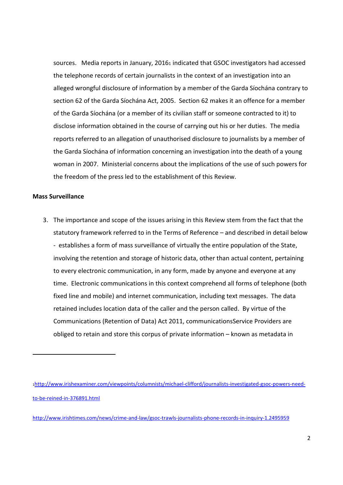sources. Media reports in January, 20161 indicated that GSOC investigators had accessed the telephone records of certain journalists in the context of an investigation into an alleged wrongful disclosure of information by a member of the Garda Síochána contrary to section 62 of the Garda Síochána Act, 2005. Section 62 makes it an offence for a member of the Garda Síochána (or a member of its civilian staff or someone contracted to it) to disclose information obtained in the course of carrying out his or her duties. The media reports referred to an allegation of unauthorised disclosure to journalists by a member of the Garda Síochána of information concerning an investigation into the death of a young woman in 2007. Ministerial concerns about the implications of the use of such powers for the freedom of the press led to the establishment of this Review.

#### Mass Surveillance

l

3. The importance and scope of the issues arising in this Review stem from the fact that the statutory framework referred to in the Terms of Reference – and described in detail below - establishes a form of mass surveillance of virtually the entire population of the State, involving the retention and storage of historic data, other than actual content, pertaining to every electronic communication, in any form, made by anyone and everyone at any time. Electronic communications in this context comprehend all forms of telephone (both fixed line and mobile) and internet communication, including text messages. The data retained includes location data of the caller and the person called. By virtue of the Communications (Retention of Data) Act 2011, communicationsService Providers are obliged to retain and store this corpus of private information – known as metadata in

http://www.irishtimes.com/news/crime-and-law/gsoc-trawls-journalists-phone-records-in-inquiry-1.2495959

<sup>1</sup>http://www.irishexaminer.com/viewpoints/columnists/michael-clifford/journalists-investigated-gsoc-powers-needto-be-reined-in-376891.html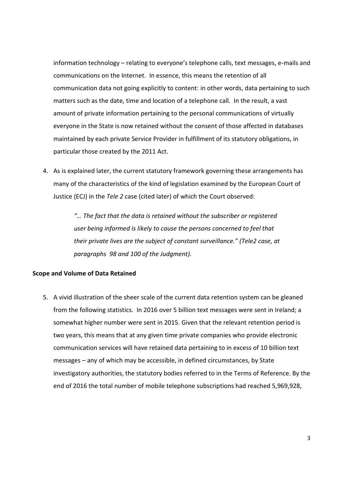information technology – relating to everyone's telephone calls, text messages, e-mails and communications on the Internet. In essence, this means the retention of all communication data not going explicitly to content: in other words, data pertaining to such matters such as the date, time and location of a telephone call. In the result, a vast amount of private information pertaining to the personal communications of virtually everyone in the State is now retained without the consent of those affected in databases maintained by each private Service Provider in fulfillment of its statutory obligations, in particular those created by the 2011 Act.

4. As is explained later, the current statutory framework governing these arrangements has many of the characteristics of the kind of legislation examined by the European Court of Justice (ECJ) in the Tele 2 case (cited later) of which the Court observed:

> "… The fact that the data is retained without the subscriber or registered user being informed is likely to cause the persons concerned to feel that their private lives are the subject of constant surveillance." (Tele2 case, at paragraphs 98 and 100 of the Judgment).

#### Scope and Volume of Data Retained

5. A vivid illustration of the sheer scale of the current data retention system can be gleaned from the following statistics. In 2016 over 5 billion text messages were sent in Ireland; a somewhat higher number were sent in 2015. Given that the relevant retention period is two years, this means that at any given time private companies who provide electronic communication services will have retained data pertaining to in excess of 10 billion text messages – any of which may be accessible, in defined circumstances, by State investigatory authorities, the statutory bodies referred to in the Terms of Reference. By the end of 2016 the total number of mobile telephone subscriptions had reached 5,969,928,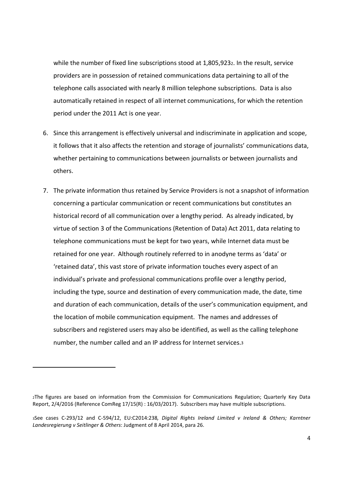while the number of fixed line subscriptions stood at 1,805,9232. In the result, service providers are in possession of retained communications data pertaining to all of the telephone calls associated with nearly 8 million telephone subscriptions. Data is also automatically retained in respect of all internet communications, for which the retention period under the 2011 Act is one year.

- 6. Since this arrangement is effectively universal and indiscriminate in application and scope, it follows that it also affects the retention and storage of journalists' communications data, whether pertaining to communications between journalists or between journalists and others.
- 7. The private information thus retained by Service Providers is not a snapshot of information concerning a particular communication or recent communications but constitutes an historical record of all communication over a lengthy period. As already indicated, by virtue of section 3 of the Communications (Retention of Data) Act 2011, data relating to telephone communications must be kept for two years, while Internet data must be retained for one year. Although routinely referred to in anodyne terms as 'data' or 'retained data', this vast store of private information touches every aspect of an individual's private and professional communications profile over a lengthy period, including the type, source and destination of every communication made, the date, time and duration of each communication, details of the user's communication equipment, and the location of mobile communication equipment. The names and addresses of subscribers and registered users may also be identified, as well as the calling telephone number, the number called and an IP address for Internet services.<sup>3</sup>

 $\overline{a}$ 

<sup>2</sup>The figures are based on information from the Commission for Communications Regulation; Quarterly Key Data Report, 2/4/2016 (Reference ComReg 17/15(R) : 16/03/2017). Subscribers may have multiple subscriptions.

<sup>3</sup>See cases C-293/12 and C-594/12, EU:C2014:238, Digital Rights Ireland Limited v Ireland & Others; Karntner Landesregierung v Seitlinger & Others: Judgment of 8 April 2014, para 26.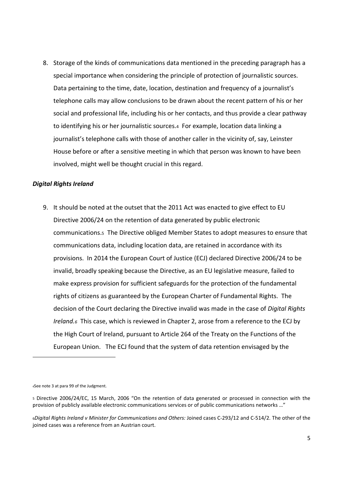8. Storage of the kinds of communications data mentioned in the preceding paragraph has a special importance when considering the principle of protection of journalistic sources. Data pertaining to the time, date, location, destination and frequency of a journalist's telephone calls may allow conclusions to be drawn about the recent pattern of his or her social and professional life, including his or her contacts, and thus provide a clear pathway to identifying his or her journalistic sources.4 For example, location data linking a journalist's telephone calls with those of another caller in the vicinity of, say, Leinster House before or after a sensitive meeting in which that person was known to have been involved, might well be thought crucial in this regard.

#### Digital Rights Ireland

9. It should be noted at the outset that the 2011 Act was enacted to give effect to EU Directive 2006/24 on the retention of data generated by public electronic communications.5 The Directive obliged Member States to adopt measures to ensure that communications data, including location data, are retained in accordance with its provisions. In 2014 the European Court of Justice (ECJ) declared Directive 2006/24 to be invalid, broadly speaking because the Directive, as an EU legislative measure, failed to make express provision for sufficient safeguards for the protection of the fundamental rights of citizens as guaranteed by the European Charter of Fundamental Rights. The decision of the Court declaring the Directive invalid was made in the case of Digital Rights Ireland.6 This case, which is reviewed in Chapter 2, arose from a reference to the ECJ by the High Court of Ireland, pursuant to Article 264 of the Treaty on the Functions of the European Union. The ECJ found that the system of data retention envisaged by the

 $\overline{a}$ 

<sup>4</sup>See note 3 at para 99 of the Judgment.

<sup>5</sup> Directive 2006/24/EC, 15 March, 2006 "On the retention of data generated or processed in connection with the provision of publicly available electronic communications services or of public communications networks …"

<sup>6</sup>Digital Rights Ireland v Minister for Communications and Others: Joined cases C-293/12 and C-514/2. The other of the joined cases was a reference from an Austrian court.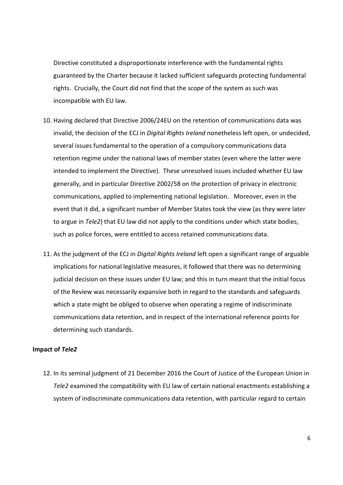Directive constituted a disproportionate interference with the fundamental rights guaranteed by the Charter because it lacked sufficient safeguards protecting fundamental rights. Crucially, the Court did not find that the *scope* of the system as such was incompatible with EU law.

- 10. Having declared that Directive 2006/24EU on the retention of communications data was invalid, the decision of the ECJ in Digital Rights Ireland nonetheless left open, or undecided, several issues fundamental to the operation of a compulsory communications data retention regime under the national laws of member states (even where the latter were intended to implement the Directive). These unresolved issues included whether EU law generally, and in particular Directive 2002/58 on the protection of privacy in electronic communications, applied to implementing national legislation. Moreover, even in the event that it did, a significant number of Member States took the view (as they were later to argue in Tele2) that EU law did not apply to the conditions under which state bodies, such as police forces, were entitled to access retained communications data.
- 11. As the judgment of the ECJ in Digital Rights Ireland left open a significant range of arguable implications for national legislative measures, it followed that there was no determining judicial decision on these issues under EU law; and this in turn meant that the initial focus of the Review was necessarily expansive both in regard to the standards and safeguards which a state might be obliged to observe when operating a regime of indiscriminate communications data retention, and in respect of the international reference points for determining such standards.

#### Impact of Tele2

12. In its seminal judgment of 21 December 2016 the Court of Justice of the European Union in Tele2 examined the compatibility with EU law of certain national enactments establishing a system of indiscriminate communications data retention, with particular regard to certain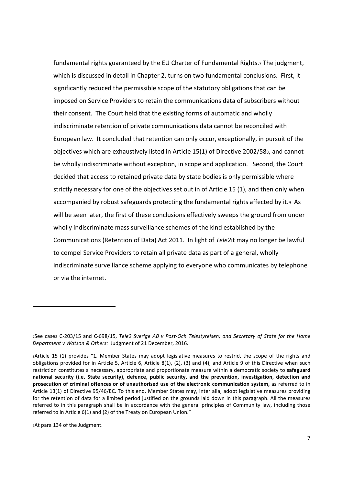fundamental rights guaranteed by the EU Charter of Fundamental Rights.7 The judgment, which is discussed in detail in Chapter 2, turns on two fundamental conclusions. First, it significantly reduced the permissible scope of the statutory obligations that can be imposed on Service Providers to retain the communications data of subscribers without their consent. The Court held that the existing forms of automatic and wholly indiscriminate retention of private communications data cannot be reconciled with European law. It concluded that retention can only occur, exceptionally, in pursuit of the objectives which are exhaustively listed in Article 15(1) of Directive 2002/588, and cannot be wholly indiscriminate without exception, in scope and application. Second, the Court decided that access to retained private data by state bodies is only permissible where strictly necessary for one of the objectives set out in of Article 15 (1), and then only when accompanied by robust safeguards protecting the fundamental rights affected by it.9 As will be seen later, the first of these conclusions effectively sweeps the ground from under wholly indiscriminate mass surveillance schemes of the kind established by the Communications (Retention of Data) Act 2011. In light of Tele2it may no longer be lawful to compel Service Providers to retain all private data as part of a general, wholly indiscriminate surveillance scheme applying to everyone who communicates by telephone or via the internet.

9At para 134 of the Judgment.

<sup>7</sup>See cases C-203/15 and C-698/15, Tele2 Sverige AB v Post-Och Telestyrelsen; and Secretary of State for the Home Department v Watson & Others: Judgment of 21 December, 2016.

<sup>8</sup>Article 15 (1) provides "1. Member States may adopt legislative measures to restrict the scope of the rights and obligations provided for in Article 5, Article 6, Article 8(1), (2), (3) and (4), and Article 9 of this Directive when such restriction constitutes a necessary, appropriate and proportionate measure within a democratic society to safeguard national security (i.e. State security), defence, public security, and the prevention, investigation, detection and prosecution of criminal offences or of unauthorised use of the electronic communication system, as referred to in Article 13(1) of Directive 95/46/EC. To this end, Member States may, inter alia, adopt legislative measures providing for the retention of data for a limited period justified on the grounds laid down in this paragraph. All the measures referred to in this paragraph shall be in accordance with the general principles of Community law, including those referred to in Article 6(1) and (2) of the Treaty on European Union."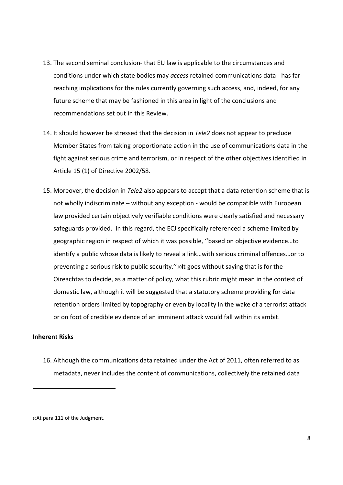- 13. The second seminal conclusion- that EU law is applicable to the circumstances and conditions under which state bodies may access retained communications data - has farreaching implications for the rules currently governing such access, and, indeed, for any future scheme that may be fashioned in this area in light of the conclusions and recommendations set out in this Review.
- 14. It should however be stressed that the decision in Tele2 does not appear to preclude Member States from taking proportionate action in the use of communications data in the fight against serious crime and terrorism, or in respect of the other objectives identified in Article 15 (1) of Directive 2002/58.
- 15. Moreover, the decision in Tele2 also appears to accept that a data retention scheme that is not wholly indiscriminate – without any exception - would be compatible with European law provided certain objectively verifiable conditions were clearly satisfied and necessary safeguards provided. In this regard, the ECJ specifically referenced a scheme limited by geographic region in respect of which it was possible, ''based on objective evidence…to identify a public whose data is likely to reveal a link…with serious criminal offences…or to preventing a serious risk to public security.''10It goes without saying that is for the Oireachtas to decide, as a matter of policy, what this rubric might mean in the context of domestic law, although it will be suggested that a statutory scheme providing for data retention orders limited by topography or even by locality in the wake of a terrorist attack or on foot of credible evidence of an imminent attack would fall within its ambit.

#### Inherent Risks

j

16. Although the communications data retained under the Act of 2011, often referred to as metadata, never includes the content of communications, collectively the retained data

10At para 111 of the Judgment.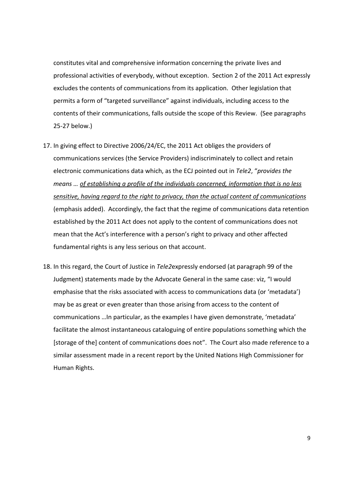constitutes vital and comprehensive information concerning the private lives and professional activities of everybody, without exception. Section 2 of the 2011 Act expressly excludes the contents of communications from its application. Other legislation that permits a form of "targeted surveillance" against individuals, including access to the contents of their communications, falls outside the scope of this Review. (See paragraphs 25-27 below.)

- 17. In giving effect to Directive 2006/24/EC, the 2011 Act obliges the providers of communications services (the Service Providers) indiscriminately to collect and retain electronic communications data which, as the ECJ pointed out in Tele2, "provides the means ... of establishing a profile of the individuals concerned, information that is no less sensitive, having regard to the right to privacy, than the actual content of communications (emphasis added). Accordingly, the fact that the regime of communications data retention established by the 2011 Act does not apply to the content of communications does not mean that the Act's interference with a person's right to privacy and other affected fundamental rights is any less serious on that account.
- 18. In this regard, the Court of Justice in Tele2expressly endorsed (at paragraph 99 of the Judgment) statements made by the Advocate General in the same case: viz, "I would emphasise that the risks associated with access to communications data (or 'metadata') may be as great or even greater than those arising from access to the content of communications …In particular, as the examples I have given demonstrate, 'metadata' facilitate the almost instantaneous cataloguing of entire populations something which the [storage of the] content of communications does not". The Court also made reference to a similar assessment made in a recent report by the United Nations High Commissioner for Human Rights.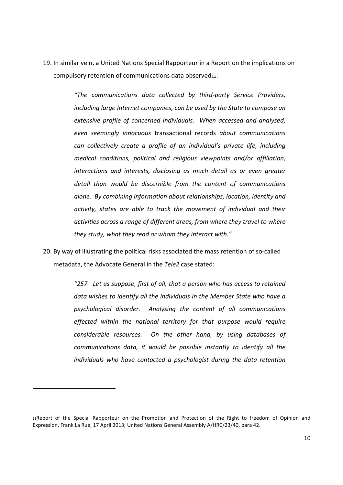19. In similar vein, a United Nations Special Rapporteur in a Report on the implications on compulsory retention of communications data observed11:

> "The communications data collected by third-party Service Providers, including large Internet companies, can be used by the State to compose an extensive profile of concerned individuals. When accessed and analysed, even seemingly innocuous transactional records about communications can collectively create a profile of an individual's private life, including medical conditions, political and religious viewpoints and/or affiliation, interactions and interests, disclosing as much detail as or even greater detail than would be discernible from the content of communications alone. By combining information about relationships, location, identity and activity, states are able to track the movement of individual and their activities across a range of different areas, from where they travel to where they study, what they read or whom they interact with."

20. By way of illustrating the political risks associated the mass retention of so-called metadata, the Advocate General in the Tele2 case stated:

> "257. Let us suppose, first of all, that a person who has access to retained data wishes to identify all the individuals in the Member State who have a psychological disorder. Analysing the content of all communications effected within the national territory for that purpose would require considerable resources. On the other hand, by using databases of communications data, it would be possible instantly to identify all the individuals who have contacted a psychologist during the data retention

<sup>11</sup>Report of the Special Rapporteur on the Promotion and Protection of the Right to freedom of Opinion and Expression, Frank La Rue, 17 April 2013; United Nations General Assembly A/HRC/23/40, para 42.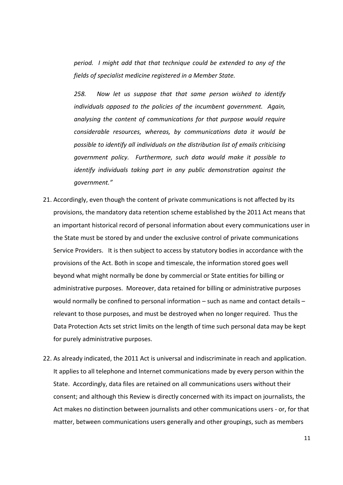period. I might add that that technique could be extended to any of the fields of specialist medicine registered in a Member State.

258. Now let us suppose that that same person wished to identify individuals opposed to the policies of the incumbent government. Again, analysing the content of communications for that purpose would require considerable resources, whereas, by communications data it would be possible to identify all individuals on the distribution list of emails criticising government policy. Furthermore, such data would make it possible to identify individuals taking part in any public demonstration against the government."

- 21. Accordingly, even though the content of private communications is not affected by its provisions, the mandatory data retention scheme established by the 2011 Act means that an important historical record of personal information about every communications user in the State must be stored by and under the exclusive control of private communications Service Providers. It is then subject to access by statutory bodies in accordance with the provisions of the Act. Both in scope and timescale, the information stored goes well beyond what might normally be done by commercial or State entities for billing or administrative purposes. Moreover, data retained for billing or administrative purposes would normally be confined to personal information – such as name and contact details – relevant to those purposes, and must be destroyed when no longer required. Thus the Data Protection Acts set strict limits on the length of time such personal data may be kept for purely administrative purposes.
- 22. As already indicated, the 2011 Act is universal and indiscriminate in reach and application. It applies to all telephone and Internet communications made by every person within the State. Accordingly, data files are retained on all communications users without their consent; and although this Review is directly concerned with its impact on journalists, the Act makes no distinction between journalists and other communications users - or, for that matter, between communications users generally and other groupings, such as members

11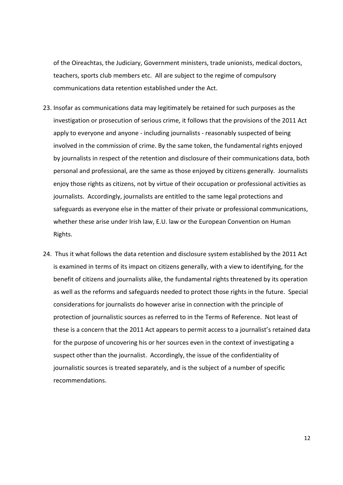of the Oireachtas, the Judiciary, Government ministers, trade unionists, medical doctors, teachers, sports club members etc. All are subject to the regime of compulsory communications data retention established under the Act.

- 23. Insofar as communications data may legitimately be retained for such purposes as the investigation or prosecution of serious crime, it follows that the provisions of the 2011 Act apply to everyone and anyone - including journalists - reasonably suspected of being involved in the commission of crime. By the same token, the fundamental rights enjoyed by journalists in respect of the retention and disclosure of their communications data, both personal and professional, are the same as those enjoyed by citizens generally. Journalists enjoy those rights as citizens, not by virtue of their occupation or professional activities as journalists. Accordingly, journalists are entitled to the same legal protections and safeguards as everyone else in the matter of their private or professional communications, whether these arise under Irish law, E.U. law or the European Convention on Human Rights.
- 24. Thus it what follows the data retention and disclosure system established by the 2011 Act is examined in terms of its impact on citizens generally, with a view to identifying, for the benefit of citizens and journalists alike, the fundamental rights threatened by its operation as well as the reforms and safeguards needed to protect those rights in the future. Special considerations for journalists do however arise in connection with the principle of protection of journalistic sources as referred to in the Terms of Reference. Not least of these is a concern that the 2011 Act appears to permit access to a journalist's retained data for the purpose of uncovering his or her sources even in the context of investigating a suspect other than the journalist. Accordingly, the issue of the confidentiality of journalistic sources is treated separately, and is the subject of a number of specific recommendations.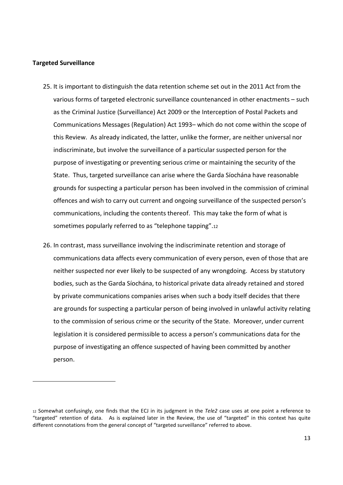#### Targeted Surveillance

 $\overline{a}$ 

- 25. It is important to distinguish the data retention scheme set out in the 2011 Act from the various forms of targeted electronic surveillance countenanced in other enactments – such as the Criminal Justice (Surveillance) Act 2009 or the Interception of Postal Packets and Communications Messages (Regulation) Act 1993– which do not come within the scope of this Review. As already indicated, the latter, unlike the former, are neither universal nor indiscriminate, but involve the surveillance of a particular suspected person for the purpose of investigating or preventing serious crime or maintaining the security of the State. Thus, targeted surveillance can arise where the Garda Síochána have reasonable grounds for suspecting a particular person has been involved in the commission of criminal offences and wish to carry out current and ongoing surveillance of the suspected person's communications, including the contents thereof. This may take the form of what is sometimes popularly referred to as "telephone tapping".<sup>12</sup>
- 26. In contrast, mass surveillance involving the indiscriminate retention and storage of communications data affects every communication of every person, even of those that are neither suspected nor ever likely to be suspected of any wrongdoing. Access by statutory bodies, such as the Garda Síochána, to historical private data already retained and stored by private communications companies arises when such a body itself decides that there are grounds for suspecting a particular person of being involved in unlawful activity relating to the commission of serious crime or the security of the State. Moreover, under current legislation it is considered permissible to access a person's communications data for the purpose of investigating an offence suspected of having been committed by another person.

<sup>12</sup> Somewhat confusingly, one finds that the ECJ in its judgment in the Tele2 case uses at one point a reference to "targeted" retention of data. As is explained later in the Review, the use of "targeted" in this context has quite different connotations from the general concept of "targeted surveillance" referred to above.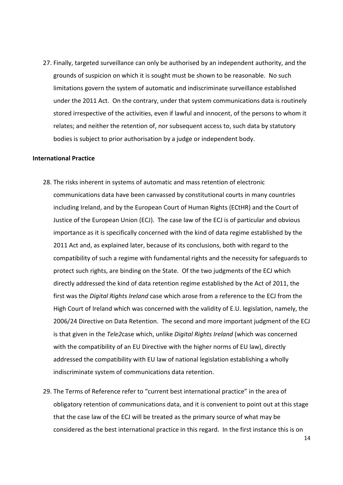27. Finally, targeted surveillance can only be authorised by an independent authority, and the grounds of suspicion on which it is sought must be shown to be reasonable. No such limitations govern the system of automatic and indiscriminate surveillance established under the 2011 Act. On the contrary, under that system communications data is routinely stored irrespective of the activities, even if lawful and innocent, of the persons to whom it relates; and neither the retention of, nor subsequent access to, such data by statutory bodies is subject to prior authorisation by a judge or independent body.

#### International Practice

- 28. The risks inherent in systems of automatic and mass retention of electronic communications data have been canvassed by constitutional courts in many countries including Ireland, and by the European Court of Human Rights (ECtHR) and the Court of Justice of the European Union (ECJ). The case law of the ECJ is of particular and obvious importance as it is specifically concerned with the kind of data regime established by the 2011 Act and, as explained later, because of its conclusions, both with regard to the compatibility of such a regime with fundamental rights and the necessity for safeguards to protect such rights, are binding on the State. Of the two judgments of the ECJ which directly addressed the kind of data retention regime established by the Act of 2011, the first was the Digital Rights Ireland case which arose from a reference to the ECJ from the High Court of Ireland which was concerned with the validity of E.U. legislation, namely, the 2006/24 Directive on Data Retention. The second and more important judgment of the ECJ is that given in the Tele2case which, unlike Digital Rights Ireland (which was concerned with the compatibility of an EU Directive with the higher norms of EU law), directly addressed the compatibility with EU law of national legislation establishing a wholly indiscriminate system of communications data retention.
- 29. The Terms of Reference refer to "current best international practice" in the area of obligatory retention of communications data, and it is convenient to point out at this stage that the case law of the ECJ will be treated as the primary source of what may be considered as the best international practice in this regard. In the first instance this is on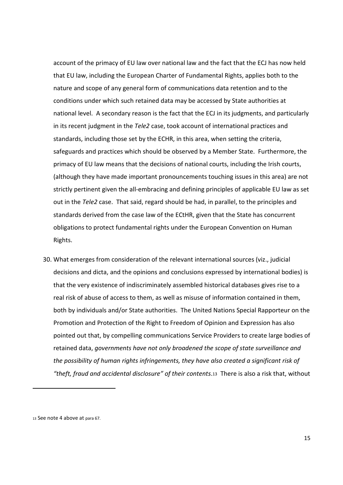account of the primacy of EU law over national law and the fact that the ECJ has now held that EU law, including the European Charter of Fundamental Rights, applies both to the nature and scope of any general form of communications data retention and to the conditions under which such retained data may be accessed by State authorities at national level. A secondary reason is the fact that the ECJ in its judgments, and particularly in its recent judgment in the Tele2 case, took account of international practices and standards, including those set by the ECHR, in this area, when setting the criteria, safeguards and practices which should be observed by a Member State. Furthermore, the primacy of EU law means that the decisions of national courts, including the Irish courts, (although they have made important pronouncements touching issues in this area) are not strictly pertinent given the all-embracing and defining principles of applicable EU law as set out in the Tele2 case. That said, regard should be had, in parallel, to the principles and standards derived from the case law of the ECtHR, given that the State has concurrent obligations to protect fundamental rights under the European Convention on Human Rights.

30. What emerges from consideration of the relevant international sources (viz., judicial decisions and dicta, and the opinions and conclusions expressed by international bodies) is that the very existence of indiscriminately assembled historical databases gives rise to a real risk of abuse of access to them, as well as misuse of information contained in them, both by individuals and/or State authorities. The United Nations Special Rapporteur on the Promotion and Protection of the Right to Freedom of Opinion and Expression has also pointed out that, by compelling communications Service Providers to create large bodies of retained data, governments have not only broadened the scope of state surveillance and the possibility of human rights infringements, they have also created a significant risk of "theft, fraud and accidental disclosure" of their contents.13 There is also a risk that, without

<sup>13</sup> See note 4 above at para 67.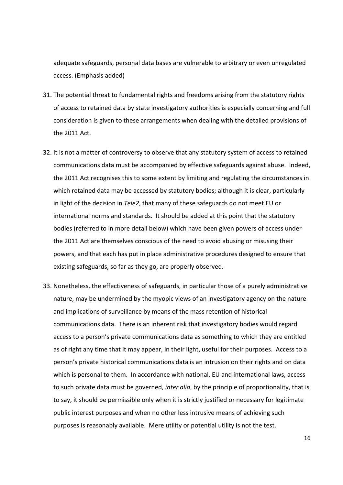adequate safeguards, personal data bases are vulnerable to arbitrary or even unregulated access. (Emphasis added)

- 31. The potential threat to fundamental rights and freedoms arising from the statutory rights of access to retained data by state investigatory authorities is especially concerning and full consideration is given to these arrangements when dealing with the detailed provisions of the 2011 Act.
- 32. It is not a matter of controversy to observe that any statutory system of access to retained communications data must be accompanied by effective safeguards against abuse. Indeed, the 2011 Act recognises this to some extent by limiting and regulating the circumstances in which retained data may be accessed by statutory bodies; although it is clear, particularly in light of the decision in Tele2, that many of these safeguards do not meet EU or international norms and standards. It should be added at this point that the statutory bodies (referred to in more detail below) which have been given powers of access under the 2011 Act are themselves conscious of the need to avoid abusing or misusing their powers, and that each has put in place administrative procedures designed to ensure that existing safeguards, so far as they go, are properly observed.
- 33. Nonetheless, the effectiveness of safeguards, in particular those of a purely administrative nature, may be undermined by the myopic views of an investigatory agency on the nature and implications of surveillance by means of the mass retention of historical communications data. There is an inherent risk that investigatory bodies would regard access to a person's private communications data as something to which they are entitled as of right any time that it may appear, in their light, useful for their purposes. Access to a person's private historical communications data is an intrusion on their rights and on data which is personal to them. In accordance with national, EU and international laws, access to such private data must be governed, inter alia, by the principle of proportionality, that is to say, it should be permissible only when it is strictly justified or necessary for legitimate public interest purposes and when no other less intrusive means of achieving such purposes is reasonably available. Mere utility or potential utility is not the test.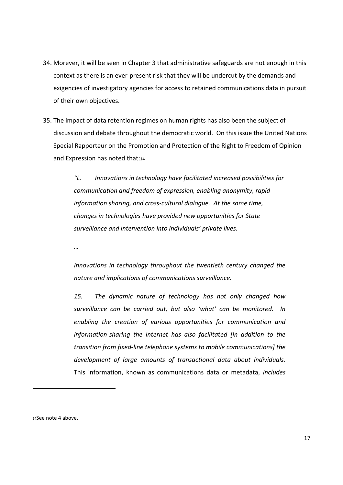- 34. Morever, it will be seen in Chapter 3 that administrative safeguards are not enough in this context as there is an ever-present risk that they will be undercut by the demands and exigencies of investigatory agencies for access to retained communications data in pursuit of their own objectives.
- 35. The impact of data retention regimes on human rights has also been the subject of discussion and debate throughout the democratic world. On this issue the United Nations Special Rapporteur on the Promotion and Protection of the Right to Freedom of Opinion and Expression has noted that:<sup>14</sup>

"L. Innovations in technology have facilitated increased possibilities for communication and freedom of expression, enabling anonymity, rapid information sharing, and cross-cultural dialogue. At the same time, changes in technologies have provided new opportunities for State surveillance and intervention into individuals' private lives.

…

Innovations in technology throughout the twentieth century changed the nature and implications of communications surveillance.

15. The dynamic nature of technology has not only changed how surveillance can be carried out, but also 'what' can be monitored. In enabling the creation of various opportunities for communication and information-sharing the Internet has also facilitated [in addition to the transition from fixed-line telephone systems to mobile communications] the development of large amounts of transactional data about individuals. This information, known as communications data or metadata, includes

14See note 4 above.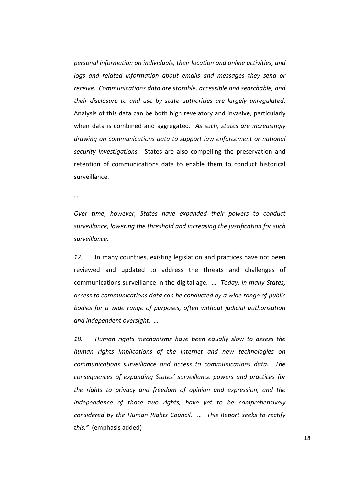personal information on individuals, their location and online activities, and logs and related information about emails and messages they send or receive. Communications data are storable, accessible and searchable, and their disclosure to and use by state authorities are largely unregulated. Analysis of this data can be both high revelatory and invasive, particularly when data is combined and aggregated. As such, states are increasingly drawing on communications data to support law enforcement or national security investigations. States are also compelling the preservation and retention of communications data to enable them to conduct historical surveillance.

…

Over time, however, States have expanded their powers to conduct surveillance, lowering the threshold and increasing the justification for such surveillance.

17. In many countries, existing legislation and practices have not been reviewed and updated to address the threats and challenges of communications surveillance in the digital age. … Today, in many States, access to communications data can be conducted by a wide range of public bodies for a wide range of purposes, often without judicial authorisation and independent oversight. …

18. Human rights mechanisms have been equally slow to assess the human rights implications of the Internet and new technologies on communications surveillance and access to communications data. The consequences of expanding States' surveillance powers and practices for the rights to privacy and freedom of opinion and expression, and the independence of those two rights, have yet to be comprehensively considered by the Human Rights Council. … This Report seeks to rectify this." (emphasis added)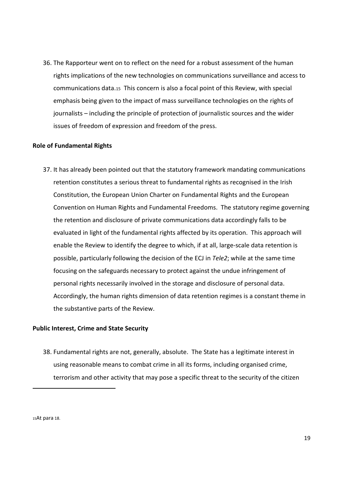36. The Rapporteur went on to reflect on the need for a robust assessment of the human rights implications of the new technologies on communications surveillance and access to communications data.15 This concern is also a focal point of this Review, with special emphasis being given to the impact of mass surveillance technologies on the rights of journalists – including the principle of protection of journalistic sources and the wider issues of freedom of expression and freedom of the press.

#### Role of Fundamental Rights

37. It has already been pointed out that the statutory framework mandating communications retention constitutes a serious threat to fundamental rights as recognised in the Irish Constitution, the European Union Charter on Fundamental Rights and the European Convention on Human Rights and Fundamental Freedoms. The statutory regime governing the retention and disclosure of private communications data accordingly falls to be evaluated in light of the fundamental rights affected by its operation. This approach will enable the Review to identify the degree to which, if at all, large-scale data retention is possible, particularly following the decision of the ECJ in Tele2; while at the same time focusing on the safeguards necessary to protect against the undue infringement of personal rights necessarily involved in the storage and disclosure of personal data. Accordingly, the human rights dimension of data retention regimes is a constant theme in the substantive parts of the Review.

#### Public Interest, Crime and State Security

38. Fundamental rights are not, generally, absolute. The State has a legitimate interest in using reasonable means to combat crime in all its forms, including organised crime, terrorism and other activity that may pose a specific threat to the security of the citizen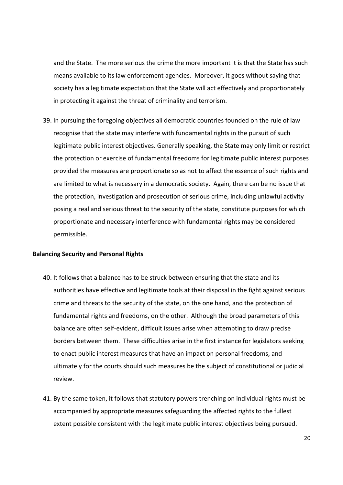and the State. The more serious the crime the more important it is that the State has such means available to its law enforcement agencies. Moreover, it goes without saying that society has a legitimate expectation that the State will act effectively and proportionately in protecting it against the threat of criminality and terrorism.

39. In pursuing the foregoing objectives all democratic countries founded on the rule of law recognise that the state may interfere with fundamental rights in the pursuit of such legitimate public interest objectives. Generally speaking, the State may only limit or restrict the protection or exercise of fundamental freedoms for legitimate public interest purposes provided the measures are proportionate so as not to affect the essence of such rights and are limited to what is necessary in a democratic society. Again, there can be no issue that the protection, investigation and prosecution of serious crime, including unlawful activity posing a real and serious threat to the security of the state, constitute purposes for which proportionate and necessary interference with fundamental rights may be considered permissible.

#### Balancing Security and Personal Rights

- 40. It follows that a balance has to be struck between ensuring that the state and its authorities have effective and legitimate tools at their disposal in the fight against serious crime and threats to the security of the state, on the one hand, and the protection of fundamental rights and freedoms, on the other. Although the broad parameters of this balance are often self-evident, difficult issues arise when attempting to draw precise borders between them. These difficulties arise in the first instance for legislators seeking to enact public interest measures that have an impact on personal freedoms, and ultimately for the courts should such measures be the subject of constitutional or judicial review.
- 41. By the same token, it follows that statutory powers trenching on individual rights must be accompanied by appropriate measures safeguarding the affected rights to the fullest extent possible consistent with the legitimate public interest objectives being pursued.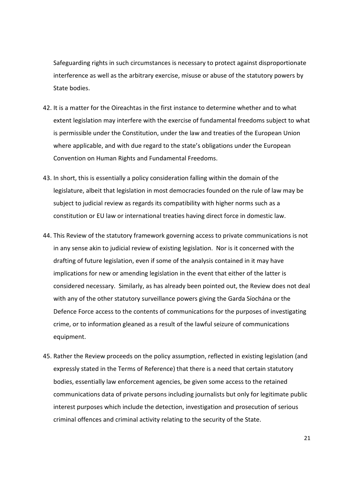Safeguarding rights in such circumstances is necessary to protect against disproportionate interference as well as the arbitrary exercise, misuse or abuse of the statutory powers by State bodies.

- 42. It is a matter for the Oireachtas in the first instance to determine whether and to what extent legislation may interfere with the exercise of fundamental freedoms subject to what is permissible under the Constitution, under the law and treaties of the European Union where applicable, and with due regard to the state's obligations under the European Convention on Human Rights and Fundamental Freedoms.
- 43. In short, this is essentially a policy consideration falling within the domain of the legislature, albeit that legislation in most democracies founded on the rule of law may be subject to judicial review as regards its compatibility with higher norms such as a constitution or EU law or international treaties having direct force in domestic law.
- 44. This Review of the statutory framework governing access to private communications is not in any sense akin to judicial review of existing legislation. Nor is it concerned with the drafting of future legislation, even if some of the analysis contained in it may have implications for new or amending legislation in the event that either of the latter is considered necessary. Similarly, as has already been pointed out, the Review does not deal with any of the other statutory surveillance powers giving the Garda Síochána or the Defence Force access to the contents of communications for the purposes of investigating crime, or to information gleaned as a result of the lawful seizure of communications equipment.
- 45. Rather the Review proceeds on the policy assumption, reflected in existing legislation (and expressly stated in the Terms of Reference) that there is a need that certain statutory bodies, essentially law enforcement agencies, be given some access to the retained communications data of private persons including journalists but only for legitimate public interest purposes which include the detection, investigation and prosecution of serious criminal offences and criminal activity relating to the security of the State.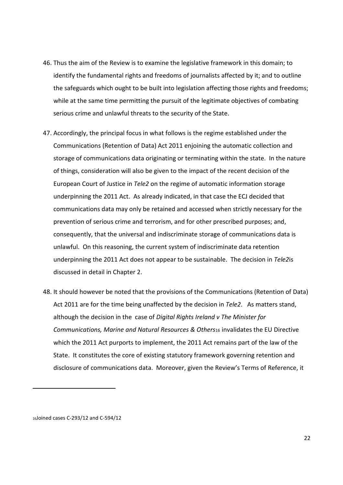- 46. Thus the aim of the Review is to examine the legislative framework in this domain; to identify the fundamental rights and freedoms of journalists affected by it; and to outline the safeguards which ought to be built into legislation affecting those rights and freedoms; while at the same time permitting the pursuit of the legitimate objectives of combating serious crime and unlawful threats to the security of the State.
- 47. Accordingly, the principal focus in what follows is the regime established under the Communications (Retention of Data) Act 2011 enjoining the automatic collection and storage of communications data originating or terminating within the state. In the nature of things, consideration will also be given to the impact of the recent decision of the European Court of Justice in Tele2 on the regime of automatic information storage underpinning the 2011 Act. As already indicated, in that case the ECJ decided that communications data may only be retained and accessed when strictly necessary for the prevention of serious crime and terrorism, and for other prescribed purposes; and, consequently, that the universal and indiscriminate storage of communications data is unlawful. On this reasoning, the current system of indiscriminate data retention underpinning the 2011 Act does not appear to be sustainable. The decision in Tele2is discussed in detail in Chapter 2.
- 48. It should however be noted that the provisions of the Communications (Retention of Data) Act 2011 are for the time being unaffected by the decision in Tele2. As matters stand, although the decision in the case of Digital Rights Ireland v The Minister for Communications, Marine and Natural Resources & Others16 invalidates the EU Directive which the 2011 Act purports to implement, the 2011 Act remains part of the law of the State. It constitutes the core of existing statutory framework governing retention and disclosure of communications data. Moreover, given the Review's Terms of Reference, it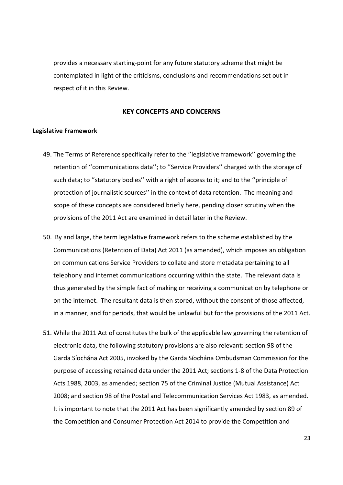provides a necessary starting-point for any future statutory scheme that might be contemplated in light of the criticisms, conclusions and recommendations set out in respect of it in this Review.

#### KEY CONCEPTS AND CONCERNS

#### Legislative Framework

- 49. The Terms of Reference specifically refer to the ''legislative framework'' governing the retention of ''communications data''; to ''Service Providers'' charged with the storage of such data; to ''statutory bodies'' with a right of access to it; and to the ''principle of protection of journalistic sources'' in the context of data retention. The meaning and scope of these concepts are considered briefly here, pending closer scrutiny when the provisions of the 2011 Act are examined in detail later in the Review.
- 50. By and large, the term legislative framework refers to the scheme established by the Communications (Retention of Data) Act 2011 (as amended), which imposes an obligation on communications Service Providers to collate and store metadata pertaining to all telephony and internet communications occurring within the state. The relevant data is thus generated by the simple fact of making or receiving a communication by telephone or on the internet. The resultant data is then stored, without the consent of those affected, in a manner, and for periods, that would be unlawful but for the provisions of the 2011 Act.
- 51. While the 2011 Act of constitutes the bulk of the applicable law governing the retention of electronic data, the following statutory provisions are also relevant: section 98 of the Garda Síochána Act 2005, invoked by the Garda Síochána Ombudsman Commission for the purpose of accessing retained data under the 2011 Act; sections 1-8 of the Data Protection Acts 1988, 2003, as amended; section 75 of the Criminal Justice (Mutual Assistance) Act 2008; and section 98 of the Postal and Telecommunication Services Act 1983, as amended. It is important to note that the 2011 Act has been significantly amended by section 89 of the Competition and Consumer Protection Act 2014 to provide the Competition and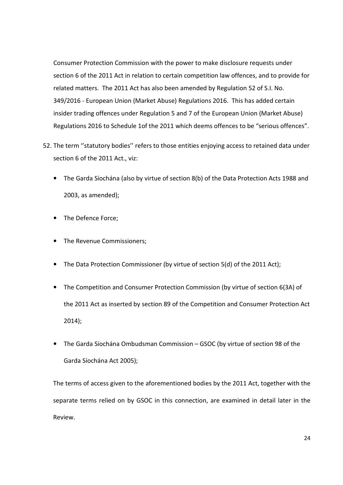Consumer Protection Commission with the power to make disclosure requests under section 6 of the 2011 Act in relation to certain competition law offences, and to provide for related matters. The 2011 Act has also been amended by Regulation 52 of S.I. No. 349/2016 - European Union (Market Abuse) Regulations 2016. This has added certain insider trading offences under Regulation 5 and 7 of the European Union (Market Abuse) Regulations 2016 to Schedule 1of the 2011 which deems offences to be "serious offences".

- 52. The term ''statutory bodies'' refers to those entities enjoying access to retained data under section 6 of the 2011 Act., viz:
	- The Garda Síochána (also by virtue of section 8(b) of the Data Protection Acts 1988 and 2003, as amended);
	- The Defence Force;
	- The Revenue Commissioners;
	- The Data Protection Commissioner (by virtue of section 5(d) of the 2011 Act);
	- The Competition and Consumer Protection Commission (by virtue of section 6(3A) of the 2011 Act as inserted by section 89 of the Competition and Consumer Protection Act 2014);
	- The Garda Síochána Ombudsman Commission GSOC (by virtue of section 98 of the Garda Síochána Act 2005);

The terms of access given to the aforementioned bodies by the 2011 Act, together with the separate terms relied on by GSOC in this connection, are examined in detail later in the Review.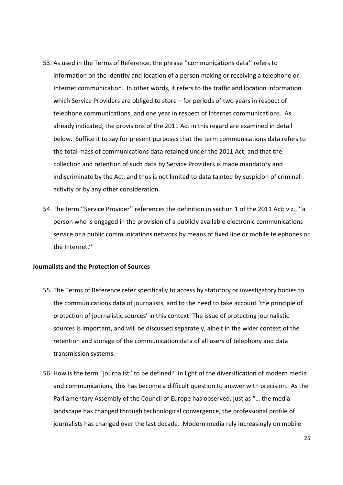- 53. As used in the Terms of Reference, the phrase ''communications data'' refers to information on the identity and location of a person making or receiving a telephone or Internet communication. In other words, it refers to the traffic and location information which Service Providers are obliged to store – for periods of two years in respect of telephone communications, and one year in respect of Internet communications. As already indicated, the provisions of the 2011 Act in this regard are examined in detail below. Suffice it to say for present purposes that the term communications data refers to the total mass of communications data retained under the 2011 Act; and that the collection and retention of such data by Service Providers is made mandatory and indiscriminate by the Act, and thus is not limited to data tainted by suspicion of criminal activity or by any other consideration.
- 54. The term ''Service Provider'' references the definition in section 1 of the 2011 Act: viz., ''a person who is engaged in the provision of a publicly available electronic communications service or a public communications network by means of fixed line or mobile telephones or the Internet.''

#### Journalists and the Protection of Sources

- 55. The Terms of Reference refer specifically to access by statutory or investigatory bodies to the communications data of journalists, and to the need to take account 'the principle of protection of journalistic sources' in this context. The issue of protecting journalistic sources is important, and will be discussed separately, albeit in the wider context of the retention and storage of the communication data of all users of telephony and data transmission systems.
- 56. How is the term "journalist" to be defined? In light of the diversification of modern media and communications, this has become a difficult question to answer with precision. As the Parliamentary Assembly of the Council of Europe has observed, just as "… the media landscape has changed through technological convergence, the professional profile of journalists has changed over the last decade. Modern media rely increasingly on mobile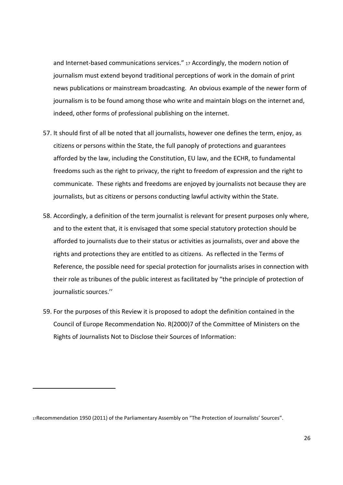and Internet-based communications services." 17 Accordingly, the modern notion of journalism must extend beyond traditional perceptions of work in the domain of print news publications or mainstream broadcasting. An obvious example of the newer form of journalism is to be found among those who write and maintain blogs on the internet and, indeed, other forms of professional publishing on the internet.

- 57. It should first of all be noted that all journalists, however one defines the term, enjoy, as citizens or persons within the State, the full panoply of protections and guarantees afforded by the law, including the Constitution, EU law, and the ECHR, to fundamental freedoms such as the right to privacy, the right to freedom of expression and the right to communicate. These rights and freedoms are enjoyed by journalists not because they are journalists, but as citizens or persons conducting lawful activity within the State.
- 58. Accordingly, a definition of the term journalist is relevant for present purposes only where, and to the extent that, it is envisaged that some special statutory protection should be afforded to journalists due to their status or activities as journalists, over and above the rights and protections they are entitled to as citizens. As reflected in the Terms of Reference, the possible need for special protection for journalists arises in connection with their role as tribunes of the public interest as facilitated by "the principle of protection of journalistic sources.''
- 59. For the purposes of this Review it is proposed to adopt the definition contained in the Council of Europe Recommendation No. R(2000)7 of the Committee of Ministers on the Rights of Journalists Not to Disclose their Sources of Information:

<sup>17</sup>Recommendation 1950 (2011) of the Parliamentary Assembly on "The Protection of Journalists' Sources".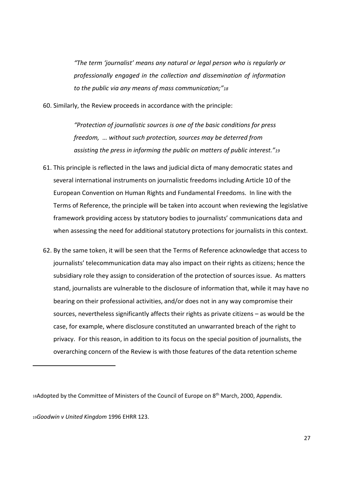"The term 'journalist' means any natural or legal person who is regularly or professionally engaged in the collection and dissemination of information to the public via any means of mass communication;"18

60. Similarly, the Review proceeds in accordance with the principle:

"Protection of journalistic sources is one of the basic conditions for press freedom, … without such protection, sources may be deterred from assisting the press in informing the public on matters of public interest."<sup>19</sup>

- 61. This principle is reflected in the laws and judicial dicta of many democratic states and several international instruments on journalistic freedoms including Article 10 of the European Convention on Human Rights and Fundamental Freedoms. In line with the Terms of Reference, the principle will be taken into account when reviewing the legislative framework providing access by statutory bodies to journalists' communications data and when assessing the need for additional statutory protections for journalists in this context.
- 62. By the same token, it will be seen that the Terms of Reference acknowledge that access to journalists' telecommunication data may also impact on their rights as citizens; hence the subsidiary role they assign to consideration of the protection of sources issue. As matters stand, journalists are vulnerable to the disclosure of information that, while it may have no bearing on their professional activities, and/or does not in any way compromise their sources, nevertheless significantly affects their rights as private citizens – as would be the case, for example, where disclosure constituted an unwarranted breach of the right to privacy. For this reason, in addition to its focus on the special position of journalists, the overarching concern of the Review is with those features of the data retention scheme

18Adopted by the Committee of Ministers of the Council of Europe on  $8<sup>th</sup>$  March, 2000, Appendix.

19Goodwin v United Kingdom 1996 EHRR 123.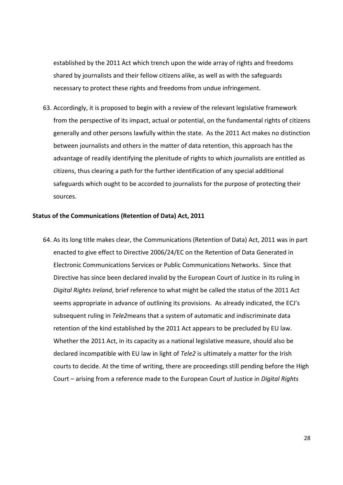established by the 2011 Act which trench upon the wide array of rights and freedoms shared by journalists and their fellow citizens alike, as well as with the safeguards necessary to protect these rights and freedoms from undue infringement.

63. Accordingly, it is proposed to begin with a review of the relevant legislative framework from the perspective of its impact, actual or potential, on the fundamental rights of citizens generally and other persons lawfully within the state. As the 2011 Act makes no distinction between journalists and others in the matter of data retention, this approach has the advantage of readily identifying the plenitude of rights to which journalists are entitled as citizens, thus clearing a path for the further identification of any special additional safeguards which ought to be accorded to journalists for the purpose of protecting their sources.

#### Status of the Communications (Retention of Data) Act, 2011

64. As its long title makes clear, the Communications (Retention of Data) Act, 2011 was in part enacted to give effect to Directive 2006/24/EC on the Retention of Data Generated in Electronic Communications Services or Public Communications Networks. Since that Directive has since been declared invalid by the European Court of Justice in its ruling in Digital Rights Ireland, brief reference to what might be called the status of the 2011 Act seems appropriate in advance of outlining its provisions. As already indicated, the ECJ's subsequent ruling in Tele2means that a system of automatic and indiscriminate data retention of the kind established by the 2011 Act appears to be precluded by EU law. Whether the 2011 Act, in its capacity as a national legislative measure, should also be declared incompatible with EU law in light of Tele2 is ultimately a matter for the Irish courts to decide. At the time of writing, there are proceedings still pending before the High Court – arising from a reference made to the European Court of Justice in Digital Rights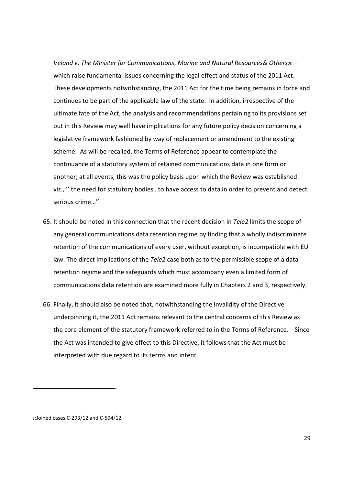Ireland v. The Minister for Communications, Marine and Natural Resources& Others20 which raise fundamental issues concerning the legal effect and status of the 2011 Act. These developments notwithstanding, the 2011 Act for the time being remains in force and continues to be part of the applicable law of the state. In addition, irrespective of the ultimate fate of the Act, the analysis and recommendations pertaining to its provisions set out in this Review may well have implications for any future policy decision concerning a legislative framework fashioned by way of replacement or amendment to the existing scheme. As will be recalled, the Terms of Reference appear to contemplate the continuance of a statutory system of retained communications data in one form or another; at all events, this was the policy basis upon which the Review was established: viz., '' the need for statutory bodies…to have access to data in order to prevent and detect serious crime…''

- 65. It should be noted in this connection that the recent decision in Tele2 limits the scope of any general communications data retention regime by finding that a wholly indiscriminate retention of the communications of every user, without exception, is incompatible with EU law. The direct implications of the Tele2 case both as to the permissible scope of a data retention regime and the safeguards which must accompany even a limited form of communications data retention are examined more fully in Chapters 2 and 3, respectively.
- 66. Finally, it should also be noted that, notwithstanding the invalidity of the Directive underpinning it, the 2011 Act remains relevant to the central concerns of this Review as the core element of the statutory framework referred to in the Terms of Reference. Since the Act was intended to give effect to this Directive, it follows that the Act must be interpreted with due regard to its terms and intent.

l

<sup>20</sup>Joined cases C-293/12 and C-594/12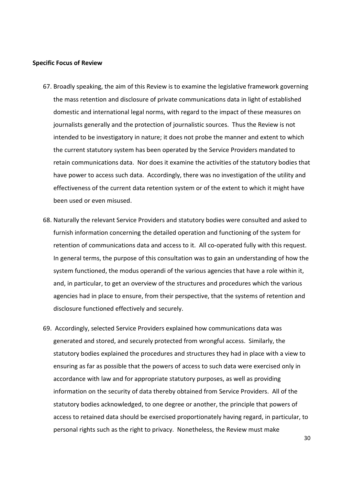#### Specific Focus of Review

- 67. Broadly speaking, the aim of this Review is to examine the legislative framework governing the mass retention and disclosure of private communications data in light of established domestic and international legal norms, with regard to the impact of these measures on journalists generally and the protection of journalistic sources. Thus the Review is not intended to be investigatory in nature; it does not probe the manner and extent to which the current statutory system has been operated by the Service Providers mandated to retain communications data. Nor does it examine the activities of the statutory bodies that have power to access such data. Accordingly, there was no investigation of the utility and effectiveness of the current data retention system or of the extent to which it might have been used or even misused.
- 68. Naturally the relevant Service Providers and statutory bodies were consulted and asked to furnish information concerning the detailed operation and functioning of the system for retention of communications data and access to it. All co-operated fully with this request. In general terms, the purpose of this consultation was to gain an understanding of how the system functioned, the modus operandi of the various agencies that have a role within it, and, in particular, to get an overview of the structures and procedures which the various agencies had in place to ensure, from their perspective, that the systems of retention and disclosure functioned effectively and securely.
- 69. Accordingly, selected Service Providers explained how communications data was generated and stored, and securely protected from wrongful access. Similarly, the statutory bodies explained the procedures and structures they had in place with a view to ensuring as far as possible that the powers of access to such data were exercised only in accordance with law and for appropriate statutory purposes, as well as providing information on the security of data thereby obtained from Service Providers. All of the statutory bodies acknowledged, to one degree or another, the principle that powers of access to retained data should be exercised proportionately having regard, in particular, to personal rights such as the right to privacy. Nonetheless, the Review must make

30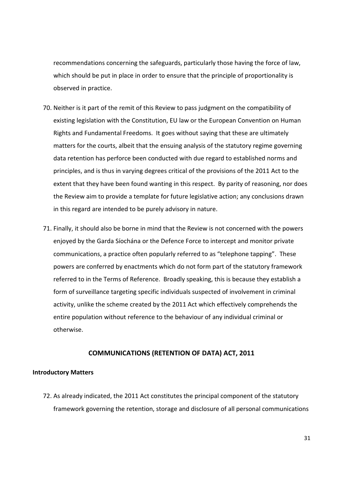recommendations concerning the safeguards, particularly those having the force of law, which should be put in place in order to ensure that the principle of proportionality is observed in practice.

- 70. Neither is it part of the remit of this Review to pass judgment on the compatibility of existing legislation with the Constitution, EU law or the European Convention on Human Rights and Fundamental Freedoms. It goes without saying that these are ultimately matters for the courts, albeit that the ensuing analysis of the statutory regime governing data retention has perforce been conducted with due regard to established norms and principles, and is thus in varying degrees critical of the provisions of the 2011 Act to the extent that they have been found wanting in this respect. By parity of reasoning, nor does the Review aim to provide a template for future legislative action; any conclusions drawn in this regard are intended to be purely advisory in nature.
- 71. Finally, it should also be borne in mind that the Review is not concerned with the powers enjoyed by the Garda Síochána or the Defence Force to intercept and monitor private communications, a practice often popularly referred to as "telephone tapping". These powers are conferred by enactments which do not form part of the statutory framework referred to in the Terms of Reference. Broadly speaking, this is because they establish a form of surveillance targeting specific individuals suspected of involvement in criminal activity, unlike the scheme created by the 2011 Act which effectively comprehends the entire population without reference to the behaviour of any individual criminal or otherwise.

# COMMUNICATIONS (RETENTION OF DATA) ACT, 2011

### Introductory Matters

72. As already indicated, the 2011 Act constitutes the principal component of the statutory framework governing the retention, storage and disclosure of all personal communications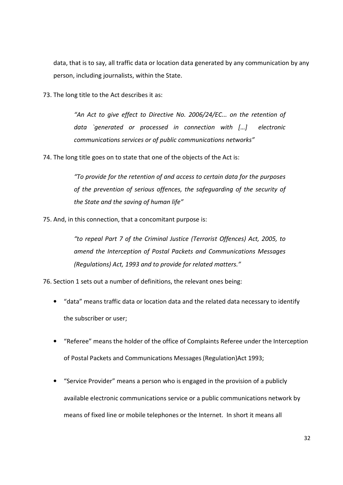data, that is to say, all traffic data or location data generated by any communication by any person, including journalists, within the State.

73. The long title to the Act describes it as:

"An Act to give effect to Directive No. 2006/24/EC... on the retention of data `generated or processed in connection with […] electronic communications services or of public communications networks"

74. The long title goes on to state that one of the objects of the Act is:

"To provide for the retention of and access to certain data for the purposes of the prevention of serious offences, the safeguarding of the security of the State and the saving of human life"

75. And, in this connection, that a concomitant purpose is:

"to repeal Part 7 of the Criminal Justice (Terrorist Offences) Act, 2005, to amend the Interception of Postal Packets and Communications Messages (Regulations) Act, 1993 and to provide for related matters."

76. Section 1 sets out a number of definitions, the relevant ones being:

- "data" means traffic data or location data and the related data necessary to identify the subscriber or user;
- "Referee" means the holder of the office of Complaints Referee under the Interception of Postal Packets and Communications Messages (Regulation)Act 1993;
- "Service Provider" means a person who is engaged in the provision of a publicly available electronic communications service or a public communications network by means of fixed line or mobile telephones or the Internet. In short it means all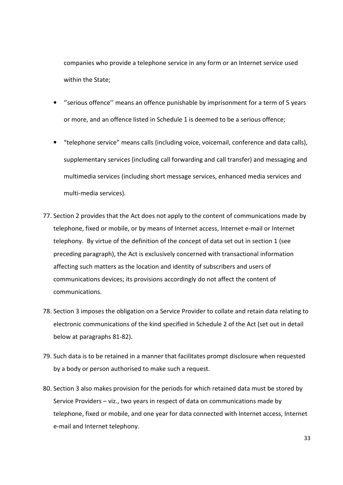companies who provide a telephone service in any form or an Internet service used within the State;

- ''serious offence'' means an offence punishable by imprisonment for a term of 5 years or more, and an offence listed in Schedule 1 is deemed to be a serious offence;
- "telephone service" means calls (including voice, voicemail, conference and data calls), supplementary services (including call forwarding and call transfer) and messaging and multimedia services (including short message services, enhanced media services and multi-media services).
- 77. Section 2 provides that the Act does not apply to the content of communications made by telephone, fixed or mobile, or by means of Internet access, Internet e-mail or Internet telephony. By virtue of the definition of the concept of data set out in section 1 (see preceding paragraph), the Act is exclusively concerned with transactional information affecting such matters as the location and identity of subscribers and users of communications devices; its provisions accordingly do not affect the content of communications.
- 78. Section 3 imposes the obligation on a Service Provider to collate and retain data relating to electronic communications of the kind specified in Schedule 2 of the Act (set out in detail below at paragraphs 81-82).
- 79. Such data is to be retained in a manner that facilitates prompt disclosure when requested by a body or person authorised to make such a request.
- 80. Section 3 also makes provision for the periods for which retained data must be stored by Service Providers – viz., two years in respect of data on communications made by telephone, fixed or mobile, and one year for data connected with Internet access, Internet e-mail and Internet telephony.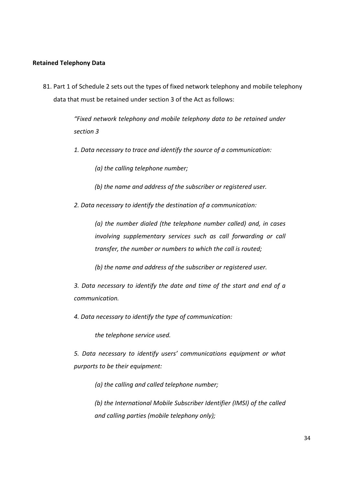# Retained Telephony Data

81. Part 1 of Schedule 2 sets out the types of fixed network telephony and mobile telephony data that must be retained under section 3 of the Act as follows:

> "Fixed network telephony and mobile telephony data to be retained under section 3

1. Data necessary to trace and identify the source of a communication:

(a) the calling telephone number;

(b) the name and address of the subscriber or registered user.

2. Data necessary to identify the destination of a communication:

(a) the number dialed (the telephone number called) and, in cases involving supplementary services such as call forwarding or call transfer, the number or numbers to which the call is routed;

(b) the name and address of the subscriber or registered user.

3. Data necessary to identify the date and time of the start and end of a communication.

4. Data necessary to identify the type of communication:

the telephone service used.

5. Data necessary to identify users' communications equipment or what purports to be their equipment:

(a) the calling and called telephone number;

(b) the International Mobile Subscriber Identifier (IMSI) of the called and calling parties (mobile telephony only);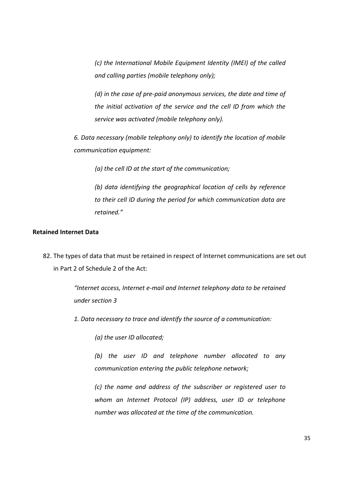(c) the International Mobile Equipment Identity (IMEI) of the called and calling parties (mobile telephony only);

(d) in the case of pre-paid anonymous services, the date and time of the initial activation of the service and the cell ID from which the service was activated (mobile telephony only).

6. Data necessary (mobile telephony only) to identify the location of mobile communication equipment:

(a) the cell ID at the start of the communication;

(b) data identifying the geographical location of cells by reference to their cell ID during the period for which communication data are retained."

# Retained Internet Data

82. The types of data that must be retained in respect of Internet communications are set out in Part 2 of Schedule 2 of the Act:

> "Internet access, Internet e-mail and Internet telephony data to be retained under section 3

1. Data necessary to trace and identify the source of a communication:

(a) the user ID allocated;

(b) the user ID and telephone number allocated to any communication entering the public telephone network;

(c) the name and address of the subscriber or registered user to whom an Internet Protocol (IP) address, user ID or telephone number was allocated at the time of the communication.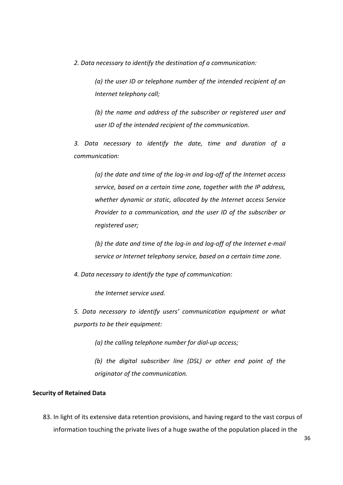2. Data necessary to identify the destination of a communication:

(a) the user ID or telephone number of the intended recipient of an Internet telephony call;

(b) the name and address of the subscriber or registered user and user ID of the intended recipient of the communication.

3. Data necessary to identify the date, time and duration of a communication:

> (a) the date and time of the log-in and log-off of the Internet access service, based on a certain time zone, together with the IP address, whether dynamic or static, allocated by the Internet access Service Provider to a communication, and the user ID of the subscriber or registered user;

> (b) the date and time of the log-in and log-off of the Internet e-mail service or Internet telephony service, based on a certain time zone.

4. Data necessary to identify the type of communication:

the Internet service used.

5. Data necessary to identify users' communication equipment or what purports to be their equipment:

(a) the calling telephone number for dial-up access;

(b) the digital subscriber line (DSL) or other end point of the originator of the communication.

#### Security of Retained Data

83. In light of its extensive data retention provisions, and having regard to the vast corpus of information touching the private lives of a huge swathe of the population placed in the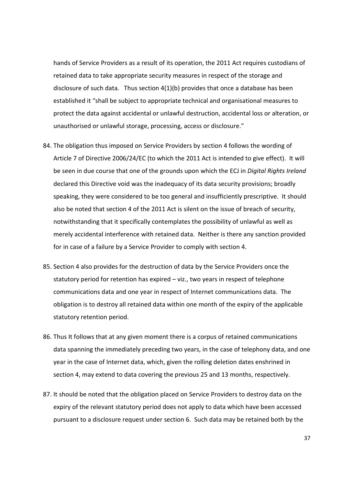hands of Service Providers as a result of its operation, the 2011 Act requires custodians of retained data to take appropriate security measures in respect of the storage and disclosure of such data. Thus section  $4(1)(b)$  provides that once a database has been established it "shall be subject to appropriate technical and organisational measures to protect the data against accidental or unlawful destruction, accidental loss or alteration, or unauthorised or unlawful storage, processing, access or disclosure."

- 84. The obligation thus imposed on Service Providers by section 4 follows the wording of Article 7 of Directive 2006/24/EC (to which the 2011 Act is intended to give effect). It will be seen in due course that one of the grounds upon which the ECJ in Digital Rights Ireland declared this Directive void was the inadequacy of its data security provisions; broadly speaking, they were considered to be too general and insufficiently prescriptive. It should also be noted that section 4 of the 2011 Act is silent on the issue of breach of security, notwithstanding that it specifically contemplates the possibility of unlawful as well as merely accidental interference with retained data. Neither is there any sanction provided for in case of a failure by a Service Provider to comply with section 4.
- 85. Section 4 also provides for the destruction of data by the Service Providers once the statutory period for retention has expired – viz., two years in respect of telephone communications data and one year in respect of Internet communications data. The obligation is to destroy all retained data within one month of the expiry of the applicable statutory retention period.
- 86. Thus It follows that at any given moment there is a corpus of retained communications data spanning the immediately preceding two years, in the case of telephony data, and one year in the case of Internet data, which, given the rolling deletion dates enshrined in section 4, may extend to data covering the previous 25 and 13 months, respectively.
- 87. It should be noted that the obligation placed on Service Providers to destroy data on the expiry of the relevant statutory period does not apply to data which have been accessed pursuant to a disclosure request under section 6. Such data may be retained both by the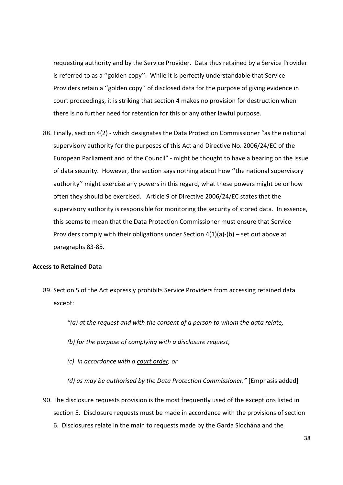requesting authority and by the Service Provider. Data thus retained by a Service Provider is referred to as a ''golden copy''. While it is perfectly understandable that Service Providers retain a ''golden copy'' of disclosed data for the purpose of giving evidence in court proceedings, it is striking that section 4 makes no provision for destruction when there is no further need for retention for this or any other lawful purpose.

88. Finally, section 4(2) - which designates the Data Protection Commissioner "as the national supervisory authority for the purposes of this Act and Directive No. 2006/24/EC of the European Parliament and of the Council" - might be thought to have a bearing on the issue of data security. However, the section says nothing about how ''the national supervisory authority'' might exercise any powers in this regard, what these powers might be or how often they should be exercised. Article 9 of Directive 2006/24/EC states that the supervisory authority is responsible for monitoring the security of stored data. In essence, this seems to mean that the Data Protection Commissioner must ensure that Service Providers comply with their obligations under Section  $4(1)(a)-(b)$  – set out above at paragraphs 83-85.

### Access to Retained Data

89. Section 5 of the Act expressly prohibits Service Providers from accessing retained data except:

 $\degree$ (a) at the request and with the consent of a person to whom the data relate,

(b) for the purpose of complying with a disclosure request,

(c) in accordance with a court order, or

(d) as may be authorised by the Data Protection Commissioner." [Emphasis added]

90. The disclosure requests provision is the most frequently used of the exceptions listed in section 5. Disclosure requests must be made in accordance with the provisions of section 6. Disclosures relate in the main to requests made by the Garda Síochána and the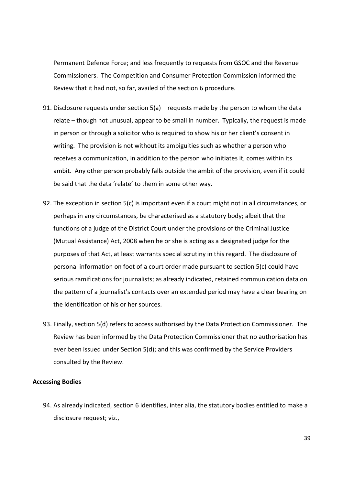Permanent Defence Force; and less frequently to requests from GSOC and the Revenue Commissioners. The Competition and Consumer Protection Commission informed the Review that it had not, so far, availed of the section 6 procedure.

- 91. Disclosure requests under section 5(a) requests made by the person to whom the data relate – though not unusual, appear to be small in number. Typically, the request is made in person or through a solicitor who is required to show his or her client's consent in writing. The provision is not without its ambiguities such as whether a person who receives a communication, in addition to the person who initiates it, comes within its ambit. Any other person probably falls outside the ambit of the provision, even if it could be said that the data 'relate' to them in some other way.
- 92. The exception in section 5(c) is important even if a court might not in all circumstances, or perhaps in any circumstances, be characterised as a statutory body; albeit that the functions of a judge of the District Court under the provisions of the Criminal Justice (Mutual Assistance) Act, 2008 when he or she is acting as a designated judge for the purposes of that Act, at least warrants special scrutiny in this regard. The disclosure of personal information on foot of a court order made pursuant to section 5(c) could have serious ramifications for journalists; as already indicated, retained communication data on the pattern of a journalist's contacts over an extended period may have a clear bearing on the identification of his or her sources.
- 93. Finally, section 5(d) refers to access authorised by the Data Protection Commissioner. The Review has been informed by the Data Protection Commissioner that no authorisation has ever been issued under Section 5(d); and this was confirmed by the Service Providers consulted by the Review.

### Accessing Bodies

94. As already indicated, section 6 identifies, inter alia, the statutory bodies entitled to make a disclosure request; viz.,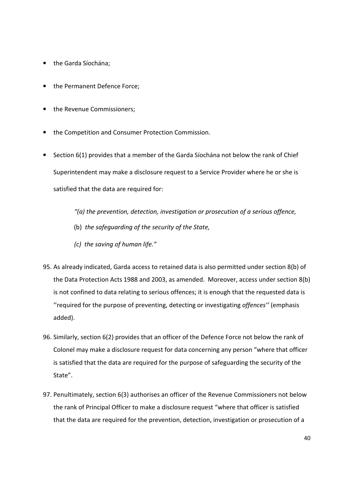- the Garda Síochána;
- the Permanent Defence Force;
- the Revenue Commissioners;
- the Competition and Consumer Protection Commission.
- Section 6(1) provides that a member of the Garda Síochána not below the rank of Chief Superintendent may make a disclosure request to a Service Provider where he or she is satisfied that the data are required for:

"(a) the prevention, detection, investigation or prosecution of a serious offence,

- (b) the safeguarding of the security of the State,
- (c) the saving of human life."
- 95. As already indicated, Garda access to retained data is also permitted under section 8(b) of the Data Protection Acts 1988 and 2003, as amended. Moreover, access under section 8(b) is not confined to data relating to serious offences; it is enough that the requested data is ''required for the purpose of preventing, detecting or investigating offences'' (emphasis added).
- 96. Similarly, section 6(2) provides that an officer of the Defence Force not below the rank of Colonel may make a disclosure request for data concerning any person "where that officer is satisfied that the data are required for the purpose of safeguarding the security of the State".
- 97. Penultimately, section 6(3) authorises an officer of the Revenue Commissioners not below the rank of Principal Officer to make a disclosure request "where that officer is satisfied that the data are required for the prevention, detection, investigation or prosecution of a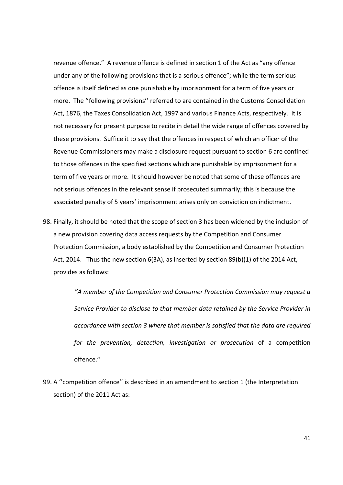revenue offence." A revenue offence is defined in section 1 of the Act as "any offence under any of the following provisions that is a serious offence"; while the term serious offence is itself defined as one punishable by imprisonment for a term of five years or more. The ''following provisions'' referred to are contained in the Customs Consolidation Act, 1876, the Taxes Consolidation Act, 1997 and various Finance Acts, respectively. It is not necessary for present purpose to recite in detail the wide range of offences covered by these provisions. Suffice it to say that the offences in respect of which an officer of the Revenue Commissioners may make a disclosure request pursuant to section 6 are confined to those offences in the specified sections which are punishable by imprisonment for a term of five years or more. It should however be noted that some of these offences are not serious offences in the relevant sense if prosecuted summarily; this is because the associated penalty of 5 years' imprisonment arises only on conviction on indictment.

98. Finally, it should be noted that the scope of section 3 has been widened by the inclusion of a new provision covering data access requests by the Competition and Consumer Protection Commission, a body established by the Competition and Consumer Protection Act, 2014. Thus the new section 6(3A), as inserted by section 89(b)(1) of the 2014 Act, provides as follows:

> ''A member of the Competition and Consumer Protection Commission may request a Service Provider to disclose to that member data retained by the Service Provider in accordance with section 3 where that member is satisfied that the data are required for the prevention, detection, investigation or prosecution of a competition offence.''

99. A ''competition offence'' is described in an amendment to section 1 (the Interpretation section) of the 2011 Act as: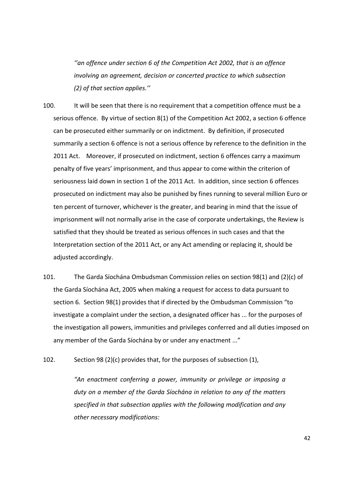''an offence under section 6 of the Competition Act 2002, that is an offence involving an agreement, decision or concerted practice to which subsection (2) of that section applies.''

100. It will be seen that there is no requirement that a competition offence must be a serious offence. By virtue of section 8(1) of the Competition Act 2002, a section 6 offence can be prosecuted either summarily or on indictment. By definition, if prosecuted summarily a section 6 offence is not a serious offence by reference to the definition in the 2011 Act. Moreover, if prosecuted on indictment, section 6 offences carry a maximum penalty of five years' imprisonment, and thus appear to come within the criterion of seriousness laid down in section 1 of the 2011 Act. In addition, since section 6 offences prosecuted on indictment may also be punished by fines running to several million Euro or ten percent of turnover, whichever is the greater, and bearing in mind that the issue of imprisonment will not normally arise in the case of corporate undertakings, the Review is satisfied that they should be treated as serious offences in such cases and that the Interpretation section of the 2011 Act, or any Act amending or replacing it, should be adjusted accordingly.

101. The Garda Síochána Ombudsman Commission relies on section 98(1) and (2)(c) of the Garda Síochána Act, 2005 when making a request for access to data pursuant to section 6. Section 98(1) provides that if directed by the Ombudsman Commission "to investigate a complaint under the section, a designated officer has ... for the purposes of the investigation all powers, immunities and privileges conferred and all duties imposed on any member of the Garda Síochána by or under any enactment ..."

102. Section 98 (2)(c) provides that, for the purposes of subsection (1),

"An enactment conferring a power, immunity or privilege or imposing a duty on a member of the Garda Síochána in relation to any of the matters specified in that subsection applies with the following modification and any other necessary modifications:

42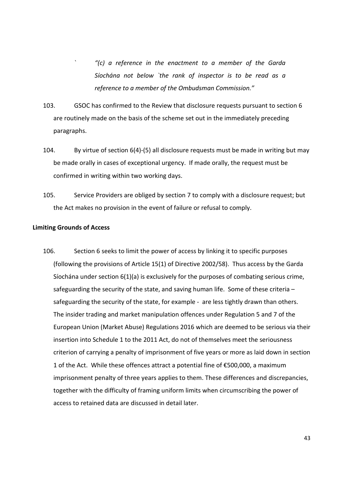$''$ (c) a reference in the enactment to a member of the Garda Síochána not below `the rank of inspector is to be read as a reference to a member of the Ombudsman Commission."

- 103. GSOC has confirmed to the Review that disclosure requests pursuant to section 6 are routinely made on the basis of the scheme set out in the immediately preceding paragraphs.
- 104. By virtue of section 6(4)-(5) all disclosure requests must be made in writing but may be made orally in cases of exceptional urgency. If made orally, the request must be confirmed in writing within two working days.
- 105. Service Providers are obliged by section 7 to comply with a disclosure request; but the Act makes no provision in the event of failure or refusal to comply.

#### Limiting Grounds of Access

106. Section 6 seeks to limit the power of access by linking it to specific purposes (following the provisions of Article 15(1) of Directive 2002/58). Thus access by the Garda Síochána under section 6(1)(a) is exclusively for the purposes of combating serious crime, safeguarding the security of the state, and saving human life. Some of these criteria – safeguarding the security of the state, for example - are less tightly drawn than others. The insider trading and market manipulation offences under Regulation 5 and 7 of the European Union (Market Abuse) Regulations 2016 which are deemed to be serious via their insertion into Schedule 1 to the 2011 Act, do not of themselves meet the seriousness criterion of carrying a penalty of imprisonment of five years or more as laid down in section 1 of the Act. While these offences attract a potential fine of €500,000, a maximum imprisonment penalty of three years applies to them. These differences and discrepancies, together with the difficulty of framing uniform limits when circumscribing the power of access to retained data are discussed in detail later.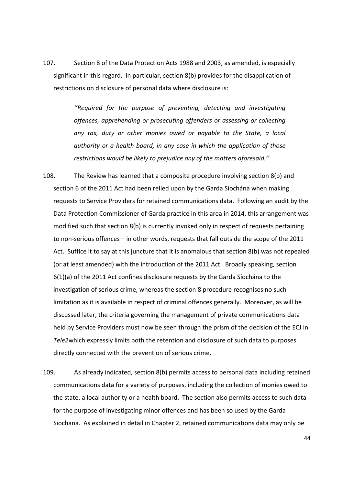107. Section 8 of the Data Protection Acts 1988 and 2003, as amended, is especially significant in this regard. In particular, section 8(b) provides for the disapplication of restrictions on disclosure of personal data where disclosure is:

> ''Required for the purpose of preventing, detecting and investigating offences, apprehending or prosecuting offenders or assessing or collecting any tax, duty or other monies owed or payable to the State, a local authority or a health board, in any case in which the application of those restrictions would be likely to prejudice any of the matters aforesaid.''

- 108. The Review has learned that a composite procedure involving section 8(b) and section 6 of the 2011 Act had been relied upon by the Garda Síochána when making requests to Service Providers for retained communications data. Following an audit by the Data Protection Commissioner of Garda practice in this area in 2014, this arrangement was modified such that section 8(b) is currently invoked only in respect of requests pertaining to non-serious offences – in other words, requests that fall outside the scope of the 2011 Act. Suffice it to say at this juncture that it is anomalous that section 8(b) was not repealed (or at least amended) with the introduction of the 2011 Act. Broadly speaking, section 6(1)(a) of the 2011 Act confines disclosure requests by the Garda Síochána to the investigation of serious crime, whereas the section 8 procedure recognises no such limitation as it is available in respect of criminal offences generally. Moreover, as will be discussed later, the criteria governing the management of private communications data held by Service Providers must now be seen through the prism of the decision of the ECJ in Tele2which expressly limits both the retention and disclosure of such data to purposes directly connected with the prevention of serious crime.
- 109. As already indicated, section 8(b) permits access to personal data including retained communications data for a variety of purposes, including the collection of monies owed to the state, a local authority or a health board. The section also permits access to such data for the purpose of investigating minor offences and has been so used by the Garda Siochana. As explained in detail in Chapter 2, retained communications data may only be

44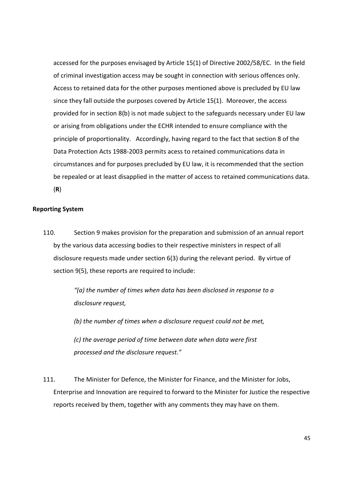accessed for the purposes envisaged by Article 15(1) of Directive 2002/58/EC. In the field of criminal investigation access may be sought in connection with serious offences only. Access to retained data for the other purposes mentioned above is precluded by EU law since they fall outside the purposes covered by Article 15(1). Moreover, the access provided for in section 8(b) is not made subject to the safeguards necessary under EU law or arising from obligations under the ECHR intended to ensure compliance with the principle of proportionality. Accordingly, having regard to the fact that section 8 of the Data Protection Acts 1988-2003 permits acess to retained communications data in circumstances and for purposes precluded by EU law, it is recommended that the section be repealed or at least disapplied in the matter of access to retained communications data. (R)

# Reporting System

110. Section 9 makes provision for the preparation and submission of an annual report by the various data accessing bodies to their respective ministers in respect of all disclosure requests made under section 6(3) during the relevant period. By virtue of section 9(5), these reports are required to include:

> $''(a)$  the number of times when data has been disclosed in response to a disclosure request,

(b) the number of times when a disclosure request could not be met,

(c) the average period of time between date when data were first processed and the disclosure request."

111. The Minister for Defence, the Minister for Finance, and the Minister for Jobs, Enterprise and Innovation are required to forward to the Minister for Justice the respective reports received by them, together with any comments they may have on them.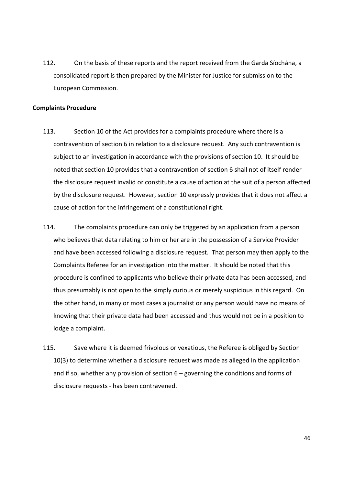112. On the basis of these reports and the report received from the Garda Síochána, a consolidated report is then prepared by the Minister for Justice for submission to the European Commission.

### Complaints Procedure

- 113. Section 10 of the Act provides for a complaints procedure where there is a contravention of section 6 in relation to a disclosure request. Any such contravention is subject to an investigation in accordance with the provisions of section 10. It should be noted that section 10 provides that a contravention of section 6 shall not of itself render the disclosure request invalid or constitute a cause of action at the suit of a person affected by the disclosure request. However, section 10 expressly provides that it does not affect a cause of action for the infringement of a constitutional right.
- 114. The complaints procedure can only be triggered by an application from a person who believes that data relating to him or her are in the possession of a Service Provider and have been accessed following a disclosure request. That person may then apply to the Complaints Referee for an investigation into the matter. It should be noted that this procedure is confined to applicants who believe their private data has been accessed, and thus presumably is not open to the simply curious or merely suspicious in this regard. On the other hand, in many or most cases a journalist or any person would have no means of knowing that their private data had been accessed and thus would not be in a position to lodge a complaint.
- 115. Save where it is deemed frivolous or vexatious, the Referee is obliged by Section 10(3) to determine whether a disclosure request was made as alleged in the application and if so, whether any provision of section 6 – governing the conditions and forms of disclosure requests - has been contravened.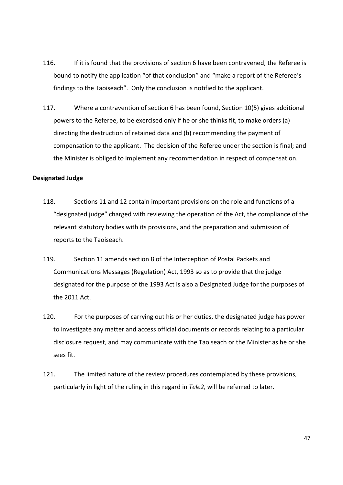- 116. If it is found that the provisions of section 6 have been contravened, the Referee is bound to notify the application "of that conclusion" and "make a report of the Referee's findings to the Taoiseach". Only the conclusion is notified to the applicant.
- 117. Where a contravention of section 6 has been found, Section 10(5) gives additional powers to the Referee, to be exercised only if he or she thinks fit, to make orders (a) directing the destruction of retained data and (b) recommending the payment of compensation to the applicant. The decision of the Referee under the section is final; and the Minister is obliged to implement any recommendation in respect of compensation.

### Designated Judge

- 118. Sections 11 and 12 contain important provisions on the role and functions of a "designated judge" charged with reviewing the operation of the Act, the compliance of the relevant statutory bodies with its provisions, and the preparation and submission of reports to the Taoiseach.
- 119. Section 11 amends section 8 of the Interception of Postal Packets and Communications Messages (Regulation) Act, 1993 so as to provide that the judge designated for the purpose of the 1993 Act is also a Designated Judge for the purposes of the 2011 Act.
- 120. For the purposes of carrying out his or her duties, the designated judge has power to investigate any matter and access official documents or records relating to a particular disclosure request, and may communicate with the Taoiseach or the Minister as he or she sees fit.
- 121. The limited nature of the review procedures contemplated by these provisions, particularly in light of the ruling in this regard in Tele2, will be referred to later.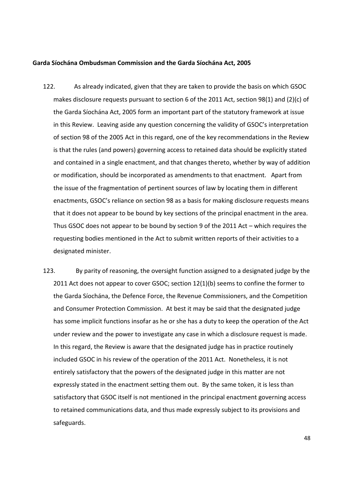#### Garda Síochána Ombudsman Commission and the Garda Síochána Act, 2005

- 122. As already indicated, given that they are taken to provide the basis on which GSOC makes disclosure requests pursuant to section 6 of the 2011 Act, section 98(1) and (2)(c) of the Garda Síochána Act, 2005 form an important part of the statutory framework at issue in this Review. Leaving aside any question concerning the validity of GSOC's interpretation of section 98 of the 2005 Act in this regard, one of the key recommendations in the Review is that the rules (and powers) governing access to retained data should be explicitly stated and contained in a single enactment, and that changes thereto, whether by way of addition or modification, should be incorporated as amendments to that enactment. Apart from the issue of the fragmentation of pertinent sources of law by locating them in different enactments, GSOC's reliance on section 98 as a basis for making disclosure requests means that it does not appear to be bound by key sections of the principal enactment in the area. Thus GSOC does not appear to be bound by section 9 of the 2011 Act – which requires the requesting bodies mentioned in the Act to submit written reports of their activities to a designated minister.
- 123. By parity of reasoning, the oversight function assigned to a designated judge by the 2011 Act does not appear to cover GSOC; section 12(1)(b) seems to confine the former to the Garda Síochána, the Defence Force, the Revenue Commissioners, and the Competition and Consumer Protection Commission. At best it may be said that the designated judge has some implicit functions insofar as he or she has a duty to keep the operation of the Act under review and the power to investigate any case in which a disclosure request is made. In this regard, the Review is aware that the designated judge has in practice routinely included GSOC in his review of the operation of the 2011 Act. Nonetheless, it is not entirely satisfactory that the powers of the designated judge in this matter are not expressly stated in the enactment setting them out. By the same token, it is less than satisfactory that GSOC itself is not mentioned in the principal enactment governing access to retained communications data, and thus made expressly subject to its provisions and safeguards.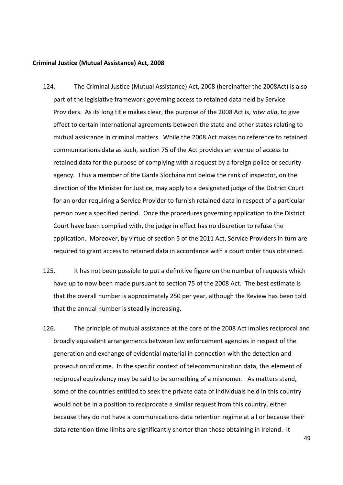#### Criminal Justice (Mutual Assistance) Act, 2008

- 124. The Criminal Justice (Mutual Assistance) Act, 2008 (hereinafter the 2008Act) is also part of the legislative framework governing access to retained data held by Service Providers. As its long title makes clear, the purpose of the 2008 Act is, inter alia, to give effect to certain international agreements between the state and other states relating to mutual assistance in criminal matters. While the 2008 Act makes no reference to retained communications data as such, section 75 of the Act provides an avenue of access to retained data for the purpose of complying with a request by a foreign police or security agency. Thus a member of the Garda Síochána not below the rank of inspector, on the direction of the Minister for Justice, may apply to a designated judge of the District Court for an order requiring a Service Provider to furnish retained data in respect of a particular person over a specified period. Once the procedures governing application to the District Court have been complied with, the judge in effect has no discretion to refuse the application. Moreover, by virtue of section 5 of the 2011 Act, Service Providers in turn are required to grant access to retained data in accordance with a court order thus obtained.
- 125. It has not been possible to put a definitive figure on the number of requests which have up to now been made pursuant to section 75 of the 2008 Act. The best estimate is that the overall number is approximately 250 per year, although the Review has been told that the annual number is steadily increasing.
- 126. The principle of mutual assistance at the core of the 2008 Act implies reciprocal and broadly equivalent arrangements between law enforcement agencies in respect of the generation and exchange of evidential material in connection with the detection and prosecution of crime. In the specific context of telecommunication data, this element of reciprocal equivalency may be said to be something of a misnomer. As matters stand, some of the countries entitled to seek the private data of individuals held in this country would not be in a position to reciprocate a similar request from this country, either because they do not have a communications data retention regime at all or because their data retention time limits are significantly shorter than those obtaining in Ireland. It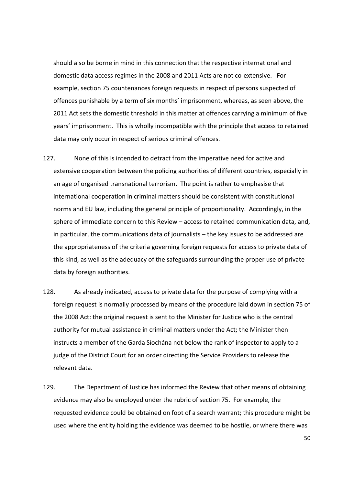should also be borne in mind in this connection that the respective international and domestic data access regimes in the 2008 and 2011 Acts are not co-extensive. For example, section 75 countenances foreign requests in respect of persons suspected of offences punishable by a term of six months' imprisonment, whereas, as seen above, the 2011 Act sets the domestic threshold in this matter at offences carrying a minimum of five years' imprisonment. This is wholly incompatible with the principle that access to retained data may only occur in respect of serious criminal offences.

- 127. None of this is intended to detract from the imperative need for active and extensive cooperation between the policing authorities of different countries, especially in an age of organised transnational terrorism. The point is rather to emphasise that international cooperation in criminal matters should be consistent with constitutional norms and EU law, including the general principle of proportionality. Accordingly, in the sphere of immediate concern to this Review – access to retained communication data, and, in particular, the communications data of journalists – the key issues to be addressed are the appropriateness of the criteria governing foreign requests for access to private data of this kind, as well as the adequacy of the safeguards surrounding the proper use of private data by foreign authorities.
- 128. As already indicated, access to private data for the purpose of complying with a foreign request is normally processed by means of the procedure laid down in section 75 of the 2008 Act: the original request is sent to the Minister for Justice who is the central authority for mutual assistance in criminal matters under the Act; the Minister then instructs a member of the Garda Síochána not below the rank of inspector to apply to a judge of the District Court for an order directing the Service Providers to release the relevant data.
- 129. The Department of Justice has informed the Review that other means of obtaining evidence may also be employed under the rubric of section 75. For example, the requested evidence could be obtained on foot of a search warrant; this procedure might be used where the entity holding the evidence was deemed to be hostile, or where there was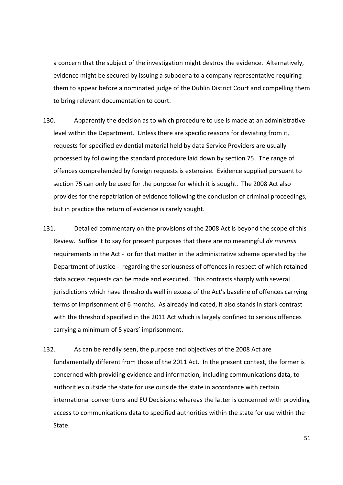a concern that the subject of the investigation might destroy the evidence. Alternatively, evidence might be secured by issuing a subpoena to a company representative requiring them to appear before a nominated judge of the Dublin District Court and compelling them to bring relevant documentation to court.

- 130. Apparently the decision as to which procedure to use is made at an administrative level within the Department. Unless there are specific reasons for deviating from it, requests for specified evidential material held by data Service Providers are usually processed by following the standard procedure laid down by section 75. The range of offences comprehended by foreign requests is extensive. Evidence supplied pursuant to section 75 can only be used for the purpose for which it is sought. The 2008 Act also provides for the repatriation of evidence following the conclusion of criminal proceedings, but in practice the return of evidence is rarely sought.
- 131. Detailed commentary on the provisions of the 2008 Act is beyond the scope of this Review. Suffice it to say for present purposes that there are no meaningful de minimis requirements in the Act - or for that matter in the administrative scheme operated by the Department of Justice - regarding the seriousness of offences in respect of which retained data access requests can be made and executed. This contrasts sharply with several jurisdictions which have thresholds well in excess of the Act's baseline of offences carrying terms of imprisonment of 6 months. As already indicated, it also stands in stark contrast with the threshold specified in the 2011 Act which is largely confined to serious offences carrying a minimum of 5 years' imprisonment.
- 132. As can be readily seen, the purpose and objectives of the 2008 Act are fundamentally different from those of the 2011 Act. In the present context, the former is concerned with providing evidence and information, including communications data, to authorities outside the state for use outside the state in accordance with certain international conventions and EU Decisions; whereas the latter is concerned with providing access to communications data to specified authorities within the state for use within the State.

51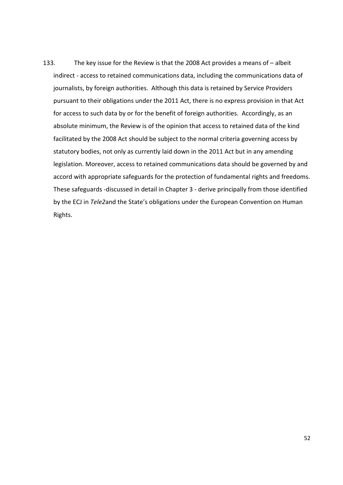133. The key issue for the Review is that the 2008 Act provides a means of – albeit indirect - access to retained communications data, including the communications data of journalists, by foreign authorities. Although this data is retained by Service Providers pursuant to their obligations under the 2011 Act, there is no express provision in that Act for access to such data by or for the benefit of foreign authorities. Accordingly, as an absolute minimum, the Review is of the opinion that access to retained data of the kind facilitated by the 2008 Act should be subject to the normal criteria governing access by statutory bodies, not only as currently laid down in the 2011 Act but in any amending legislation. Moreover, access to retained communications data should be governed by and accord with appropriate safeguards for the protection of fundamental rights and freedoms. These safeguards -discussed in detail in Chapter 3 - derive principally from those identified by the ECJ in Tele2and the State's obligations under the European Convention on Human Rights.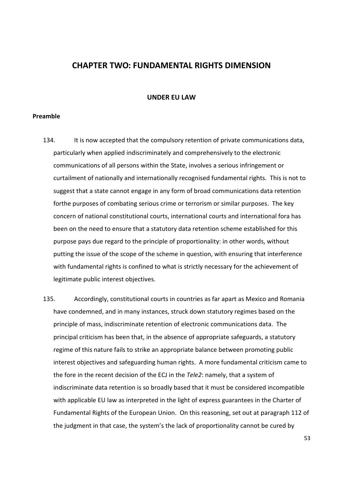# CHAPTER TWO: FUNDAMENTAL RIGHTS DIMENSION

### UNDER EU LAW

#### Preamble

- 134. It is now accepted that the compulsory retention of private communications data, particularly when applied indiscriminately and comprehensively to the electronic communications of all persons within the State, involves a serious infringement or curtailment of nationally and internationally recognised fundamental rights. This is not to suggest that a state cannot engage in any form of broad communications data retention forthe purposes of combating serious crime or terrorism or similar purposes. The key concern of national constitutional courts, international courts and international fora has been on the need to ensure that a statutory data retention scheme established for this purpose pays due regard to the principle of proportionality: in other words, without putting the issue of the scope of the scheme in question, with ensuring that interference with fundamental rights is confined to what is strictly necessary for the achievement of legitimate public interest objectives.
- 135. Accordingly, constitutional courts in countries as far apart as Mexico and Romania have condemned, and in many instances, struck down statutory regimes based on the principle of mass, indiscriminate retention of electronic communications data. The principal criticism has been that, in the absence of appropriate safeguards, a statutory regime of this nature fails to strike an appropriate balance between promoting public interest objectives and safeguarding human rights. A more fundamental criticism came to the fore in the recent decision of the ECJ in the Tele2: namely, that a system of indiscriminate data retention is so broadly based that it must be considered incompatible with applicable EU law as interpreted in the light of express guarantees in the Charter of Fundamental Rights of the European Union. On this reasoning, set out at paragraph 112 of the judgment in that case, the system's the lack of proportionality cannot be cured by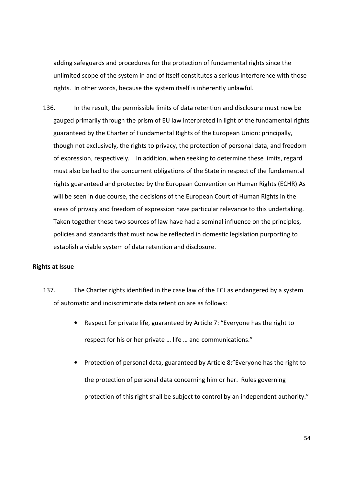adding safeguards and procedures for the protection of fundamental rights since the unlimited scope of the system in and of itself constitutes a serious interference with those rights. In other words, because the system itself is inherently unlawful.

136. In the result, the permissible limits of data retention and disclosure must now be gauged primarily through the prism of EU law interpreted in light of the fundamental rights guaranteed by the Charter of Fundamental Rights of the European Union: principally, though not exclusively, the rights to privacy, the protection of personal data, and freedom of expression, respectively. In addition, when seeking to determine these limits, regard must also be had to the concurrent obligations of the State in respect of the fundamental rights guaranteed and protected by the European Convention on Human Rights (ECHR).As will be seen in due course, the decisions of the European Court of Human Rights in the areas of privacy and freedom of expression have particular relevance to this undertaking. Taken together these two sources of law have had a seminal influence on the principles, policies and standards that must now be reflected in domestic legislation purporting to establish a viable system of data retention and disclosure.

### Rights at Issue

- 137. The Charter rights identified in the case law of the ECJ as endangered by a system of automatic and indiscriminate data retention are as follows:
	- Respect for private life, guaranteed by Article 7: "Everyone has the right to respect for his or her private … life … and communications."
	- Protection of personal data, guaranteed by Article 8:"Everyone has the right to the protection of personal data concerning him or her. Rules governing protection of this right shall be subject to control by an independent authority."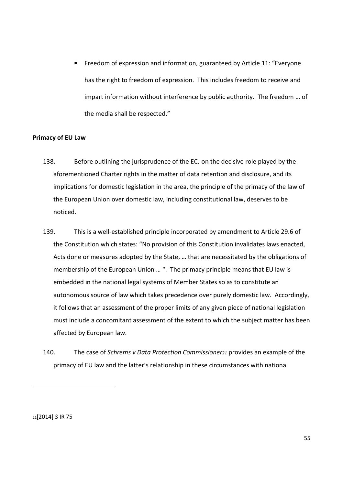• Freedom of expression and information, guaranteed by Article 11: "Everyone has the right to freedom of expression. This includes freedom to receive and impart information without interference by public authority. The freedom … of the media shall be respected."

# Primacy of EU Law

- 138. Before outlining the jurisprudence of the ECJ on the decisive role played by the aforementioned Charter rights in the matter of data retention and disclosure, and its implications for domestic legislation in the area, the principle of the primacy of the law of the European Union over domestic law, including constitutional law, deserves to be noticed.
- 139. This is a well-established principle incorporated by amendment to Article 29.6 of the Constitution which states: "No provision of this Constitution invalidates laws enacted, Acts done or measures adopted by the State, … that are necessitated by the obligations of membership of the European Union … ". The primacy principle means that EU law is embedded in the national legal systems of Member States so as to constitute an autonomous source of law which takes precedence over purely domestic law. Accordingly, it follows that an assessment of the proper limits of any given piece of national legislation must include a concomitant assessment of the extent to which the subject matter has been affected by European law.
- 140. The case of Schrems v Data Protection Commissioner<sub>21</sub> provides an example of the primacy of EU law and the latter's relationship in these circumstances with national

21[2014] 3 IR 75

l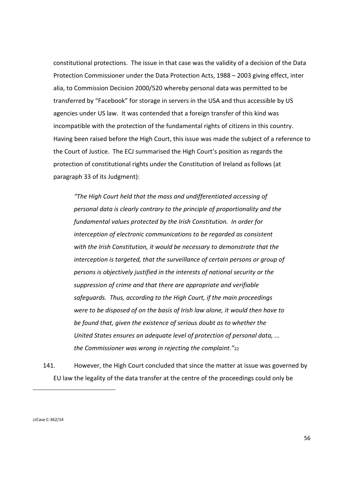constitutional protections. The issue in that case was the validity of a decision of the Data Protection Commissioner under the Data Protection Acts, 1988 – 2003 giving effect, inter alia, to Commission Decision 2000/520 whereby personal data was permitted to be transferred by "Facebook" for storage in servers in the USA and thus accessible by US agencies under US law. It was contended that a foreign transfer of this kind was incompatible with the protection of the fundamental rights of citizens in this country. Having been raised before the High Court, this issue was made the subject of a reference to the Court of Justice. The ECJ summarised the High Court's position as regards the protection of constitutional rights under the Constitution of Ireland as follows (at paragraph 33 of its Judgment):

"The High Court held that the mass and undifferentiated accessing of personal data is clearly contrary to the principle of proportionality and the fundamental values protected by the Irish Constitution. In order for interception of electronic communications to be regarded as consistent with the Irish Constitution, it would be necessary to demonstrate that the interception is targeted, that the surveillance of certain persons or group of persons is objectively justified in the interests of national security or the suppression of crime and that there are appropriate and verifiable safeguards. Thus, according to the High Court, if the main proceedings were to be disposed of on the basis of Irish law alone, it would then have to be found that, given the existence of serious doubt as to whether the United States ensures an adequate level of protection of personal data, ... the Commissioner was wrong in rejecting the complaint."22

141. However, the High Court concluded that since the matter at issue was governed by EU law the legality of the data transfer at the centre of the proceedings could only be

22Case C-362/14

 $\overline{a}$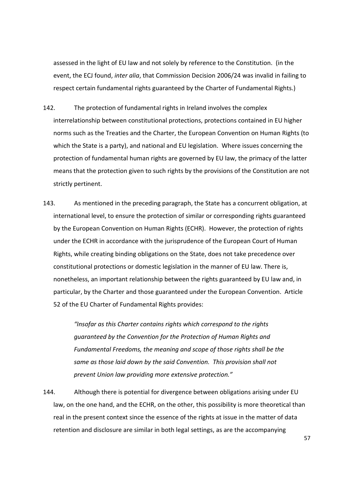assessed in the light of EU law and not solely by reference to the Constitution. (in the event, the ECJ found, *inter alia*, that Commission Decision 2006/24 was invalid in failing to respect certain fundamental rights guaranteed by the Charter of Fundamental Rights.)

- 142. The protection of fundamental rights in Ireland involves the complex interrelationship between constitutional protections, protections contained in EU higher norms such as the Treaties and the Charter, the European Convention on Human Rights (to which the State is a party), and national and EU legislation. Where issues concerning the protection of fundamental human rights are governed by EU law, the primacy of the latter means that the protection given to such rights by the provisions of the Constitution are not strictly pertinent.
- 143. As mentioned in the preceding paragraph, the State has a concurrent obligation, at international level, to ensure the protection of similar or corresponding rights guaranteed by the European Convention on Human Rights (ECHR). However, the protection of rights under the ECHR in accordance with the jurisprudence of the European Court of Human Rights, while creating binding obligations on the State, does not take precedence over constitutional protections or domestic legislation in the manner of EU law. There is, nonetheless, an important relationship between the rights guaranteed by EU law and, in particular, by the Charter and those guaranteed under the European Convention. Article 52 of the EU Charter of Fundamental Rights provides:

"Insofar as this Charter contains rights which correspond to the rights guaranteed by the Convention for the Protection of Human Rights and Fundamental Freedoms, the meaning and scope of those rights shall be the same as those laid down by the said Convention. This provision shall not prevent Union law providing more extensive protection."

144. Although there is potential for divergence between obligations arising under EU law, on the one hand, and the ECHR, on the other, this possibility is more theoretical than real in the present context since the essence of the rights at issue in the matter of data retention and disclosure are similar in both legal settings, as are the accompanying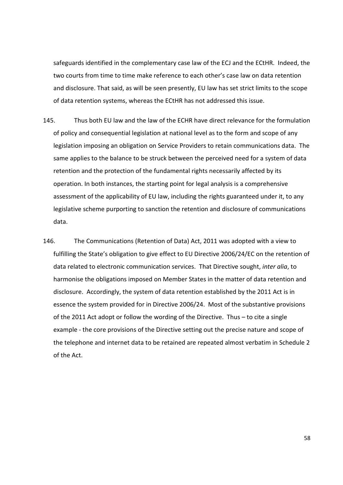safeguards identified in the complementary case law of the ECJ and the ECtHR. Indeed, the two courts from time to time make reference to each other's case law on data retention and disclosure. That said, as will be seen presently, EU law has set strict limits to the scope of data retention systems, whereas the ECtHR has not addressed this issue.

- 145. Thus both EU law and the law of the ECHR have direct relevance for the formulation of policy and consequential legislation at national level as to the form and scope of any legislation imposing an obligation on Service Providers to retain communications data. The same applies to the balance to be struck between the perceived need for a system of data retention and the protection of the fundamental rights necessarily affected by its operation. In both instances, the starting point for legal analysis is a comprehensive assessment of the applicability of EU law, including the rights guaranteed under it, to any legislative scheme purporting to sanction the retention and disclosure of communications data.
- 146. The Communications (Retention of Data) Act, 2011 was adopted with a view to fulfilling the State's obligation to give effect to EU Directive 2006/24/EC on the retention of data related to electronic communication services. That Directive sought, inter alia, to harmonise the obligations imposed on Member States in the matter of data retention and disclosure. Accordingly, the system of data retention established by the 2011 Act is in essence the system provided for in Directive 2006/24. Most of the substantive provisions of the 2011 Act adopt or follow the wording of the Directive. Thus – to cite a single example - the core provisions of the Directive setting out the precise nature and scope of the telephone and internet data to be retained are repeated almost verbatim in Schedule 2 of the Act.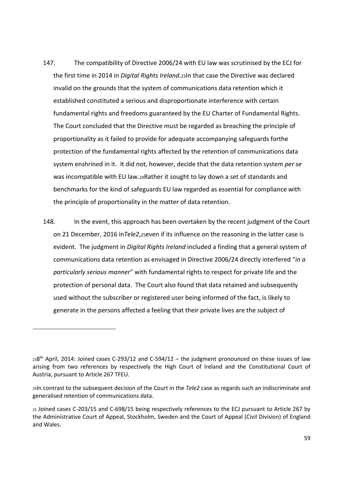- 147. The compatibility of Directive 2006/24 with EU law was scrutinised by the ECJ for the first time in 2014 in Digital Rights Ireland.23In that case the Directive was declared invalid on the grounds that the system of communications data retention which it established constituted a serious and disproportionate interference with certain fundamental rights and freedoms guaranteed by the EU Charter of Fundamental Rights. The Court concluded that the Directive must be regarded as breaching the principle of proportionality as it failed to provide for adequate accompanying safeguards forthe protection of the fundamental rights affected by the retention of communications data system enshrined in it. It did not, however, decide that the data retention system per se was incompatible with EU law.24Rather it sought to lay down a set of standards and benchmarks for the kind of safeguards EU law regarded as essential for compliance with the principle of proportionality in the matter of data retention.
- 148. In the event, this approach has been overtaken by the recent judgment of the Court on 21 December, 2016 in Tele2, 25 even if its influence on the reasoning in the latter case is evident. The judgment in Digital Rights Ireland included a finding that a general system of communications data retention as envisaged in Directive 2006/24 directly interfered "in a particularly serious manner" with fundamental rights to respect for private life and the protection of personal data. The Court also found that data retained and subsequently used without the subscriber or registered user being informed of the fact, is likely to generate in the persons affected a feeling that their private lives are the subject of

l

 $_{23}8^{\text{th}}$  April, 2014: Joined cases C-293/12 and C-594/12 – the judgment pronounced on these issues of law arising from two references by respectively the High Court of Ireland and the Constitutional Court of Austria, pursuant to Article 267 TFEU.

<sup>24</sup>In contrast to the subsequent decision of the Court in the Tele2 case as regards such an indiscriminate and generalised retention of communications data.

<sup>25</sup> Joined cases C-203/15 and C-698/15 being respectively references to the ECJ pursuant to Article 267 by the Administrative Court of Appeal, Stockholm, Sweden and the Court of Appeal (Civil Division) of England and Wales.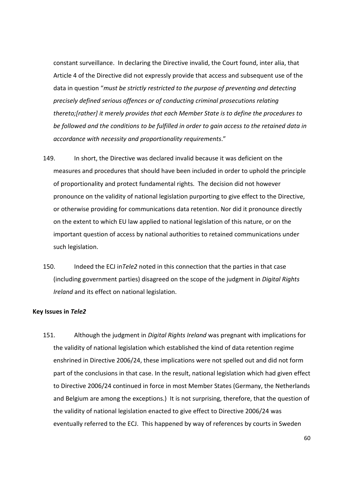constant surveillance. In declaring the Directive invalid, the Court found, inter alia, that Article 4 of the Directive did not expressly provide that access and subsequent use of the data in question "must be strictly restricted to the purpose of preventing and detecting precisely defined serious offences or of conducting criminal prosecutions relating thereto;[rather] it merely provides that each Member State is to define the procedures to be followed and the conditions to be fulfilled in order to gain access to the retained data in accordance with necessity and proportionality requirements."

- 149. In short, the Directive was declared invalid because it was deficient on the measures and procedures that should have been included in order to uphold the principle of proportionality and protect fundamental rights. The decision did not however pronounce on the validity of national legislation purporting to give effect to the Directive, or otherwise providing for communications data retention. Nor did it pronounce directly on the extent to which EU law applied to national legislation of this nature, or on the important question of access by national authorities to retained communications under such legislation.
- 150. Indeed the ECJ inTele2 noted in this connection that the parties in that case (including government parties) disagreed on the scope of the judgment in Digital Rights Ireland and its effect on national legislation.

### Key Issues in Tele2

151. Although the judgment in Digital Rights Ireland was pregnant with implications for the validity of national legislation which established the kind of data retention regime enshrined in Directive 2006/24, these implications were not spelled out and did not form part of the conclusions in that case. In the result, national legislation which had given effect to Directive 2006/24 continued in force in most Member States (Germany, the Netherlands and Belgium are among the exceptions.) It is not surprising, therefore, that the question of the validity of national legislation enacted to give effect to Directive 2006/24 was eventually referred to the ECJ. This happened by way of references by courts in Sweden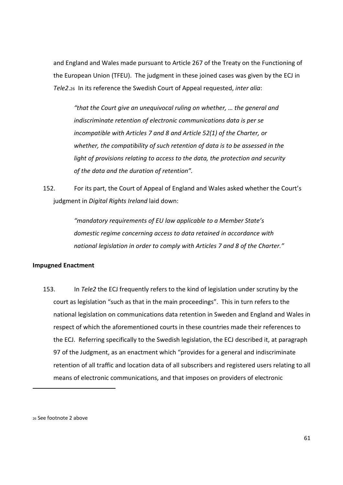and England and Wales made pursuant to Article 267 of the Treaty on the Functioning of the European Union (TFEU). The judgment in these joined cases was given by the ECJ in Tele2.26 In its reference the Swedish Court of Appeal requested, inter alia:

"that the Court give an unequivocal ruling on whether, … the general and indiscriminate retention of electronic communications data is per se incompatible with Articles 7 and 8 and Article 52(1) of the Charter, or whether, the compatibility of such retention of data is to be assessed in the light of provisions relating to access to the data, the protection and security of the data and the duration of retention".

152. For its part, the Court of Appeal of England and Wales asked whether the Court's judgment in Digital Rights Ireland laid down:

> "mandatory requirements of EU law applicable to a Member State's domestic regime concerning access to data retained in accordance with national legislation in order to comply with Articles 7 and 8 of the Charter."

### Impugned Enactment

153. In Tele2 the ECJ frequently refers to the kind of legislation under scrutiny by the court as legislation "such as that in the main proceedings". This in turn refers to the national legislation on communications data retention in Sweden and England and Wales in respect of which the aforementioned courts in these countries made their references to the ECJ. Referring specifically to the Swedish legislation, the ECJ described it, at paragraph 97 of the Judgment, as an enactment which "provides for a general and indiscriminate retention of all traffic and location data of all subscribers and registered users relating to all means of electronic communications, and that imposes on providers of electronic

26 See footnote 2 above

l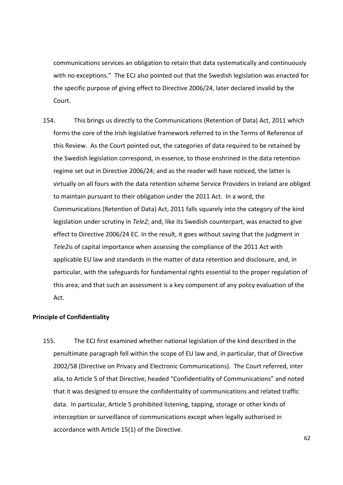communications services an obligation to retain that data systematically and continuously with no exceptions." The ECJ also pointed out that the Swedish legislation was enacted for the specific purpose of giving effect to Directive 2006/24, later declared invalid by the Court.

154. This brings us directly to the Communications (Retention of Data) Act, 2011 which forms the core of the Irish legislative framework referred to in the Terms of Reference of this Review. As the Court pointed out, the categories of data required to be retained by the Swedish legislation correspond, in essence, to those enshrined in the data retention regime set out in Directive 2006/24; and as the reader will have noticed, the latter is virtually on all fours with the data retention scheme Service Providers in Ireland are obliged to maintain pursuant to their obligation under the 2011 Act. In a word, the Communications (Retention of Data) Act, 2011 falls squarely into the category of the kind legislation under scrutiny in Tele2; and, like its Swedish counterpart, was enacted to give effect to Directive 2006/24 EC. In the result, it goes without saying that the judgment in Tele2is of capital importance when assessing the compliance of the 2011 Act with applicable EU law and standards in the matter of data retention and disclosure, and, in particular, with the safeguards for fundamental rights essential to the proper regulation of this area; and that such an assessment is a key component of any policy evaluation of the Act.

### Principle of Confidentiality

155. The ECJ first examined whether national legislation of the kind described in the penultimate paragraph fell within the scope of EU law and, in particular, that of Directive 2002/58 (Directive on Privacy and Electronic Communications). The Court referred, inter alia, to Article 5 of that Directive, headed "Confidentiality of Communications" and noted that it was designed to ensure the confidentiality of communications and related traffic data. In particular, Article 5 prohibited listening, tapping, storage or other kinds of interception or surveillance of communications except when legally authorised in accordance with Article 15(1) of the Directive.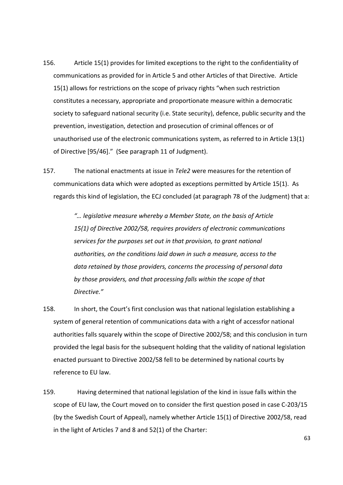- 156. Article 15(1) provides for limited exceptions to the right to the confidentiality of communications as provided for in Article 5 and other Articles of that Directive. Article 15(1) allows for restrictions on the scope of privacy rights "when such restriction constitutes a necessary, appropriate and proportionate measure within a democratic society to safeguard national security (i.e. State security), defence, public security and the prevention, investigation, detection and prosecution of criminal offences or of unauthorised use of the electronic communications system, as referred to in Article 13(1) of Directive [95/46]." (See paragraph 11 of Judgment).
- 157. The national enactments at issue in Tele2 were measures for the retention of communications data which were adopted as exceptions permitted by Article 15(1). As regards this kind of legislation, the ECJ concluded (at paragraph 78 of the Judgment) that a:

"… legislative measure whereby a Member State, on the basis of Article 15(1) of Directive 2002/58, requires providers of electronic communications services for the purposes set out in that provision, to grant national authorities, on the conditions laid down in such a measure, access to the data retained by those providers, concerns the processing of personal data by those providers, and that processing falls within the scope of that Directive."

- 158. In short, the Court's first conclusion was that national legislation establishing a system of general retention of communications data with a right of accessfor national authorities falls squarely within the scope of Directive 2002/58; and this conclusion in turn provided the legal basis for the subsequent holding that the validity of national legislation enacted pursuant to Directive 2002/58 fell to be determined by national courts by reference to EU law.
- 159. Having determined that national legislation of the kind in issue falls within the scope of EU law, the Court moved on to consider the first question posed in case C-203/15 (by the Swedish Court of Appeal), namely whether Article 15(1) of Directive 2002/58, read in the light of Articles 7 and 8 and 52(1) of the Charter: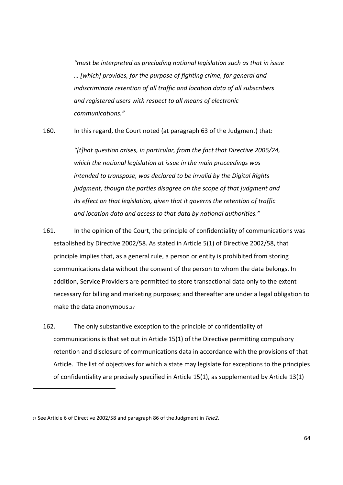"must be interpreted as precluding national legislation such as that in issue … [which] provides, for the purpose of fighting crime, for general and indiscriminate retention of all traffic and location data of all subscribers and registered users with respect to all means of electronic communications."

160. In this regard, the Court noted (at paragraph 63 of the Judgment) that:

"[t]hat question arises, in particular, from the fact that Directive 2006/24, which the national legislation at issue in the main proceedings was intended to transpose, was declared to be invalid by the Digital Rights judgment, though the parties disagree on the scope of that judgment and its effect on that legislation, given that it governs the retention of traffic and location data and access to that data by national authorities."

- 161. In the opinion of the Court, the principle of confidentiality of communications was established by Directive 2002/58. As stated in Article 5(1) of Directive 2002/58, that principle implies that, as a general rule, a person or entity is prohibited from storing communications data without the consent of the person to whom the data belongs. In addition, Service Providers are permitted to store transactional data only to the extent necessary for billing and marketing purposes; and thereafter are under a legal obligation to make the data anonymous.<sup>27</sup>
- 162. The only substantive exception to the principle of confidentiality of communications is that set out in Article 15(1) of the Directive permitting compulsory retention and disclosure of communications data in accordance with the provisions of that Article. The list of objectives for which a state may legislate for exceptions to the principles of confidentiality are precisely specified in Article 15(1), as supplemented by Article 13(1)

l

<sup>27</sup> See Article 6 of Directive 2002/58 and paragraph 86 of the Judgment in Tele2.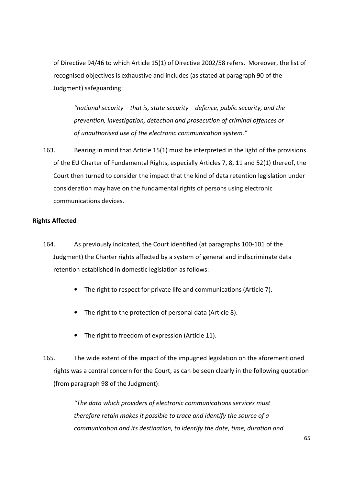of Directive 94/46 to which Article 15(1) of Directive 2002/58 refers. Moreover, the list of recognised objectives is exhaustive and includes (as stated at paragraph 90 of the Judgment) safeguarding:

"national security – that is, state security – defence, public security, and the prevention, investigation, detection and prosecution of criminal offences or of unauthorised use of the electronic communication system."

163. Bearing in mind that Article 15(1) must be interpreted in the light of the provisions of the EU Charter of Fundamental Rights, especially Articles 7, 8, 11 and 52(1) thereof, the Court then turned to consider the impact that the kind of data retention legislation under consideration may have on the fundamental rights of persons using electronic communications devices.

# Rights Affected

- 164. As previously indicated, the Court identified (at paragraphs 100-101 of the Judgment) the Charter rights affected by a system of general and indiscriminate data retention established in domestic legislation as follows:
	- The right to respect for private life and communications (Article 7).
	- The right to the protection of personal data (Article 8).
	- The right to freedom of expression (Article 11).
- 165. The wide extent of the impact of the impugned legislation on the aforementioned rights was a central concern for the Court, as can be seen clearly in the following quotation (from paragraph 98 of the Judgment):

"The data which providers of electronic communications services must therefore retain makes it possible to trace and identify the source of a communication and its destination, to identify the date, time, duration and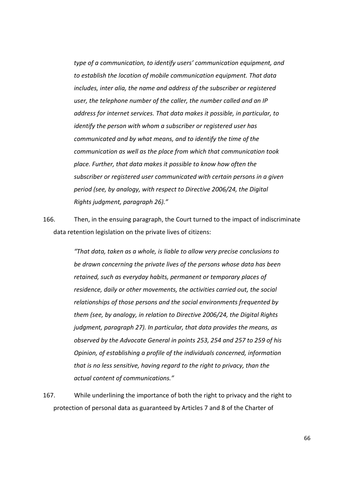type of a communication, to identify users' communication equipment, and to establish the location of mobile communication equipment. That data includes, inter alia, the name and address of the subscriber or registered user, the telephone number of the caller, the number called and an IP address for internet services. That data makes it possible, in particular, to identify the person with whom a subscriber or registered user has communicated and by what means, and to identify the time of the communication as well as the place from which that communication took place. Further, that data makes it possible to know how often the subscriber or registered user communicated with certain persons in a given period (see, by analogy, with respect to Directive 2006/24, the Digital Rights judgment, paragraph 26)."

166. Then, in the ensuing paragraph, the Court turned to the impact of indiscriminate data retention legislation on the private lives of citizens:

> "That data, taken as a whole, is liable to allow very precise conclusions to be drawn concerning the private lives of the persons whose data has been retained, such as everyday habits, permanent or temporary places of residence, daily or other movements, the activities carried out, the social relationships of those persons and the social environments frequented by them (see, by analogy, in relation to Directive 2006/24, the Digital Rights judgment, paragraph 27). In particular, that data provides the means, as observed by the Advocate General in points 253, 254 and 257 to 259 of his Opinion, of establishing a profile of the individuals concerned, information that is no less sensitive, having regard to the right to privacy, than the actual content of communications."

167. While underlining the importance of both the right to privacy and the right to protection of personal data as guaranteed by Articles 7 and 8 of the Charter of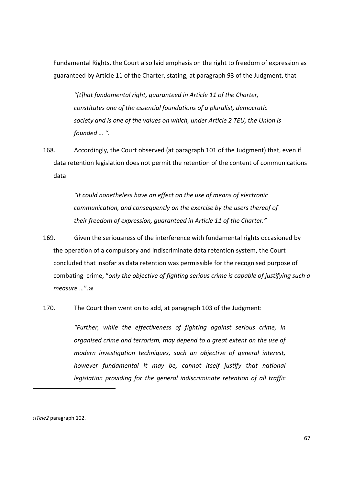Fundamental Rights, the Court also laid emphasis on the right to freedom of expression as guaranteed by Article 11 of the Charter, stating, at paragraph 93 of the Judgment, that

"[t]hat fundamental right, guaranteed in Article 11 of the Charter, constitutes one of the essential foundations of a pluralist, democratic society and is one of the values on which, under Article 2 TEU, the Union is founded … ".

168. Accordingly, the Court observed (at paragraph 101 of the Judgment) that, even if data retention legislation does not permit the retention of the content of communications data

> "it could nonetheless have an effect on the use of means of electronic communication, and consequently on the exercise by the users thereof of their freedom of expression, guaranteed in Article 11 of the Charter."

169. Given the seriousness of the interference with fundamental rights occasioned by the operation of a compulsory and indiscriminate data retention system, the Court concluded that insofar as data retention was permissible for the recognised purpose of combating crime, "only the objective of fighting serious crime is capable of justifying such a measure …".<sup>28</sup>

170. The Court then went on to add, at paragraph 103 of the Judgment:

"Further, while the effectiveness of fighting against serious crime, in organised crime and terrorism, may depend to a great extent on the use of modern investigation techniques, such an objective of general interest, however fundamental it may be, cannot itself justify that national legislation providing for the general indiscriminate retention of all traffic

28Tele2 paragraph 102.

l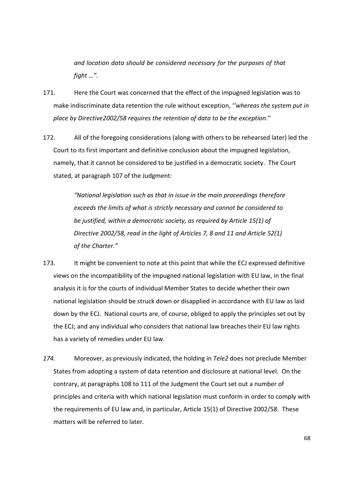and location data should be considered necessary for the purposes of that fight …".

- 171. Here the Court was concerned that the effect of the impugned legislation was to make indiscriminate data retention the rule without exception, "whereas the system put in place by Directive2002/58 requires the retention of data to be the exception.''
- 172. All of the foregoing considerations (along with others to be rehearsed later) led the Court to its first important and definitive conclusion about the impugned legislation, namely, that it cannot be considered to be justified in a democratic society. The Court stated, at paragraph 107 of the Judgment:

"National legislation such as that in issue in the main proceedings therefore exceeds the limits of what is strictly necessary and cannot be considered to be justified, within a democratic society, as required by Article 15(1) of Directive 2002/58, read in the light of Articles 7, 8 and 11 and Article 52(1) of the Charter."

- 173. It might be convenient to note at this point that while the ECJ expressed definitive views on the incompatibility of the impugned national legislation with EU law, in the final analysis it is for the courts of individual Member States to decide whether their own national legislation should be struck down or disapplied in accordance with EU law as laid down by the ECJ. National courts are, of course, obliged to apply the principles set out by the ECJ; and any individual who considers that national law breaches their EU law rights has a variety of remedies under EU law.
- 174. Moreover, as previously indicated, the holding in Tele2 does not preclude Member States from adopting a system of data retention and disclosure at national level. On the contrary, at paragraphs 108 to 111 of the Judgment the Court set out a number of principles and criteria with which national legislation must conform in order to comply with the requirements of EU law and, in particular, Article 15(1) of Directive 2002/58. These matters will be referred to later.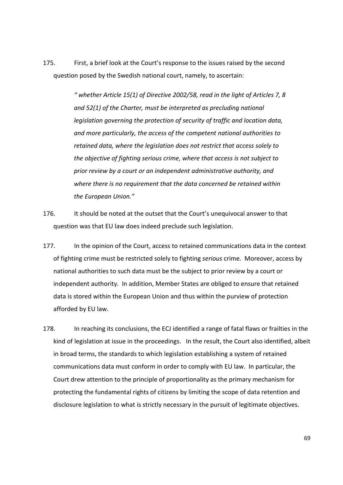175. First, a brief look at the Court's response to the issues raised by the second question posed by the Swedish national court, namely, to ascertain:

> " whether Article 15(1) of Directive 2002/58, read in the light of Articles 7, 8 and 52(1) of the Charter, must be interpreted as precluding national legislation governing the protection of security of traffic and location data, and more particularly, the access of the competent national authorities to retained data, where the legislation does not restrict that access solely to the objective of fighting serious crime, where that access is not subject to prior review by a court or an independent administrative authority, and where there is no requirement that the data concerned be retained within the European Union."

- 176. It should be noted at the outset that the Court's unequivocal answer to that question was that EU law does indeed preclude such legislation.
- 177. In the opinion of the Court, access to retained communications data in the context of fighting crime must be restricted solely to fighting serious crime. Moreover, access by national authorities to such data must be the subject to prior review by a court or independent authority. In addition, Member States are obliged to ensure that retained data is stored within the European Union and thus within the purview of protection afforded by EU law.
- 178. In reaching its conclusions, the ECJ identified a range of fatal flaws or frailties in the kind of legislation at issue in the proceedings. In the result, the Court also identified, albeit in broad terms, the standards to which legislation establishing a system of retained communications data must conform in order to comply with EU law. In particular, the Court drew attention to the principle of proportionality as the primary mechanism for protecting the fundamental rights of citizens by limiting the scope of data retention and disclosure legislation to what is strictly necessary in the pursuit of legitimate objectives.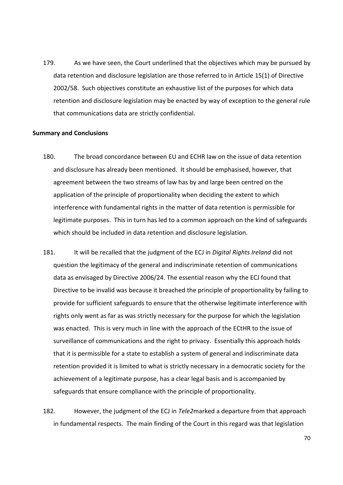179. As we have seen, the Court underlined that the objectives which may be pursued by data retention and disclosure legislation are those referred to in Article 15(1) of Directive 2002/58. Such objectives constitute an exhaustive list of the purposes for which data retention and disclosure legislation may be enacted by way of exception to the general rule that communications data are strictly confidential.

#### Summary and Conclusions

- 180. The broad concordance between EU and ECHR law on the issue of data retention and disclosure has already been mentioned. It should be emphasised, however, that agreement between the two streams of law has by and large been centred on the application of the principle of proportionality when deciding the extent to which interference with fundamental rights in the matter of data retention is permissible for legitimate purposes. This in turn has led to a common approach on the kind of safeguards which should be included in data retention and disclosure legislation.
- 181. It will be recalled that the judgment of the ECJ in Digital Rights Ireland did not question the legitimacy of the general and indiscriminate retention of communications data as envisaged by Directive 2006/24. The essential reason why the ECJ found that Directive to be invalid was because it breached the principle of proportionality by failing to provide for sufficient safeguards to ensure that the otherwise legitimate interference with rights only went as far as was strictly necessary for the purpose for which the legislation was enacted. This is very much in line with the approach of the ECtHR to the issue of surveillance of communications and the right to privacy. Essentially this approach holds that it is permissible for a state to establish a system of general and indiscriminate data retention provided it is limited to what is strictly necessary in a democratic society for the achievement of a legitimate purpose, has a clear legal basis and is accompanied by safeguards that ensure compliance with the principle of proportionality.
- 182. However, the judgment of the ECJ in Tele2marked a departure from that approach in fundamental respects. The main finding of the Court in this regard was that legislation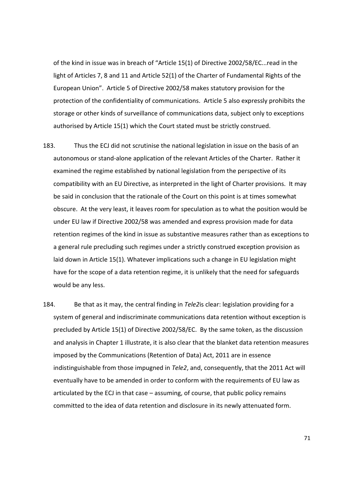of the kind in issue was in breach of "Article 15(1) of Directive 2002/58/EC...read in the light of Articles 7, 8 and 11 and Article 52(1) of the Charter of Fundamental Rights of the European Union". Article 5 of Directive 2002/58 makes statutory provision for the protection of the confidentiality of communications. Article 5 also expressly prohibits the storage or other kinds of surveillance of communications data, subject only to exceptions authorised by Article 15(1) which the Court stated must be strictly construed.

- 183. Thus the ECJ did not scrutinise the national legislation in issue on the basis of an autonomous or stand-alone application of the relevant Articles of the Charter. Rather it examined the regime established by national legislation from the perspective of its compatibility with an EU Directive, as interpreted in the light of Charter provisions. It may be said in conclusion that the rationale of the Court on this point is at times somewhat obscure. At the very least, it leaves room for speculation as to what the position would be under EU law if Directive 2002/58 was amended and express provision made for data retention regimes of the kind in issue as substantive measures rather than as exceptions to a general rule precluding such regimes under a strictly construed exception provision as laid down in Article 15(1). Whatever implications such a change in EU legislation might have for the scope of a data retention regime, it is unlikely that the need for safeguards would be any less.
- 184. Be that as it may, the central finding in Tele2is clear: legislation providing for a system of general and indiscriminate communications data retention without exception is precluded by Article 15(1) of Directive 2002/58/EC. By the same token, as the discussion and analysis in Chapter 1 illustrate, it is also clear that the blanket data retention measures imposed by the Communications (Retention of Data) Act, 2011 are in essence indistinguishable from those impugned in Tele2, and, consequently, that the 2011 Act will eventually have to be amended in order to conform with the requirements of EU law as articulated by the ECJ in that case – assuming, of course, that public policy remains committed to the idea of data retention and disclosure in its newly attenuated form.

71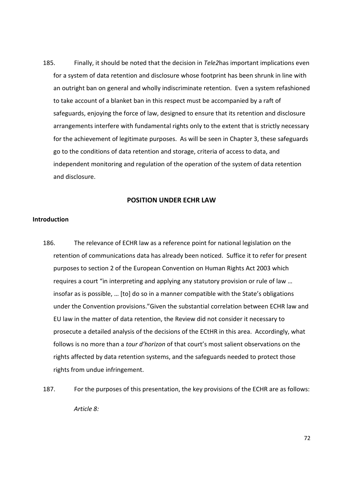185. Finally, it should be noted that the decision in Tele2has important implications even for a system of data retention and disclosure whose footprint has been shrunk in line with an outright ban on general and wholly indiscriminate retention. Even a system refashioned to take account of a blanket ban in this respect must be accompanied by a raft of safeguards, enjoying the force of law, designed to ensure that its retention and disclosure arrangements interfere with fundamental rights only to the extent that is strictly necessary for the achievement of legitimate purposes. As will be seen in Chapter 3, these safeguards go to the conditions of data retention and storage, criteria of access to data, and independent monitoring and regulation of the operation of the system of data retention and disclosure.

# POSITION UNDER ECHR LAW

### Introduction

- 186. The relevance of ECHR law as a reference point for national legislation on the retention of communications data has already been noticed. Suffice it to refer for present purposes to section 2 of the European Convention on Human Rights Act 2003 which requires a court "in interpreting and applying any statutory provision or rule of law … insofar as is possible, … [to] do so in a manner compatible with the State's obligations under the Convention provisions."Given the substantial correlation between ECHR law and EU law in the matter of data retention, the Review did not consider it necessary to prosecute a detailed analysis of the decisions of the ECtHR in this area. Accordingly, what follows is no more than a *tour d'horizon* of that court's most salient observations on the rights affected by data retention systems, and the safeguards needed to protect those rights from undue infringement.
- 187. For the purposes of this presentation, the key provisions of the ECHR are as follows: Article 8: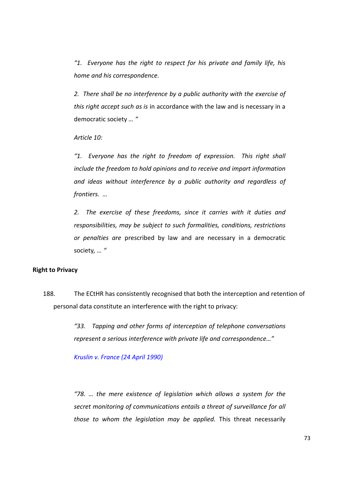"1. Everyone has the right to respect for his private and family life, his home and his correspondence.

2. There shall be no interference by a public authority with the exercise of this right accept such as is in accordance with the law and is necessary in a democratic society … "

Article 10:

"1. Everyone has the right to freedom of expression. This right shall include the freedom to hold opinions and to receive and impart information and ideas without interference by a public authority and regardless of frontiers. …

2. The exercise of these freedoms, since it carries with it duties and responsibilities, may be subject to such formalities, conditions, restrictions or penalties are prescribed by law and are necessary in a democratic society, … "

## Right to Privacy

188. The ECtHR has consistently recognised that both the interception and retention of personal data constitute an interference with the right to privacy:

> "33. Tapping and other forms of interception of telephone conversations represent a serious interference with private life and correspondence…"

Kruslin v. France (24 April 1990)

"78. … the mere existence of legislation which allows a system for the secret monitoring of communications entails a threat of surveillance for all those to whom the legislation may be applied. This threat necessarily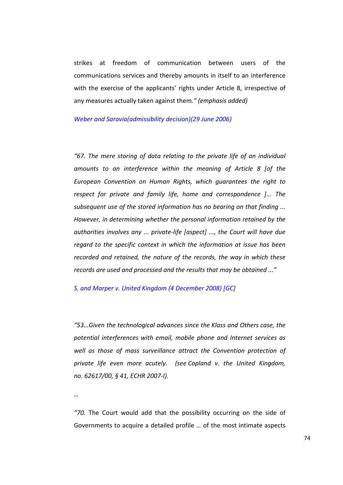strikes at freedom of communication between users of the communications services and thereby amounts in itself to an interference with the exercise of the applicants' rights under Article 8, irrespective of any measures actually taken against them." (emphasis added)

### Weber and Saravia(admissibility decision)(29 June 2006)

"67. The mere storing of data relating to the private life of an individual amounts to an interference within the meaning of Article 8 [of the European Convention on Human Rights, which guarantees the right to respect for private and family life, home and correspondence ]... The subsequent use of the stored information has no bearing on that finding ... However, in determining whether the personal information retained by the authorities involves any ... private-life [aspect] ..., the Court will have due regard to the specific context in which the information at issue has been recorded and retained, the nature of the records, the way in which these records are used and processed and the results that may be obtained ..."

# S. and Marper v. United Kingdom (4 December 2008) [GC]

"53…Given the technological advances since the Klass and Others case, the potential interferences with email, mobile phone and Internet services as well as those of mass surveillance attract the Convention protection of private life even more acutely. (see Copland v. the United Kingdom, no. 62617/00, § 41, ECHR 2007-I).

…

"70. The Court would add that the possibility occurring on the side of Governments to acquire a detailed profile … of the most intimate aspects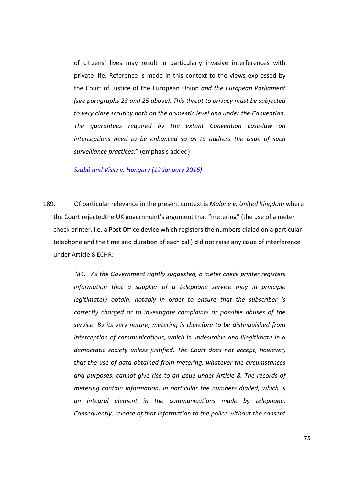of citizens' lives may result in particularly invasive interferences with private life. Reference is made in this context to the views expressed by the Court of Justice of the European Union and the European Parliament (see paragraphs 23 and 25 above). This threat to privacy must be subjected to very close scrutiny both on the domestic level and under the Convention. The guarantees required by the extant Convention case-law on interceptions need to be enhanced so as to address the issue of such surveillance practices." (emphasis added)

Szabó and Vissy v. Hungary (12 January 2016)

189. Of particular relevance in the present context is Malone v. United Kingdom where the Court rejectedthe UK government's argument that "metering" (the use of a meter check printer, i.e. a Post Office device which registers the numbers dialed on a particular telephone and the time and duration of each call) did not raise any issue of interference under Article 8 ECHR:

> "84. As the Government rightly suggested, a meter check printer registers information that a supplier of a telephone service may in principle legitimately obtain, notably in order to ensure that the subscriber is correctly charged or to investigate complaints or possible abuses of the service. By its very nature, metering is therefore to be distinguished from interception of communications, which is undesirable and illegitimate in a democratic society unless justified. The Court does not accept, however, that the use of data obtained from metering, whatever the circumstances and purposes, cannot give rise to an issue under Article 8. The records of metering contain information, in particular the numbers dialled, which is an integral element in the communications made by telephone. Consequently, release of that information to the police without the consent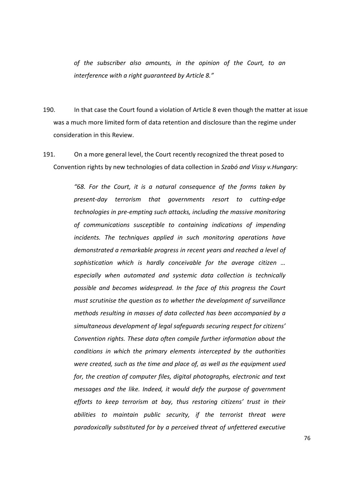of the subscriber also amounts, in the opinion of the Court, to an interference with a right guaranteed by Article 8."

- 190. In that case the Court found a violation of Article 8 even though the matter at issue was a much more limited form of data retention and disclosure than the regime under consideration in this Review.
- 191. On a more general level, the Court recently recognized the threat posed to Convention rights by new technologies of data collection in Szabó and Vissy v.Hungary:

"68. For the Court, it is a natural consequence of the forms taken by present-day terrorism that governments resort to cutting-edge technologies in pre-empting such attacks, including the massive monitoring of communications susceptible to containing indications of impending incidents. The techniques applied in such monitoring operations have demonstrated a remarkable progress in recent years and reached a level of sophistication which is hardly conceivable for the average citizen … especially when automated and systemic data collection is technically possible and becomes widespread. In the face of this progress the Court must scrutinise the question as to whether the development of surveillance methods resulting in masses of data collected has been accompanied by a simultaneous development of legal safeguards securing respect for citizens' Convention rights. These data often compile further information about the conditions in which the primary elements intercepted by the authorities were created, such as the time and place of, as well as the equipment used for, the creation of computer files, digital photographs, electronic and text messages and the like. Indeed, it would defy the purpose of government efforts to keep terrorism at bay, thus restoring citizens' trust in their abilities to maintain public security, if the terrorist threat were paradoxically substituted for by a perceived threat of unfettered executive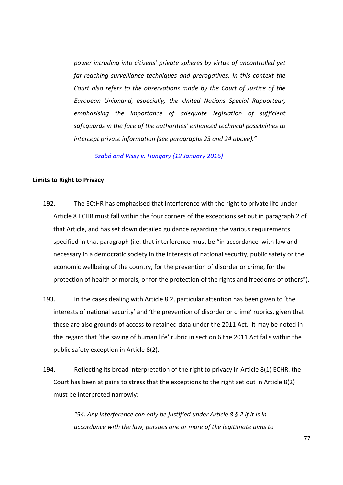power intruding into citizens' private spheres by virtue of uncontrolled yet far-reaching surveillance techniques and prerogatives. In this context the Court also refers to the observations made by the Court of Justice of the European Unionand, especially, the United Nations Special Rapporteur, emphasising the importance of adequate legislation of sufficient safeguards in the face of the authorities' enhanced technical possibilities to intercept private information (see paragraphs 23 and 24 above)."

Szabó and Vissy v. Hungary (12 January 2016)

# Limits to Right to Privacy

- 192. The ECtHR has emphasised that interference with the right to private life under Article 8 ECHR must fall within the four corners of the exceptions set out in paragraph 2 of that Article, and has set down detailed guidance regarding the various requirements specified in that paragraph (i.e. that interference must be "in accordance with law and necessary in a democratic society in the interests of national security, public safety or the economic wellbeing of the country, for the prevention of disorder or crime, for the protection of health or morals, or for the protection of the rights and freedoms of others").
- 193. In the cases dealing with Article 8.2, particular attention has been given to 'the interests of national security' and 'the prevention of disorder or crime' rubrics, given that these are also grounds of access to retained data under the 2011 Act. It may be noted in this regard that 'the saving of human life' rubric in section 6 the 2011 Act falls within the public safety exception in Article 8(2).
- 194. Reflecting its broad interpretation of the right to privacy in Article 8(1) ECHR, the Court has been at pains to stress that the exceptions to the right set out in Article 8(2) must be interpreted narrowly:

"54. Any interference can only be justified under Article  $8 \xi$  2 if it is in accordance with the law, pursues one or more of the legitimate aims to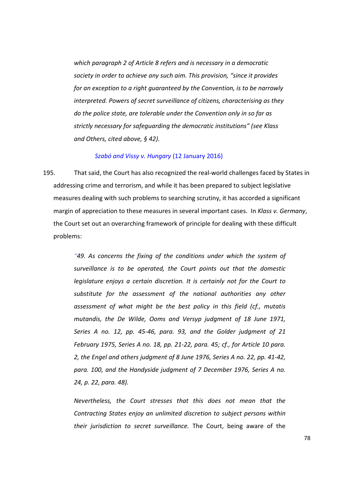which paragraph 2 of Article 8 refers and is necessary in a democratic society in order to achieve any such aim. This provision, "since it provides for an exception to a right guaranteed by the Convention, is to be narrowly interpreted. Powers of secret surveillance of citizens, characterising as they do the police state, are tolerable under the Convention only in so far as strictly necessary for safeguarding the democratic institutions" (see Klass and Others, cited above, § 42).

### Szabó and Vissy v. Hungary (12 January 2016)

195. That said, the Court has also recognized the real-world challenges faced by States in addressing crime and terrorism, and while it has been prepared to subject legislative measures dealing with such problems to searching scrutiny, it has accorded a significant margin of appreciation to these measures in several important cases. In Klass v. Germany, the Court set out an overarching framework of principle for dealing with these difficult problems:

> "49. As concerns the fixing of the conditions under which the system of surveillance is to be operated, the Court points out that the domestic legislature enjoys a certain discretion. It is certainly not for the Court to substitute for the assessment of the national authorities any other assessment of what might be the best policy in this field (cf., mutatis mutandis, the De Wilde, Ooms and Versyp judgment of 18 June 1971, Series A no. 12, pp. 45-46, para. 93, and the Golder judgment of 21 February 1975, Series A no. 18, pp. 21-22, para. 45; cf., for Article 10 para. 2, the Engel and others judgment of 8 June 1976, Series A no. 22, pp. 41-42, para. 100, and the Handyside judgment of 7 December 1976, Series A no. 24, p. 22, para. 48).

> Nevertheless, the Court stresses that this does not mean that the Contracting States enjoy an unlimited discretion to subject persons within their jurisdiction to secret surveillance. The Court, being aware of the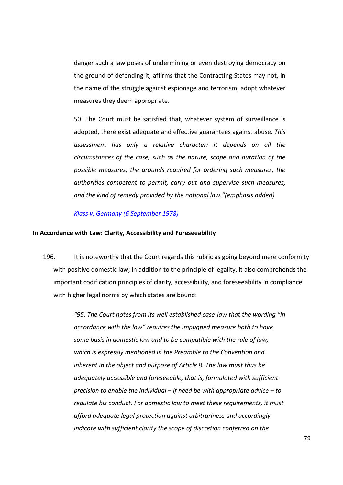danger such a law poses of undermining or even destroying democracy on the ground of defending it, affirms that the Contracting States may not, in the name of the struggle against espionage and terrorism, adopt whatever measures they deem appropriate.

50. The Court must be satisfied that, whatever system of surveillance is adopted, there exist adequate and effective guarantees against abuse. This assessment has only a relative character: it depends on all the circumstances of the case, such as the nature, scope and duration of the possible measures, the grounds required for ordering such measures, the authorities competent to permit, carry out and supervise such measures, and the kind of remedy provided by the national law."(emphasis added)

Klass v. Germany (6 September 1978)

## In Accordance with Law: Clarity, Accessibility and Foreseeability

196. It is noteworthy that the Court regards this rubric as going beyond mere conformity with positive domestic law; in addition to the principle of legality, it also comprehends the important codification principles of clarity, accessibility, and foreseeability in compliance with higher legal norms by which states are bound:

> "95. The Court notes from its well established case-law that the wording "in accordance with the law" requires the impugned measure both to have some basis in domestic law and to be compatible with the rule of law, which is expressly mentioned in the Preamble to the Convention and inherent in the object and purpose of Article 8. The law must thus be adequately accessible and foreseeable, that is, formulated with sufficient precision to enable the individual – if need be with appropriate advice – to regulate his conduct. For domestic law to meet these requirements, it must afford adequate legal protection against arbitrariness and accordingly indicate with sufficient clarity the scope of discretion conferred on the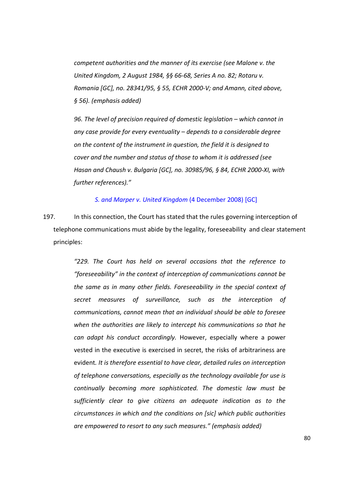competent authorities and the manner of its exercise (see Malone v. the United Kingdom, 2 August 1984, §§ 66-68, Series A no. 82; Rotaru v. Romania [GC], no. 28341/95, § 55, ECHR 2000-V; and Amann, cited above, § 56). (emphasis added)

96. The level of precision required of domestic legislation – which cannot in any case provide for every eventuality – depends to a considerable degree on the content of the instrument in question, the field it is designed to cover and the number and status of those to whom it is addressed (see Hasan and Chaush v. Bulgaria [GC], no. 30985/96, § 84, ECHR 2000-XI, with further references)."

S. and Marper v. United Kingdom (4 December 2008) [GC]

197. In this connection, the Court has stated that the rules governing interception of telephone communications must abide by the legality, foreseeability and clear statement principles:

> "229. The Court has held on several occasions that the reference to "foreseeability" in the context of interception of communications cannot be the same as in many other fields. Foreseeability in the special context of secret measures of surveillance, such as the interception of communications, cannot mean that an individual should be able to foresee when the authorities are likely to intercept his communications so that he can adapt his conduct accordingly. However, especially where a power vested in the executive is exercised in secret, the risks of arbitrariness are evident. It is therefore essential to have clear, detailed rules on interception of telephone conversations, especially as the technology available for use is continually becoming more sophisticated. The domestic law must be sufficiently clear to give citizens an adequate indication as to the circumstances in which and the conditions on [sic] which public authorities are empowered to resort to any such measures." (emphasis added)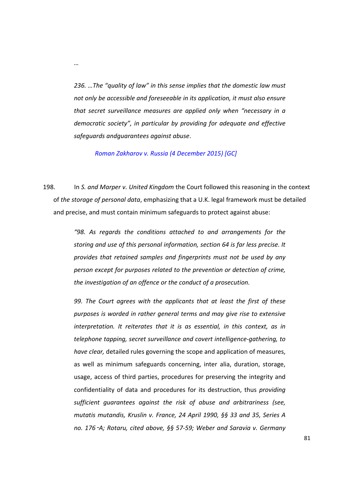236. …The "quality of law" in this sense implies that the domestic law must not only be accessible and foreseeable in its application, it must also ensure that secret surveillance measures are applied only when "necessary in a democratic society", in particular by providing for adequate and effective safeguards andguarantees against abuse.

Roman Zakharov v. Russia (4 December 2015) [GC]

…

198. In S. and Marper v. United Kingdom the Court followed this reasoning in the context of the storage of personal data, emphasizing that a U.K. legal framework must be detailed and precise, and must contain minimum safeguards to protect against abuse:

> "98. As regards the conditions attached to and arrangements for the storing and use of this personal information, section 64 is far less precise. It provides that retained samples and fingerprints must not be used by any person except for purposes related to the prevention or detection of crime, the investigation of an offence or the conduct of a prosecution.

> 99. The Court agrees with the applicants that at least the first of these purposes is worded in rather general terms and may give rise to extensive interpretation. It reiterates that it is as essential, in this context, as in telephone tapping, secret surveillance and covert intelligence-gathering, to have clear, detailed rules governing the scope and application of measures, as well as minimum safeguards concerning, inter alia, duration, storage, usage, access of third parties, procedures for preserving the integrity and confidentiality of data and procedures for its destruction, thus providing sufficient guarantees against the risk of abuse and arbitrariness (see, mutatis mutandis, Kruslin v. France, 24 April 1990, §§ 33 and 35, Series A no. 176‑A; Rotaru, cited above, §§ 57-59; Weber and Saravia v. Germany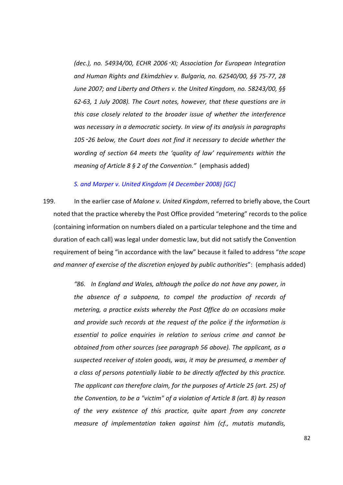(dec.), no. 54934/00, ECHR 2006‑XI; Association for European Integration and Human Rights and Ekimdzhiev v. Bulgaria, no. 62540/00, §§ 75-77, 28 June 2007; and Liberty and Others v. the United Kingdom, no. 58243/00, §§ 62-63, 1 July 2008). The Court notes, however, that these questions are in this case closely related to the broader issue of whether the interference was necessary in a democratic society. In view of its analysis in paragraphs 105‑26 below, the Court does not find it necessary to decide whether the wording of section 64 meets the 'quality of law' requirements within the meaning of Article  $8 \xi$  2 of the Convention." (emphasis added)

#### S. and Marper v. United Kingdom (4 December 2008) [GC]

199. In the earlier case of Malone v. United Kingdom, referred to briefly above, the Court noted that the practice whereby the Post Office provided "metering" records to the police (containing information on numbers dialed on a particular telephone and the time and duration of each call) was legal under domestic law, but did not satisfy the Convention requirement of being "in accordance with the law" because it failed to address "the scope and manner of exercise of the discretion enjoyed by public authorities": (emphasis added)

> "86. In England and Wales, although the police do not have any power, in the absence of a subpoena, to compel the production of records of metering, a practice exists whereby the Post Office do on occasions make and provide such records at the request of the police if the information is essential to police enquiries in relation to serious crime and cannot be obtained from other sources (see paragraph 56 above). The applicant, as a suspected receiver of stolen goods, was, it may be presumed, a member of a class of persons potentially liable to be directly affected by this practice. The applicant can therefore claim, for the purposes of Article 25 (art. 25) of the Convention, to be a "victim" of a violation of Article 8 (art. 8) by reason of the very existence of this practice, quite apart from any concrete measure of implementation taken against him (cf., mutatis mutandis,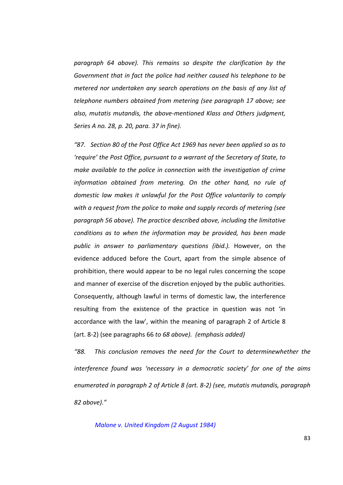paragraph 64 above). This remains so despite the clarification by the Government that in fact the police had neither caused his telephone to be metered nor undertaken any search operations on the basis of any list of telephone numbers obtained from metering (see paragraph 17 above; see also, mutatis mutandis, the above-mentioned Klass and Others judgment, Series A no. 28, p. 20, para. 37 in fine).

"87. Section 80 of the Post Office Act 1969 has never been applied so as to 'require' the Post Office, pursuant to a warrant of the Secretary of State, to make available to the police in connection with the investigation of crime information obtained from metering. On the other hand, no rule of domestic law makes it unlawful for the Post Office voluntarily to comply with a request from the police to make and supply records of metering (see paragraph 56 above). The practice described above, including the limitative conditions as to when the information may be provided, has been made public in answer to parliamentary questions (ibid.). However, on the evidence adduced before the Court, apart from the simple absence of prohibition, there would appear to be no legal rules concerning the scope and manner of exercise of the discretion enjoyed by the public authorities. Consequently, although lawful in terms of domestic law, the interference resulting from the existence of the practice in question was not 'in accordance with the law', within the meaning of paragraph 2 of Article 8 (art. 8-2) (see paragraphs 66 to 68 above). (emphasis added)

"88. This conclusion removes the need for the Court to determinewhether the interference found was 'necessary in a democratic society' for one of the aims enumerated in paragraph 2 of Article 8 (art. 8-2) (see, mutatis mutandis, paragraph 82 above)."

Malone v. United Kingdom (2 August 1984)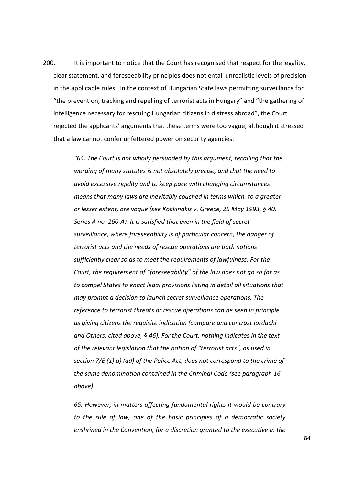200. It is important to notice that the Court has recognised that respect for the legality, clear statement, and foreseeability principles does not entail unrealistic levels of precision in the applicable rules. In the context of Hungarian State laws permitting surveillance for "the prevention, tracking and repelling of terrorist acts in Hungary" and "the gathering of intelligence necessary for rescuing Hungarian citizens in distress abroad", the Court rejected the applicants' arguments that these terms were too vague, although it stressed that a law cannot confer unfettered power on security agencies:

> "64. The Court is not wholly persuaded by this argument, recalling that the wording of many statutes is not absolutely precise, and that the need to avoid excessive rigidity and to keep pace with changing circumstances means that many laws are inevitably couched in terms which, to a greater or lesser extent, are vague (see Kokkinakis v. Greece, 25 May 1993, § 40, Series A no. 260-A). It is satisfied that even in the field of secret surveillance, where foreseeability is of particular concern, the danger of terrorist acts and the needs of rescue operations are both notions sufficiently clear so as to meet the requirements of lawfulness. For the Court, the requirement of "foreseeability" of the law does not go so far as to compel States to enact legal provisions listing in detail all situations that may prompt a decision to launch secret surveillance operations. The reference to terrorist threats or rescue operations can be seen in principle as giving citizens the requisite indication (compare and contrast Iordachi and Others, cited above, § 46). For the Court, nothing indicates in the text of the relevant legislation that the notion of "terrorist acts", as used in section 7/E (1) a) (ad) of the Police Act, does not correspond to the crime of the same denomination contained in the Criminal Code (see paragraph 16 above).

> 65. However, in matters affecting fundamental rights it would be contrary to the rule of law, one of the basic principles of a democratic society enshrined in the Convention, for a discretion granted to the executive in the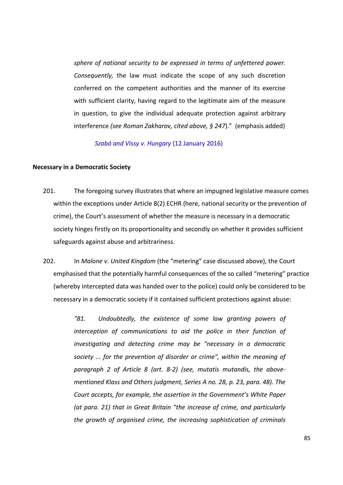sphere of national security to be expressed in terms of unfettered power. Consequently, the law must indicate the scope of any such discretion conferred on the competent authorities and the manner of its exercise with sufficient clarity, having regard to the legitimate aim of the measure in question, to give the individual adequate protection against arbitrary interference (see Roman Zakharov, cited above,  $\S$  247)." (emphasis added)

Szabó and Vissy v. Hungary (12 January 2016)

# Necessary in a Democratic Society

- 201. The foregoing survey illustrates that where an impugned legislative measure comes within the exceptions under Article 8(2) ECHR (here, national security or the prevention of crime), the Court's assessment of whether the measure is necessary in a democratic society hinges firstly on its proportionality and secondly on whether it provides sufficient safeguards against abuse and arbitrariness.
- 202. In Malone v. United Kingdom (the "metering" case discussed above), the Court emphasised that the potentially harmful consequences of the so called "metering" practice (whereby intercepted data was handed over to the police) could only be considered to be necessary in a democratic society if it contained sufficient protections against abuse:

"81. Undoubtedly, the existence of some law granting powers of interception of communications to aid the police in their function of investigating and detecting crime may be "necessary in a democratic society ... for the prevention of disorder or crime", within the meaning of paragraph 2 of Article 8 (art. 8-2) (see, mutatis mutandis, the abovementioned Klass and Others judgment, Series A no. 28, p. 23, para. 48). The Court accepts, for example, the assertion in the Government's White Paper (at para. 21) that in Great Britain "the increase of crime, and particularly the growth of organised crime, the increasing sophistication of criminals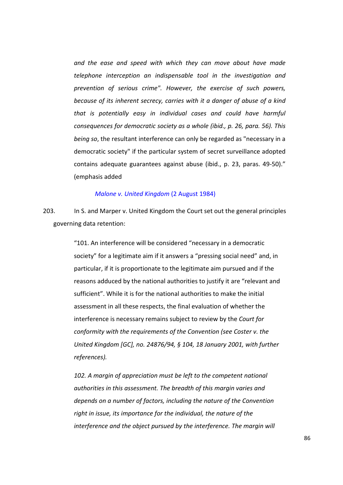and the ease and speed with which they can move about have made telephone interception an indispensable tool in the investigation and prevention of serious crime". However, the exercise of such powers, because of its inherent secrecy, carries with it a danger of abuse of a kind that is potentially easy in individual cases and could have harmful consequences for democratic society as a whole (ibid., p. 26, para. 56). This being so, the resultant interference can only be regarded as "necessary in a democratic society" if the particular system of secret surveillance adopted contains adequate guarantees against abuse (ibid., p. 23, paras. 49-50)." (emphasis added

# Malone v. United Kingdom (2 August 1984)

203. In S. and Marper v. United Kingdom the Court set out the general principles governing data retention:

> "101. An interference will be considered "necessary in a democratic society" for a legitimate aim if it answers a "pressing social need" and, in particular, if it is proportionate to the legitimate aim pursued and if the reasons adduced by the national authorities to justify it are "relevant and sufficient". While it is for the national authorities to make the initial assessment in all these respects, the final evaluation of whether the interference is necessary remains subject to review by the Court for conformity with the requirements of the Convention (see Coster v. the United Kingdom [GC], no. 24876/94, § 104, 18 January 2001, with further references).

102. A margin of appreciation must be left to the competent national authorities in this assessment. The breadth of this margin varies and depends on a number of factors, including the nature of the Convention right in issue, its importance for the individual, the nature of the interference and the object pursued by the interference. The margin will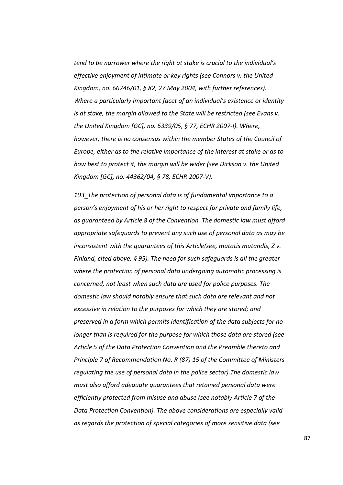tend to be narrower where the right at stake is crucial to the individual's effective enjoyment of intimate or key rights (see Connors v. the United Kingdom, no. 66746/01, § 82, 27 May 2004, with further references). Where a particularly important facet of an individual's existence or identity is at stake, the margin allowed to the State will be restricted (see Evans v. the United Kingdom [GC], no. 6339/05, § 77, ECHR 2007-I). Where, however, there is no consensus within the member States of the Council of Europe, either as to the relative importance of the interest at stake or as to how best to protect it, the margin will be wider (see Dickson v. the United Kingdom [GC], no. 44362/04, § 78, ECHR 2007-V).

103. The protection of personal data is of fundamental importance to a person's enjoyment of his or her right to respect for private and family life, as guaranteed by Article 8 of the Convention. The domestic law must afford appropriate safeguards to prevent any such use of personal data as may be inconsistent with the guarantees of this Article(see, mutatis mutandis, Z v. Finland, cited above, § 95). The need for such safeguards is all the greater where the protection of personal data undergoing automatic processing is concerned, not least when such data are used for police purposes. The domestic law should notably ensure that such data are relevant and not excessive in relation to the purposes for which they are stored; and preserved in a form which permits identification of the data subjects for no longer than is required for the purpose for which those data are stored (see Article 5 of the Data Protection Convention and the Preamble thereto and Principle 7 of Recommendation No. R (87) 15 of the Committee of Ministers regulating the use of personal data in the police sector).The domestic law must also afford adequate guarantees that retained personal data were efficiently protected from misuse and abuse (see notably Article 7 of the Data Protection Convention). The above considerations are especially valid as regards the protection of special categories of more sensitive data (see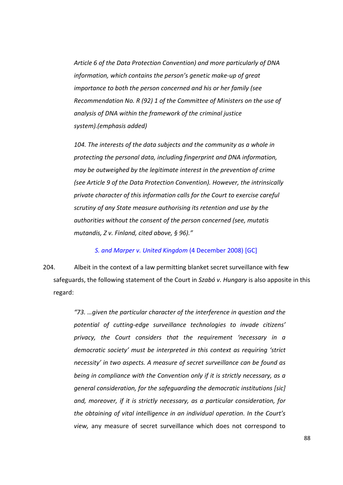Article 6 of the Data Protection Convention) and more particularly of DNA information, which contains the person's genetic make-up of great importance to both the person concerned and his or her family (see Recommendation No. R (92) 1 of the Committee of Ministers on the use of analysis of DNA within the framework of the criminal justice system).(emphasis added)

104. The interests of the data subjects and the community as a whole in protecting the personal data, including fingerprint and DNA information, may be outweighed by the legitimate interest in the prevention of crime (see Article 9 of the Data Protection Convention). However, the intrinsically private character of this information calls for the Court to exercise careful scrutiny of any State measure authorising its retention and use by the authorities without the consent of the person concerned (see, mutatis mutandis, Z v. Finland, cited above, § 96)."

# S. and Marper v. United Kingdom (4 December 2008) [GC]

204. Albeit in the context of a law permitting blanket secret surveillance with few safeguards, the following statement of the Court in Szabó v. Hungary is also apposite in this regard:

> "73. …given the particular character of the interference in question and the potential of cutting-edge surveillance technologies to invade citizens' privacy, the Court considers that the requirement 'necessary in a democratic society' must be interpreted in this context as requiring 'strict necessity' in two aspects. A measure of secret surveillance can be found as being in compliance with the Convention only if it is strictly necessary, as a general consideration, for the safeguarding the democratic institutions [sic] and, moreover, if it is strictly necessary, as a particular consideration, for the obtaining of vital intelligence in an individual operation. In the Court's view, any measure of secret surveillance which does not correspond to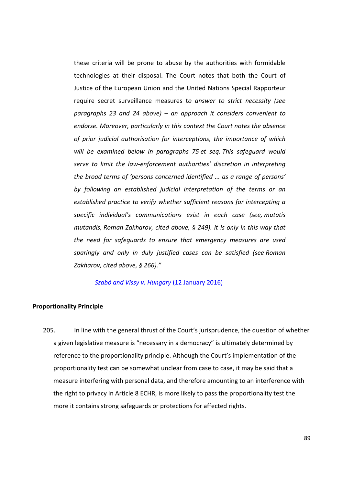these criteria will be prone to abuse by the authorities with formidable technologies at their disposal. The Court notes that both the Court of Justice of the European Union and the United Nations Special Rapporteur require secret surveillance measures to answer to strict necessity (see paragraphs 23 and 24 above) – an approach it considers convenient to endorse. Moreover, particularly in this context the Court notes the absence of prior judicial authorisation for interceptions, the importance of which will be examined below in paragraphs 75 et seq. This safeguard would serve to limit the law-enforcement authorities' discretion in interpreting the broad terms of 'persons concerned identified ... as a range of persons' by following an established judicial interpretation of the terms or an established practice to verify whether sufficient reasons for intercepting a specific individual's communications exist in each case (see, mutatis mutandis, Roman Zakharov, cited above, § 249). It is only in this way that the need for safeguards to ensure that emergency measures are used sparingly and only in duly justified cases can be satisfied (see Roman Zakharov, cited above, § 266)."

Szabó and Vissy v. Hungary (12 January 2016)

### Proportionality Principle

205. In line with the general thrust of the Court's jurisprudence, the question of whether a given legislative measure is "necessary in a democracy" is ultimately determined by reference to the proportionality principle. Although the Court's implementation of the proportionality test can be somewhat unclear from case to case, it may be said that a measure interfering with personal data, and therefore amounting to an interference with the right to privacy in Article 8 ECHR, is more likely to pass the proportionality test the more it contains strong safeguards or protections for affected rights.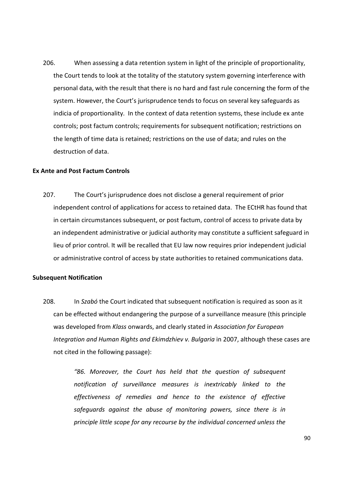206. When assessing a data retention system in light of the principle of proportionality, the Court tends to look at the totality of the statutory system governing interference with personal data, with the result that there is no hard and fast rule concerning the form of the system. However, the Court's jurisprudence tends to focus on several key safeguards as indicia of proportionality. In the context of data retention systems, these include ex ante controls; post factum controls; requirements for subsequent notification; restrictions on the length of time data is retained; restrictions on the use of data; and rules on the destruction of data.

### Ex Ante and Post Factum Controls

207. The Court's jurisprudence does not disclose a general requirement of prior independent control of applications for access to retained data. The ECtHR has found that in certain circumstances subsequent, or post factum, control of access to private data by an independent administrative or judicial authority may constitute a sufficient safeguard in lieu of prior control. It will be recalled that EU law now requires prior independent judicial or administrative control of access by state authorities to retained communications data.

#### Subsequent Notification

208. In Szabó the Court indicated that subsequent notification is required as soon as it can be effected without endangering the purpose of a surveillance measure (this principle was developed from Klass onwards, and clearly stated in Association for European Integration and Human Rights and Ekimdzhiev v. Bulgaria in 2007, although these cases are not cited in the following passage):

> "86. Moreover, the Court has held that the question of subsequent notification of surveillance measures is inextricably linked to the effectiveness of remedies and hence to the existence of effective safeguards against the abuse of monitoring powers, since there is in principle little scope for any recourse by the individual concerned unless the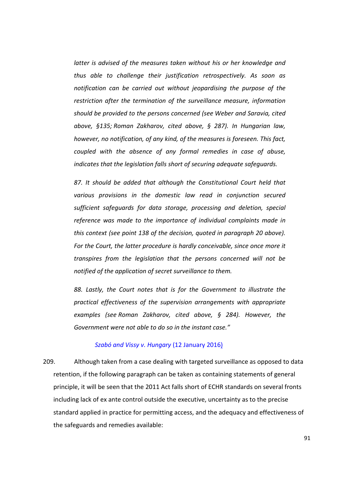latter is advised of the measures taken without his or her knowledge and thus able to challenge their justification retrospectively. As soon as notification can be carried out without jeopardising the purpose of the restriction after the termination of the surveillance measure, information should be provided to the persons concerned (see Weber and Saravia, cited above, §135; Roman Zakharov, cited above, § 287). In Hungarian law, however, no notification, of any kind, of the measures is foreseen. This fact, coupled with the absence of any formal remedies in case of abuse, indicates that the legislation falls short of securing adequate safeguards.

87. It should be added that although the Constitutional Court held that various provisions in the domestic law read in conjunction secured sufficient safeguards for data storage, processing and deletion, special reference was made to the importance of individual complaints made in this context (see point 138 of the decision, quoted in paragraph 20 above). For the Court, the latter procedure is hardly conceivable, since once more it transpires from the legislation that the persons concerned will not be notified of the application of secret surveillance to them.

88. Lastly, the Court notes that is for the Government to illustrate the practical effectiveness of the supervision arrangements with appropriate examples (see Roman Zakharov, cited above, § 284). However, the Government were not able to do so in the instant case."

### Szabó and Vissy v. Hungary (12 January 2016)

209. Although taken from a case dealing with targeted surveillance as opposed to data retention, if the following paragraph can be taken as containing statements of general principle, it will be seen that the 2011 Act falls short of ECHR standards on several fronts including lack of ex ante control outside the executive, uncertainty as to the precise standard applied in practice for permitting access, and the adequacy and effectiveness of the safeguards and remedies available: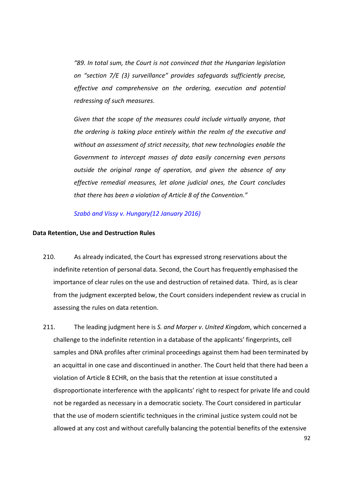"89. In total sum, the Court is not convinced that the Hungarian legislation on "section 7/E (3) surveillance" provides safeguards sufficiently precise, effective and comprehensive on the ordering, execution and potential redressing of such measures.

Given that the scope of the measures could include virtually anyone, that the ordering is taking place entirely within the realm of the executive and without an assessment of strict necessity, that new technologies enable the Government to intercept masses of data easily concerning even persons outside the original range of operation, and given the absence of any effective remedial measures, let alone judicial ones, the Court concludes that there has been a violation of Article 8 of the Convention."

Szabó and Vissy v. Hungary(12 January 2016)

### Data Retention, Use and Destruction Rules

- 210. As already indicated, the Court has expressed strong reservations about the indefinite retention of personal data. Second, the Court has frequently emphasised the importance of clear rules on the use and destruction of retained data. Third, as is clear from the judgment excerpted below, the Court considers independent review as crucial in assessing the rules on data retention.
- 211. The leading judgment here is S. and Marper v. United Kingdom, which concerned a challenge to the indefinite retention in a database of the applicants' fingerprints, cell samples and DNA profiles after criminal proceedings against them had been terminated by an acquittal in one case and discontinued in another. The Court held that there had been a violation of Article 8 ECHR, on the basis that the retention at issue constituted a disproportionate interference with the applicants' right to respect for private life and could not be regarded as necessary in a democratic society. The Court considered in particular that the use of modern scientific techniques in the criminal justice system could not be allowed at any cost and without carefully balancing the potential benefits of the extensive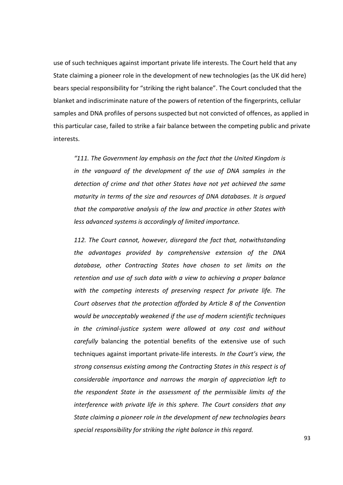use of such techniques against important private life interests. The Court held that any State claiming a pioneer role in the development of new technologies (as the UK did here) bears special responsibility for "striking the right balance". The Court concluded that the blanket and indiscriminate nature of the powers of retention of the fingerprints, cellular samples and DNA profiles of persons suspected but not convicted of offences, as applied in this particular case, failed to strike a fair balance between the competing public and private interests.

"111. The Government lay emphasis on the fact that the United Kingdom is in the vanguard of the development of the use of DNA samples in the detection of crime and that other States have not yet achieved the same maturity in terms of the size and resources of DNA databases. It is argued that the comparative analysis of the law and practice in other States with less advanced systems is accordingly of limited importance.

112. The Court cannot, however, disregard the fact that, notwithstanding the advantages provided by comprehensive extension of the DNA database, other Contracting States have chosen to set limits on the retention and use of such data with a view to achieving a proper balance with the competing interests of preserving respect for private life. The Court observes that the protection afforded by Article 8 of the Convention would be unacceptably weakened if the use of modern scientific techniques in the criminal-justice system were allowed at any cost and without carefully balancing the potential benefits of the extensive use of such techniques against important private-life interests. In the Court's view, the strong consensus existing among the Contracting States in this respect is of considerable importance and narrows the margin of appreciation left to the respondent State in the assessment of the permissible limits of the interference with private life in this sphere. The Court considers that any State claiming a pioneer role in the development of new technologies bears special responsibility for striking the right balance in this regard.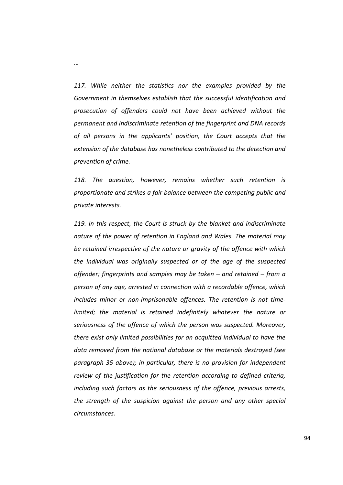117. While neither the statistics nor the examples provided by the Government in themselves establish that the successful identification and prosecution of offenders could not have been achieved without the permanent and indiscriminate retention of the fingerprint and DNA records of all persons in the applicants' position, the Court accepts that the extension of the database has nonetheless contributed to the detection and prevention of crime.

…

118. The question, however, remains whether such retention is proportionate and strikes a fair balance between the competing public and private interests.

119. In this respect, the Court is struck by the blanket and indiscriminate nature of the power of retention in England and Wales. The material may be retained irrespective of the nature or gravity of the offence with which the individual was originally suspected or of the age of the suspected offender; fingerprints and samples may be taken – and retained – from a person of any age, arrested in connection with a recordable offence, which includes minor or non-imprisonable offences. The retention is not timelimited; the material is retained indefinitely whatever the nature or seriousness of the offence of which the person was suspected. Moreover, there exist only limited possibilities for an acquitted individual to have the data removed from the national database or the materials destroyed (see paragraph 35 above); in particular, there is no provision for independent review of the justification for the retention according to defined criteria, including such factors as the seriousness of the offence, previous arrests, the strength of the suspicion against the person and any other special circumstances.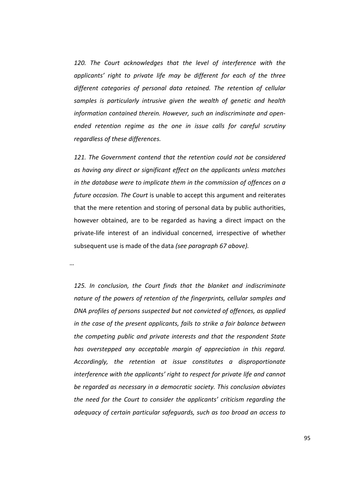120. The Court acknowledges that the level of interference with the applicants' right to private life may be different for each of the three different categories of personal data retained. The retention of cellular samples is particularly intrusive given the wealth of genetic and health information contained therein. However, such an indiscriminate and openended retention regime as the one in issue calls for careful scrutiny regardless of these differences.

121. The Government contend that the retention could not be considered as having any direct or significant effect on the applicants unless matches in the database were to implicate them in the commission of offences on a future occasion. The Court is unable to accept this argument and reiterates that the mere retention and storing of personal data by public authorities, however obtained, are to be regarded as having a direct impact on the private-life interest of an individual concerned, irrespective of whether subsequent use is made of the data (see paragraph 67 above).

…

125. In conclusion, the Court finds that the blanket and indiscriminate nature of the powers of retention of the fingerprints, cellular samples and DNA profiles of persons suspected but not convicted of offences, as applied in the case of the present applicants, fails to strike a fair balance between the competing public and private interests and that the respondent State has overstepped any acceptable margin of appreciation in this regard. Accordingly, the retention at issue constitutes a disproportionate interference with the applicants' right to respect for private life and cannot be regarded as necessary in a democratic society. This conclusion obviates the need for the Court to consider the applicants' criticism regarding the adequacy of certain particular safeguards, such as too broad an access to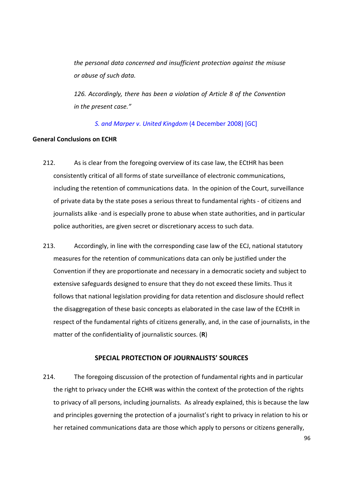the personal data concerned and insufficient protection against the misuse or abuse of such data.

126. Accordingly, there has been a violation of Article 8 of the Convention in the present case."

S. and Marper v. United Kingdom (4 December 2008) [GC]

# General Conclusions on ECHR

- 212. As is clear from the foregoing overview of its case law, the ECtHR has been consistently critical of all forms of state surveillance of electronic communications, including the retention of communications data. In the opinion of the Court, surveillance of private data by the state poses a serious threat to fundamental rights - of citizens and journalists alike -and is especially prone to abuse when state authorities, and in particular police authorities, are given secret or discretionary access to such data.
- 213. Accordingly, in line with the corresponding case law of the ECJ, national statutory measures for the retention of communications data can only be justified under the Convention if they are proportionate and necessary in a democratic society and subject to extensive safeguards designed to ensure that they do not exceed these limits. Thus it follows that national legislation providing for data retention and disclosure should reflect the disaggregation of these basic concepts as elaborated in the case law of the ECtHR in respect of the fundamental rights of citizens generally, and, in the case of journalists, in the matter of the confidentiality of journalistic sources.  $(R)$

# SPECIAL PROTECTION OF JOURNALISTS' SOURCES

214. The foregoing discussion of the protection of fundamental rights and in particular the right to privacy under the ECHR was within the context of the protection of the rights to privacy of all persons, including journalists. As already explained, this is because the law and principles governing the protection of a journalist's right to privacy in relation to his or her retained communications data are those which apply to persons or citizens generally,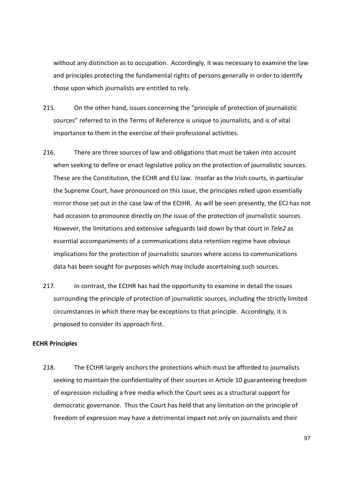without any distinction as to occupation. Accordingly, it was necessary to examine the law and principles protecting the fundamental rights of persons generally in order to identify those upon which journalists are entitled to rely.

- 215. On the other hand, issues concerning the "principle of protection of journalistic sources" referred to in the Terms of Reference is unique to journalists, and is of vital importance to them in the exercise of their professional activities.
- 216. There are three sources of law and obligations that must be taken into account when seeking to define or enact legislative policy on the protection of journalistic sources. These are the Constitution, the ECHR and EU law. Insofar as the Irish courts, in particular the Supreme Court, have pronounced on this issue, the principles relied upon essentially mirror those set out in the case law of the ECtHR. As will be seen presently, the ECJ has not had occasion to pronounce directly on the issue of the protection of journalistic sources. However, the limitations and extensive safeguards laid down by that court in Tele2 as essential accompaniments of a communications data retention regime have obvious implications for the protection of journalistic sources where access to communications data has been sought for purposes which may include ascertaining such sources.
- 217. In contrast, the ECtHR has had the opportunity to examine in detail the issues surrounding the principle of protection of journalistic sources, including the strictly limited circumstances in which there may be exceptions to that principle. Accordingly, it is proposed to consider its approach first.

# ECHR Principles

218. The ECtHR largely anchors the protections which must be afforded to journalists seeking to maintain the confidentiality of their sources in Article 10 guaranteeing freedom of expression including a free media which the Court sees as a structural support for democratic governance. Thus the Court has held that any limitation on the principle of freedom of expression may have a detrimental impact not only on journalists and their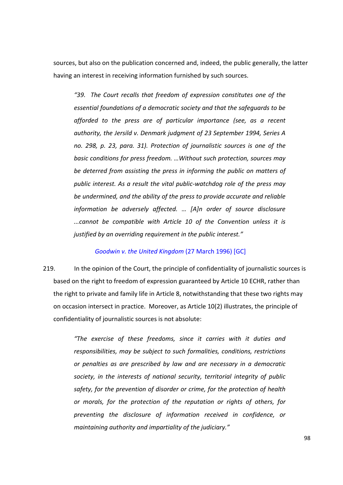sources, but also on the publication concerned and, indeed, the public generally, the latter having an interest in receiving information furnished by such sources.

"39. The Court recalls that freedom of expression constitutes one of the essential foundations of a democratic society and that the safeguards to be afforded to the press are of particular importance (see, as a recent authority, the Jersild v. Denmark judgment of 23 September 1994, Series A no. 298, p. 23, para. 31). Protection of journalistic sources is one of the basic conditions for press freedom. …Without such protection, sources may be deterred from assisting the press in informing the public on matters of public interest. As a result the vital public-watchdog role of the press may be undermined, and the ability of the press to provide accurate and reliable information be adversely affected. … [A]n order of source disclosure ...cannot be compatible with Article 10 of the Convention unless it is justified by an overriding requirement in the public interest."

## Goodwin v. the United Kingdom (27 March 1996) [GC]

219. In the opinion of the Court, the principle of confidentiality of journalistic sources is based on the right to freedom of expression guaranteed by Article 10 ECHR, rather than the right to private and family life in Article 8, notwithstanding that these two rights may on occasion intersect in practice. Moreover, as Article 10(2) illustrates, the principle of confidentiality of journalistic sources is not absolute:

> "The exercise of these freedoms, since it carries with it duties and responsibilities, may be subject to such formalities, conditions, restrictions or penalties as are prescribed by law and are necessary in a democratic society, in the interests of national security, territorial integrity of public safety, for the prevention of disorder or crime, for the protection of health or morals, for the protection of the reputation or rights of others, for preventing the disclosure of information received in confidence, or maintaining authority and impartiality of the judiciary."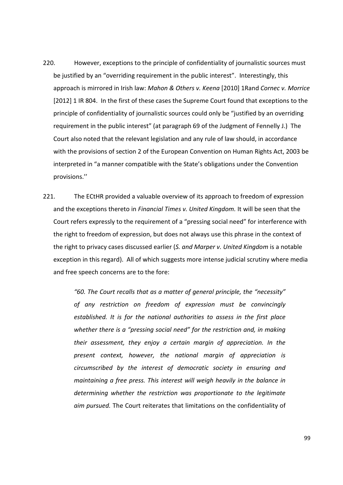- 220. However, exceptions to the principle of confidentiality of journalistic sources must be justified by an "overriding requirement in the public interest". Interestingly, this approach is mirrored in Irish law: Mahon & Others v. Keena [2010] 1Rand Cornec v. Morrice [2012] 1 IR 804. In the first of these cases the Supreme Court found that exceptions to the principle of confidentiality of journalistic sources could only be "justified by an overriding requirement in the public interest" (at paragraph 69 of the Judgment of Fennelly J.) The Court also noted that the relevant legislation and any rule of law should, in accordance with the provisions of section 2 of the European Convention on Human Rights Act, 2003 be interpreted in "a manner compatible with the State's obligations under the Convention provisions.''
- 221. The ECtHR provided a valuable overview of its approach to freedom of expression and the exceptions thereto in *Financial Times v. United Kingdom.* It will be seen that the Court refers expressly to the requirement of a "pressing social need" for interference with the right to freedom of expression, but does not always use this phrase in the context of the right to privacy cases discussed earlier (S. and Marper v. United Kingdom is a notable exception in this regard). All of which suggests more intense judicial scrutiny where media and free speech concerns are to the fore:

"60. The Court recalls that as a matter of general principle, the "necessity" of any restriction on freedom of expression must be convincingly established. It is for the national authorities to assess in the first place whether there is a "pressing social need" for the restriction and, in making their assessment, they enjoy a certain margin of appreciation. In the present context, however, the national margin of appreciation is circumscribed by the interest of democratic society in ensuring and maintaining a free press. This interest will weigh heavily in the balance in determining whether the restriction was proportionate to the legitimate aim pursued. The Court reiterates that limitations on the confidentiality of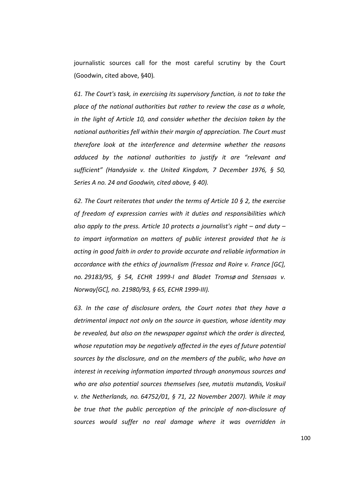journalistic sources call for the most careful scrutiny by the Court (Goodwin, cited above, §40).

61. The Court's task, in exercising its supervisory function, is not to take the place of the national authorities but rather to review the case as a whole, in the light of Article 10, and consider whether the decision taken by the national authorities fell within their margin of appreciation. The Court must therefore look at the interference and determine whether the reasons adduced by the national authorities to justify it are "relevant and sufficient" (Handyside v. the United Kingdom, 7 December 1976, § 50, Series A no. 24 and Goodwin, cited above, § 40).

62. The Court reiterates that under the terms of Article 10 § 2, the exercise of freedom of expression carries with it duties and responsibilities which also apply to the press. Article 10 protects a journalist's right – and duty – to impart information on matters of public interest provided that he is acting in good faith in order to provide accurate and reliable information in accordance with the ethics of journalism (Fressoz and Roire v. France [GC], no. 29183/95, § 54, ECHR 1999-I and Bladet Tromsø and Stensaas v. Norway[GC], no. 21980/93, § 65, ECHR 1999-III).

63. In the case of disclosure orders, the Court notes that they have a detrimental impact not only on the source in question, whose identity may be revealed, but also on the newspaper against which the order is directed, whose reputation may be negatively affected in the eyes of future potential sources by the disclosure, and on the members of the public, who have an interest in receiving information imparted through anonymous sources and who are also potential sources themselves (see, mutatis mutandis, Voskuil v. the Netherlands, no. 64752/01, § 71, 22 November 2007). While it may be true that the public perception of the principle of non-disclosure of sources would suffer no real damage where it was overridden in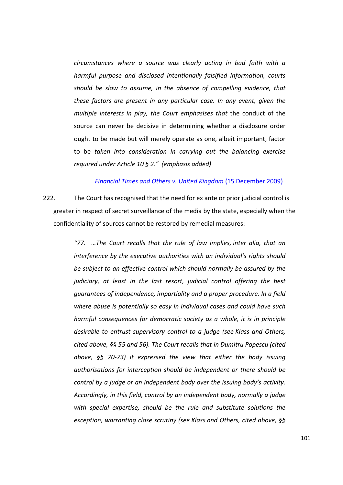circumstances where a source was clearly acting in bad faith with a harmful purpose and disclosed intentionally falsified information, courts should be slow to assume, in the absence of compelling evidence, that these factors are present in any particular case. In any event, given the multiple interests in play, the Court emphasises that the conduct of the source can never be decisive in determining whether a disclosure order ought to be made but will merely operate as one, albeit important, factor to be taken into consideration in carrying out the balancing exercise required under Article 10 § 2." (emphasis added)

# Financial Times and Others v. United Kingdom (15 December 2009)

222. The Court has recognised that the need for ex ante or prior judicial control is greater in respect of secret surveillance of the media by the state, especially when the confidentiality of sources cannot be restored by remedial measures:

> "77. …The Court recalls that the rule of law implies, inter alia, that an interference by the executive authorities with an individual's rights should be subject to an effective control which should normally be assured by the judiciary, at least in the last resort, judicial control offering the best guarantees of independence, impartiality and a proper procedure. In a field where abuse is potentially so easy in individual cases and could have such harmful consequences for democratic society as a whole, it is in principle desirable to entrust supervisory control to a judge (see Klass and Others, cited above, §§ 55 and 56). The Court recalls that in Dumitru Popescu (cited above, §§ 70-73) it expressed the view that either the body issuing authorisations for interception should be independent or there should be control by a judge or an independent body over the issuing body's activity. Accordingly, in this field, control by an independent body, normally a judge with special expertise, should be the rule and substitute solutions the exception, warranting close scrutiny (see Klass and Others, cited above, §§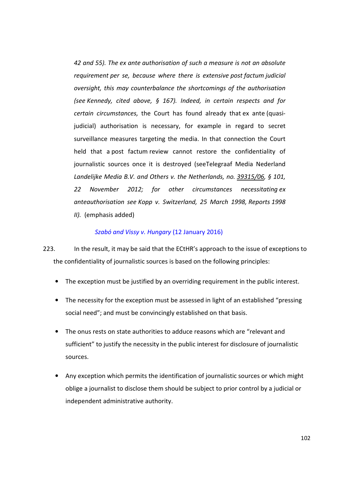42 and 55). The ex ante authorisation of such a measure is not an absolute requirement per se, because where there is extensive post factum judicial oversight, this may counterbalance the shortcomings of the authorisation (see Kennedy, cited above, § 167). Indeed, in certain respects and for certain circumstances, the Court has found already that ex ante (quasijudicial) authorisation is necessary, for example in regard to secret surveillance measures targeting the media. In that connection the Court held that a post factum review cannot restore the confidentiality of journalistic sources once it is destroyed (seeTelegraaf Media Nederland Landelijke Media B.V. and Others v. the Netherlands, no. 39315/06, § 101, 22 November 2012; for other circumstances necessitating ex anteauthorisation see Kopp v. Switzerland, 25 March 1998, Reports 1998 II). (emphasis added)

## Szabó and Vissy v. Hungary (12 January 2016)

223. In the result, it may be said that the ECtHR's approach to the issue of exceptions to the confidentiality of journalistic sources is based on the following principles:

- The exception must be justified by an overriding requirement in the public interest.
- The necessity for the exception must be assessed in light of an established "pressing" social need"; and must be convincingly established on that basis.
- The onus rests on state authorities to adduce reasons which are "relevant and sufficient" to justify the necessity in the public interest for disclosure of journalistic sources.
- Any exception which permits the identification of journalistic sources or which might oblige a journalist to disclose them should be subject to prior control by a judicial or independent administrative authority.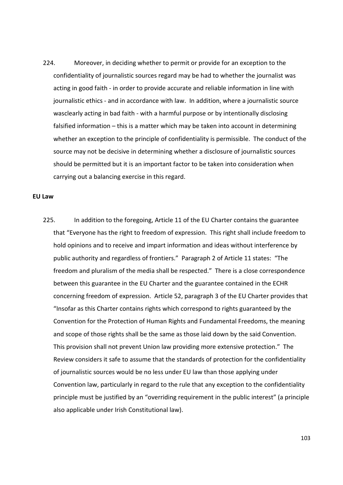224. Moreover, in deciding whether to permit or provide for an exception to the confidentiality of journalistic sources regard may be had to whether the journalist was acting in good faith - in order to provide accurate and reliable information in line with journalistic ethics - and in accordance with law. In addition, where a journalistic source wasclearly acting in bad faith - with a harmful purpose or by intentionally disclosing falsified information – this is a matter which may be taken into account in determining whether an exception to the principle of confidentiality is permissible. The conduct of the source may not be decisive in determining whether a disclosure of journalistic sources should be permitted but it is an important factor to be taken into consideration when carrying out a balancing exercise in this regard.

#### EU Law

225. In addition to the foregoing, Article 11 of the EU Charter contains the guarantee that "Everyone has the right to freedom of expression. This right shall include freedom to hold opinions and to receive and impart information and ideas without interference by public authority and regardless of frontiers." Paragraph 2 of Article 11 states: "The freedom and pluralism of the media shall be respected." There is a close correspondence between this guarantee in the EU Charter and the guarantee contained in the ECHR concerning freedom of expression. Article 52, paragraph 3 of the EU Charter provides that "Insofar as this Charter contains rights which correspond to rights guaranteed by the Convention for the Protection of Human Rights and Fundamental Freedoms, the meaning and scope of those rights shall be the same as those laid down by the said Convention. This provision shall not prevent Union law providing more extensive protection." The Review considers it safe to assume that the standards of protection for the confidentiality of journalistic sources would be no less under EU law than those applying under Convention law, particularly in regard to the rule that any exception to the confidentiality principle must be justified by an "overriding requirement in the public interest" (a principle also applicable under Irish Constitutional law).

103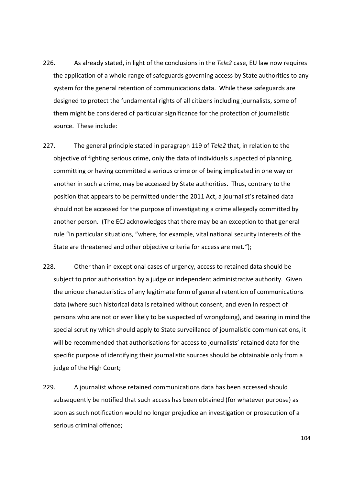- 226. As already stated, in light of the conclusions in the Tele2 case, EU law now requires the application of a whole range of safeguards governing access by State authorities to any system for the general retention of communications data. While these safeguards are designed to protect the fundamental rights of all citizens including journalists, some of them might be considered of particular significance for the protection of journalistic source. These include:
- 227. The general principle stated in paragraph 119 of Tele2 that, in relation to the objective of fighting serious crime, only the data of individuals suspected of planning, committing or having committed a serious crime or of being implicated in one way or another in such a crime, may be accessed by State authorities. Thus, contrary to the position that appears to be permitted under the 2011 Act, a journalist's retained data should not be accessed for the purpose of investigating a crime allegedly committed by another person. (The ECJ acknowledges that there may be an exception to that general rule "in particular situations, "where, for example, vital national security interests of the State are threatened and other objective criteria for access are met.");
- 228. Other than in exceptional cases of urgency, access to retained data should be subject to prior authorisation by a judge or independent administrative authority. Given the unique characteristics of any legitimate form of general retention of communications data (where such historical data is retained without consent, and even in respect of persons who are not or ever likely to be suspected of wrongdoing), and bearing in mind the special scrutiny which should apply to State surveillance of journalistic communications, it will be recommended that authorisations for access to journalists' retained data for the specific purpose of identifying their journalistic sources should be obtainable only from a judge of the High Court;
- 229. A journalist whose retained communications data has been accessed should subsequently be notified that such access has been obtained (for whatever purpose) as soon as such notification would no longer prejudice an investigation or prosecution of a serious criminal offence;

104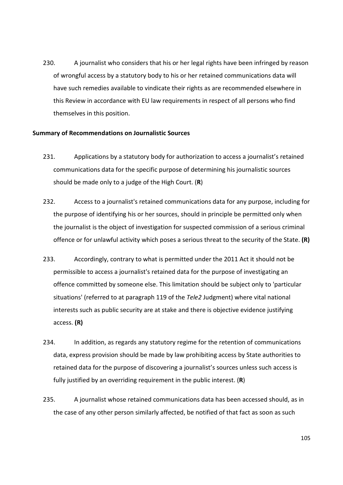230. A journalist who considers that his or her legal rights have been infringed by reason of wrongful access by a statutory body to his or her retained communications data will have such remedies available to vindicate their rights as are recommended elsewhere in this Review in accordance with EU law requirements in respect of all persons who find themselves in this position.

# Summary of Recommendations on Journalistic Sources

- 231. Applications by a statutory body for authorization to access a journalist's retained communications data for the specific purpose of determining his journalistic sources should be made only to a judge of the High Court.  $(R)$
- 232. Access to a journalist's retained communications data for any purpose, including for the purpose of identifying his or her sources, should in principle be permitted only when the journalist is the object of investigation for suspected commission of a serious criminal offence or for unlawful activity which poses a serious threat to the security of the State. (R)
- 233. Accordingly, contrary to what is permitted under the 2011 Act it should not be permissible to access a journalist's retained data for the purpose of investigating an offence committed by someone else. This limitation should be subject only to 'particular situations' (referred to at paragraph 119 of the Tele2 Judgment) where vital national interests such as public security are at stake and there is objective evidence justifying access. (R)
- 234. In addition, as regards any statutory regime for the retention of communications data, express provision should be made by law prohibiting access by State authorities to retained data for the purpose of discovering a journalist's sources unless such access is fully justified by an overriding requirement in the public interest. (R)
- 235. A journalist whose retained communications data has been accessed should, as in the case of any other person similarly affected, be notified of that fact as soon as such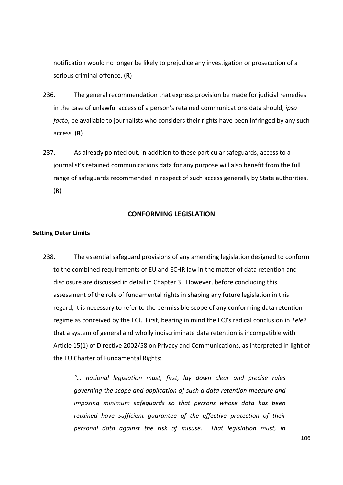notification would no longer be likely to prejudice any investigation or prosecution of a serious criminal offence. (R)

- 236. The general recommendation that express provision be made for judicial remedies in the case of unlawful access of a person's retained communications data should, *ipso* facto, be available to journalists who considers their rights have been infringed by any such access. (R)
- 237. As already pointed out, in addition to these particular safeguards, access to a journalist's retained communications data for any purpose will also benefit from the full range of safeguards recommended in respect of such access generally by State authorities. (R)

# CONFORMING LEGISLATION

## Setting Outer Limits

238. The essential safeguard provisions of any amending legislation designed to conform to the combined requirements of EU and ECHR law in the matter of data retention and disclosure are discussed in detail in Chapter 3. However, before concluding this assessment of the role of fundamental rights in shaping any future legislation in this regard, it is necessary to refer to the permissible scope of any conforming data retention regime as conceived by the ECJ. First, bearing in mind the ECJ's radical conclusion in Tele2 that a system of general and wholly indiscriminate data retention is incompatible with Article 15(1) of Directive 2002/58 on Privacy and Communications, as interpreted in light of the EU Charter of Fundamental Rights:

> "… national legislation must, first, lay down clear and precise rules governing the scope and application of such a data retention measure and imposing minimum safeguards so that persons whose data has been retained have sufficient guarantee of the effective protection of their personal data against the risk of misuse. That legislation must, in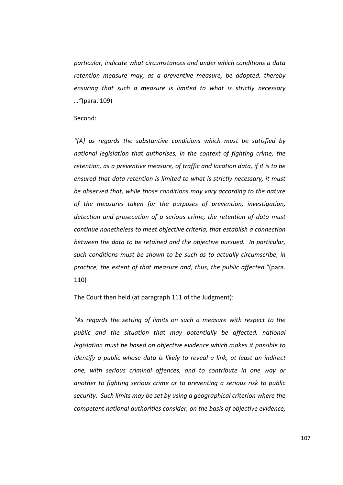particular, indicate what circumstances and under which conditions a data retention measure may, as a preventive measure, be adopted, thereby ensuring that such a measure is limited to what is strictly necessary …"(para. 109)

#### Second:

"[A] as regards the substantive conditions which must be satisfied by national legislation that authorises, in the context of fighting crime, the retention, as a preventive measure, of traffic and location data, if it is to be ensured that data retention is limited to what is strictly necessary, it must be observed that, while those conditions may vary according to the nature of the measures taken for the purposes of prevention, investigation, detection and prosecution of a serious crime, the retention of data must continue nonetheless to meet objective criteria, that establish a connection between the data to be retained and the objective pursued. In particular, such conditions must be shown to be such as to actually circumscribe, in practice, the extent of that measure and, thus, the public affected."(para. 110)

The Court then held (at paragraph 111 of the Judgment):

"As regards the setting of limits on such a measure with respect to the public and the situation that may potentially be affected, national legislation must be based on objective evidence which makes it possible to identify a public whose data is likely to reveal a link, at least an indirect one, with serious criminal offences, and to contribute in one way or another to fighting serious crime or to preventing a serious risk to public security. Such limits may be set by using a geographical criterion where the competent national authorities consider, on the basis of objective evidence,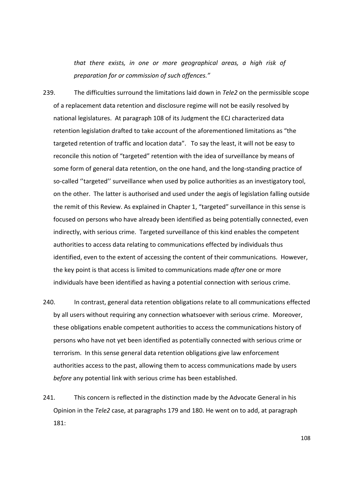that there exists, in one or more geographical areas, a high risk of preparation for or commission of such offences."

- 239. The difficulties surround the limitations laid down in Tele2 on the permissible scope of a replacement data retention and disclosure regime will not be easily resolved by national legislatures. At paragraph 108 of its Judgment the ECJ characterized data retention legislation drafted to take account of the aforementioned limitations as "the targeted retention of traffic and location data". To say the least, it will not be easy to reconcile this notion of "targeted" retention with the idea of surveillance by means of some form of general data retention, on the one hand, and the long-standing practice of so-called ''targeted'' surveillance when used by police authorities as an investigatory tool, on the other. The latter is authorised and used under the aegis of legislation falling outside the remit of this Review. As explained in Chapter 1, "targeted" surveillance in this sense is focused on persons who have already been identified as being potentially connected, even indirectly, with serious crime. Targeted surveillance of this kind enables the competent authorities to access data relating to communications effected by individuals thus identified, even to the extent of accessing the content of their communications. However, the key point is that access is limited to communications made *after* one or more individuals have been identified as having a potential connection with serious crime.
- 240. In contrast, general data retention obligations relate to all communications effected by all users without requiring any connection whatsoever with serious crime. Moreover, these obligations enable competent authorities to access the communications history of persons who have not yet been identified as potentially connected with serious crime or terrorism. In this sense general data retention obligations give law enforcement authorities access to the past, allowing them to access communications made by users before any potential link with serious crime has been established.
- 241. This concern is reflected in the distinction made by the Advocate General in his Opinion in the Tele2 case, at paragraphs 179 and 180. He went on to add, at paragraph 181:

108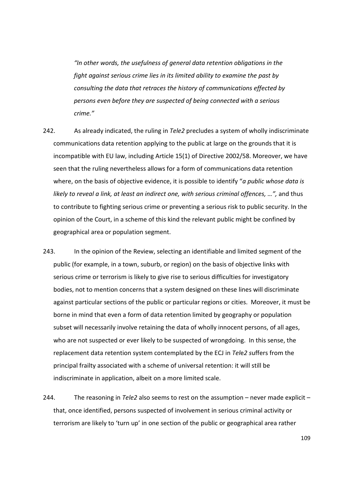"In other words, the usefulness of general data retention obligations in the fight against serious crime lies in its limited ability to examine the past by consulting the data that retraces the history of communications effected by persons even before they are suspected of being connected with a serious crime."

- 242. As already indicated, the ruling in Tele2 precludes a system of wholly indiscriminate communications data retention applying to the public at large on the grounds that it is incompatible with EU law, including Article 15(1) of Directive 2002/58. Moreover, we have seen that the ruling nevertheless allows for a form of communications data retention where, on the basis of objective evidence, it is possible to identify "a public whose data is likely to reveal a link, at least an indirect one, with serious criminal offences, ...", and thus to contribute to fighting serious crime or preventing a serious risk to public security. In the opinion of the Court, in a scheme of this kind the relevant public might be confined by geographical area or population segment.
- 243. In the opinion of the Review, selecting an identifiable and limited segment of the public (for example, in a town, suburb, or region) on the basis of objective links with serious crime or terrorism is likely to give rise to serious difficulties for investigatory bodies, not to mention concerns that a system designed on these lines will discriminate against particular sections of the public or particular regions or cities. Moreover, it must be borne in mind that even a form of data retention limited by geography or population subset will necessarily involve retaining the data of wholly innocent persons, of all ages, who are not suspected or ever likely to be suspected of wrongdoing. In this sense, the replacement data retention system contemplated by the ECJ in Tele2 suffers from the principal frailty associated with a scheme of universal retention: it will still be indiscriminate in application, albeit on a more limited scale.
- 244. The reasoning in Tele2 also seems to rest on the assumption never made explicit that, once identified, persons suspected of involvement in serious criminal activity or terrorism are likely to 'turn up' in one section of the public or geographical area rather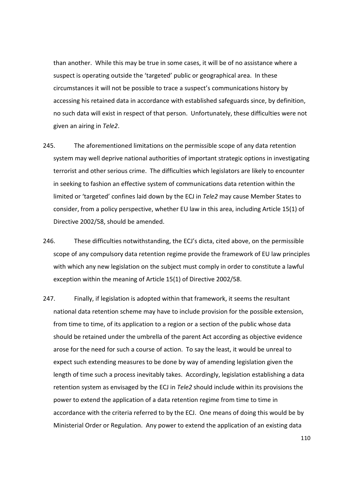than another. While this may be true in some cases, it will be of no assistance where a suspect is operating outside the 'targeted' public or geographical area. In these circumstances it will not be possible to trace a suspect's communications history by accessing his retained data in accordance with established safeguards since, by definition, no such data will exist in respect of that person. Unfortunately, these difficulties were not given an airing in Tele2.

- 245. The aforementioned limitations on the permissible scope of any data retention system may well deprive national authorities of important strategic options in investigating terrorist and other serious crime. The difficulties which legislators are likely to encounter in seeking to fashion an effective system of communications data retention within the limited or 'targeted' confines laid down by the ECJ in Tele2 may cause Member States to consider, from a policy perspective, whether EU law in this area, including Article 15(1) of Directive 2002/58, should be amended.
- 246. These difficulties notwithstanding, the ECJ's dicta, cited above, on the permissible scope of any compulsory data retention regime provide the framework of EU law principles with which any new legislation on the subject must comply in order to constitute a lawful exception within the meaning of Article 15(1) of Directive 2002/58.
- 247. Finally, if legislation is adopted within that framework, it seems the resultant national data retention scheme may have to include provision for the possible extension, from time to time, of its application to a region or a section of the public whose data should be retained under the umbrella of the parent Act according as objective evidence arose for the need for such a course of action. To say the least, it would be unreal to expect such extending measures to be done by way of amending legislation given the length of time such a process inevitably takes. Accordingly, legislation establishing a data retention system as envisaged by the ECJ in Tele2 should include within its provisions the power to extend the application of a data retention regime from time to time in accordance with the criteria referred to by the ECJ. One means of doing this would be by Ministerial Order or Regulation. Any power to extend the application of an existing data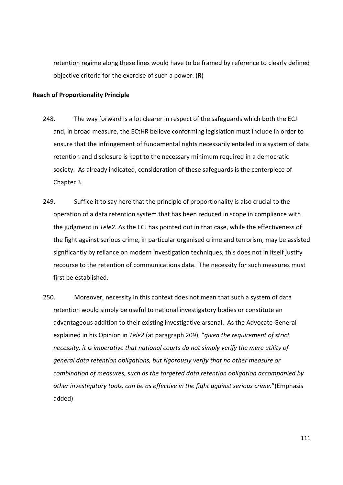retention regime along these lines would have to be framed by reference to clearly defined objective criteria for the exercise of such a power.  $(R)$ 

#### Reach of Proportionality Principle

- 248. The way forward is a lot clearer in respect of the safeguards which both the ECJ and, in broad measure, the ECtHR believe conforming legislation must include in order to ensure that the infringement of fundamental rights necessarily entailed in a system of data retention and disclosure is kept to the necessary minimum required in a democratic society. As already indicated, consideration of these safeguards is the centerpiece of Chapter 3.
- 249. Suffice it to say here that the principle of proportionality is also crucial to the operation of a data retention system that has been reduced in scope in compliance with the judgment in Tele2. As the ECJ has pointed out in that case, while the effectiveness of the fight against serious crime, in particular organised crime and terrorism, may be assisted significantly by reliance on modern investigation techniques, this does not in itself justify recourse to the retention of communications data. The necessity for such measures must first be established.
- 250. Moreover, necessity in this context does not mean that such a system of data retention would simply be useful to national investigatory bodies or constitute an advantageous addition to their existing investigative arsenal. As the Advocate General explained in his Opinion in Tele2 (at paragraph 209), "given the requirement of strict necessity, it is imperative that national courts do not simply verify the mere utility of general data retention obligations, but rigorously verify that no other measure or combination of measures, such as the targeted data retention obligation accompanied by other investigatory tools, can be as effective in the fight against serious crime."(Emphasis added)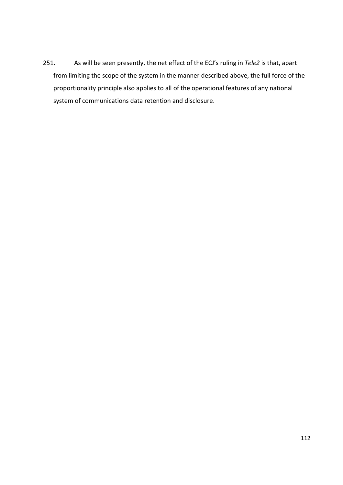251. As will be seen presently, the net effect of the ECJ's ruling in Tele2 is that, apart from limiting the scope of the system in the manner described above, the full force of the proportionality principle also applies to all of the operational features of any national system of communications data retention and disclosure.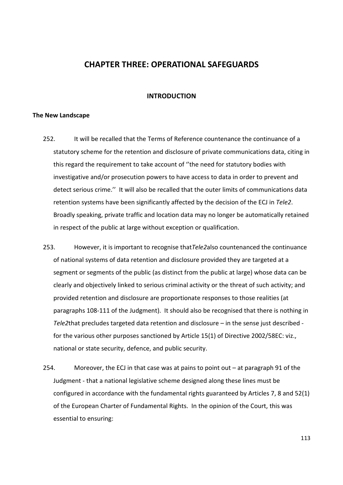# CHAPTER THREE: OPERATIONAL SAFEGUARDS

# INTRODUCTION

#### The New Landscape

- 252. It will be recalled that the Terms of Reference countenance the continuance of a statutory scheme for the retention and disclosure of private communications data, citing in this regard the requirement to take account of ''the need for statutory bodies with investigative and/or prosecution powers to have access to data in order to prevent and detect serious crime.'' It will also be recalled that the outer limits of communications data retention systems have been significantly affected by the decision of the ECJ in Tele2. Broadly speaking, private traffic and location data may no longer be automatically retained in respect of the public at large without exception or qualification.
- 253. However, it is important to recognise that Tele 2also countenanced the continuance of national systems of data retention and disclosure provided they are targeted at a segment or segments of the public (as distinct from the public at large) whose data can be clearly and objectively linked to serious criminal activity or the threat of such activity; and provided retention and disclosure are proportionate responses to those realities (at paragraphs 108-111 of the Judgment). It should also be recognised that there is nothing in Tele2that precludes targeted data retention and disclosure – in the sense just described for the various other purposes sanctioned by Article 15(1) of Directive 2002/58EC: viz., national or state security, defence, and public security.
- 254. Moreover, the ECJ in that case was at pains to point out at paragraph 91 of the Judgment - that a national legislative scheme designed along these lines must be configured in accordance with the fundamental rights guaranteed by Articles 7, 8 and 52(1) of the European Charter of Fundamental Rights. In the opinion of the Court, this was essential to ensuring: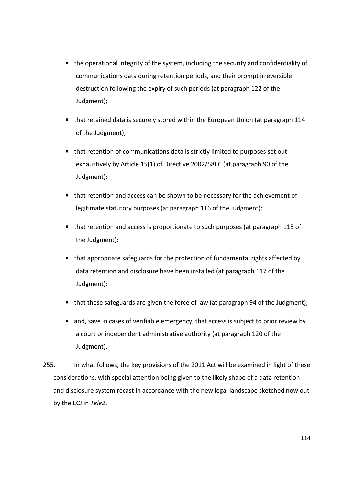- the operational integrity of the system, including the security and confidentiality of communications data during retention periods, and their prompt irreversible destruction following the expiry of such periods (at paragraph 122 of the Judgment);
- that retained data is securely stored within the European Union (at paragraph 114 of the Judgment);
- that retention of communications data is strictly limited to purposes set out exhaustively by Article 15(1) of Directive 2002/58EC (at paragraph 90 of the Judgment);
- that retention and access can be shown to be necessary for the achievement of legitimate statutory purposes (at paragraph 116 of the Judgment);
- that retention and access is proportionate to such purposes (at paragraph 115 of the Judgment);
- that appropriate safeguards for the protection of fundamental rights affected by data retention and disclosure have been installed (at paragraph 117 of the Judgment);
- that these safeguards are given the force of law (at paragraph 94 of the Judgment);
- and, save in cases of verifiable emergency, that access is subject to prior review by a court or independent administrative authority (at paragraph 120 of the Judgment).
- 255. In what follows, the key provisions of the 2011 Act will be examined in light of these considerations, with special attention being given to the likely shape of a data retention and disclosure system recast in accordance with the new legal landscape sketched now out by the ECJ in Tele2.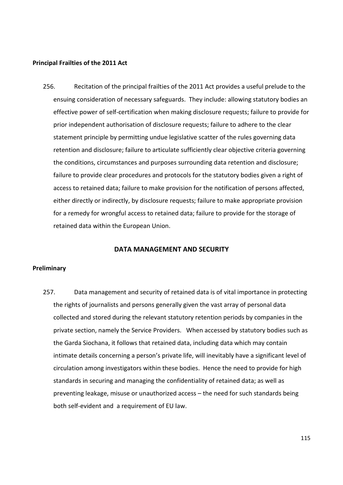#### Principal Frailties of the 2011 Act

256. Recitation of the principal frailties of the 2011 Act provides a useful prelude to the ensuing consideration of necessary safeguards. They include: allowing statutory bodies an effective power of self-certification when making disclosure requests; failure to provide for prior independent authorisation of disclosure requests; failure to adhere to the clear statement principle by permitting undue legislative scatter of the rules governing data retention and disclosure; failure to articulate sufficiently clear objective criteria governing the conditions, circumstances and purposes surrounding data retention and disclosure; failure to provide clear procedures and protocols for the statutory bodies given a right of access to retained data; failure to make provision for the notification of persons affected, either directly or indirectly, by disclosure requests; failure to make appropriate provision for a remedy for wrongful access to retained data; failure to provide for the storage of retained data within the European Union.

# DATA MANAGEMENT AND SECURITY

## Preliminary

257. Data management and security of retained data is of vital importance in protecting the rights of journalists and persons generally given the vast array of personal data collected and stored during the relevant statutory retention periods by companies in the private section, namely the Service Providers. When accessed by statutory bodies such as the Garda Siochana, it follows that retained data, including data which may contain intimate details concerning a person's private life, will inevitably have a significant level of circulation among investigators within these bodies. Hence the need to provide for high standards in securing and managing the confidentiality of retained data; as well as preventing leakage, misuse or unauthorized access – the need for such standards being both self-evident and a requirement of EU law.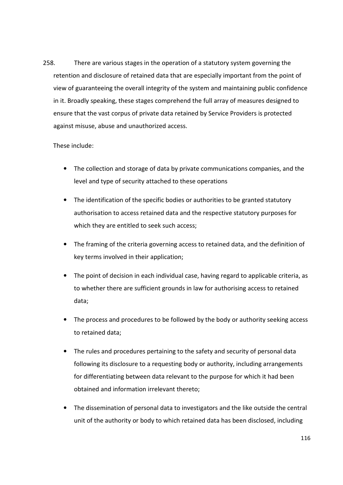258. There are various stages in the operation of a statutory system governing the retention and disclosure of retained data that are especially important from the point of view of guaranteeing the overall integrity of the system and maintaining public confidence in it. Broadly speaking, these stages comprehend the full array of measures designed to ensure that the vast corpus of private data retained by Service Providers is protected against misuse, abuse and unauthorized access.

# These include:

- The collection and storage of data by private communications companies, and the level and type of security attached to these operations
- The identification of the specific bodies or authorities to be granted statutory authorisation to access retained data and the respective statutory purposes for which they are entitled to seek such access;
- The framing of the criteria governing access to retained data, and the definition of key terms involved in their application;
- The point of decision in each individual case, having regard to applicable criteria, as to whether there are sufficient grounds in law for authorising access to retained data;
- The process and procedures to be followed by the body or authority seeking access to retained data;
- The rules and procedures pertaining to the safety and security of personal data following its disclosure to a requesting body or authority, including arrangements for differentiating between data relevant to the purpose for which it had been obtained and information irrelevant thereto;
- The dissemination of personal data to investigators and the like outside the central unit of the authority or body to which retained data has been disclosed, including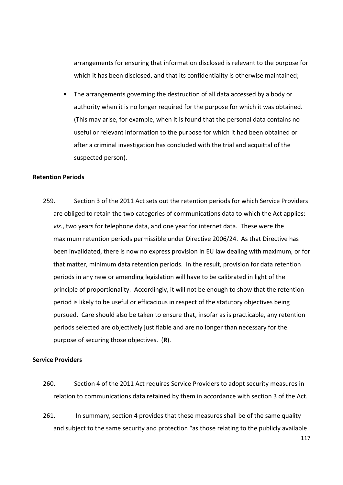arrangements for ensuring that information disclosed is relevant to the purpose for which it has been disclosed, and that its confidentiality is otherwise maintained;

• The arrangements governing the destruction of all data accessed by a body or authority when it is no longer required for the purpose for which it was obtained. (This may arise, for example, when it is found that the personal data contains no useful or relevant information to the purpose for which it had been obtained or after a criminal investigation has concluded with the trial and acquittal of the suspected person).

## Retention Periods

259. Section 3 of the 2011 Act sets out the retention periods for which Service Providers are obliged to retain the two categories of communications data to which the Act applies: viz., two years for telephone data, and one year for internet data. These were the maximum retention periods permissible under Directive 2006/24. As that Directive has been invalidated, there is now no express provision in EU law dealing with maximum, or for that matter, minimum data retention periods. In the result, provision for data retention periods in any new or amending legislation will have to be calibrated in light of the principle of proportionality. Accordingly, it will not be enough to show that the retention period is likely to be useful or efficacious in respect of the statutory objectives being pursued. Care should also be taken to ensure that, insofar as is practicable, any retention periods selected are objectively justifiable and are no longer than necessary for the purpose of securing those objectives. (R).

#### Service Providers

- 260. Section 4 of the 2011 Act requires Service Providers to adopt security measures in relation to communications data retained by them in accordance with section 3 of the Act.
- 261. In summary, section 4 provides that these measures shall be of the same quality and subject to the same security and protection "as those relating to the publicly available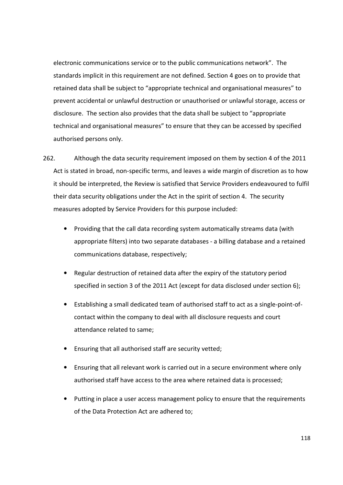electronic communications service or to the public communications network". The standards implicit in this requirement are not defined. Section 4 goes on to provide that retained data shall be subject to "appropriate technical and organisational measures" to prevent accidental or unlawful destruction or unauthorised or unlawful storage, access or disclosure. The section also provides that the data shall be subject to "appropriate technical and organisational measures" to ensure that they can be accessed by specified authorised persons only.

262. Although the data security requirement imposed on them by section 4 of the 2011 Act is stated in broad, non-specific terms, and leaves a wide margin of discretion as to how it should be interpreted, the Review is satisfied that Service Providers endeavoured to fulfil their data security obligations under the Act in the spirit of section 4. The security measures adopted by Service Providers for this purpose included:

- Providing that the call data recording system automatically streams data (with appropriate filters) into two separate databases - a billing database and a retained communications database, respectively;
- Regular destruction of retained data after the expiry of the statutory period specified in section 3 of the 2011 Act (except for data disclosed under section 6);
- Establishing a small dedicated team of authorised staff to act as a single-point-ofcontact within the company to deal with all disclosure requests and court attendance related to same;
- Ensuring that all authorised staff are security vetted;
- Ensuring that all relevant work is carried out in a secure environment where only authorised staff have access to the area where retained data is processed;
- Putting in place a user access management policy to ensure that the requirements of the Data Protection Act are adhered to;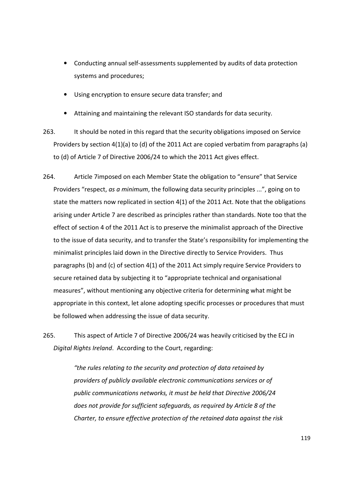- Conducting annual self-assessments supplemented by audits of data protection systems and procedures;
- Using encryption to ensure secure data transfer; and
- Attaining and maintaining the relevant ISO standards for data security.
- 263. It should be noted in this regard that the security obligations imposed on Service Providers by section 4(1)(a) to (d) of the 2011 Act are copied verbatim from paragraphs (a) to (d) of Article 7 of Directive 2006/24 to which the 2011 Act gives effect.
- 264. Article 7imposed on each Member State the obligation to "ensure" that Service Providers "respect, as a minimum, the following data security principles ...", going on to state the matters now replicated in section 4(1) of the 2011 Act. Note that the obligations arising under Article 7 are described as principles rather than standards. Note too that the effect of section 4 of the 2011 Act is to preserve the minimalist approach of the Directive to the issue of data security, and to transfer the State's responsibility for implementing the minimalist principles laid down in the Directive directly to Service Providers. Thus paragraphs (b) and (c) of section 4(1) of the 2011 Act simply require Service Providers to secure retained data by subjecting it to "appropriate technical and organisational measures", without mentioning any objective criteria for determining what might be appropriate in this context, let alone adopting specific processes or procedures that must be followed when addressing the issue of data security.

265. This aspect of Article 7 of Directive 2006/24 was heavily criticised by the ECJ in Digital Rights Ireland. According to the Court, regarding:

> "the rules relating to the security and protection of data retained by providers of publicly available electronic communications services or of public communications networks, it must be held that Directive 2006/24 does not provide for sufficient safeguards, as required by Article 8 of the Charter, to ensure effective protection of the retained data against the risk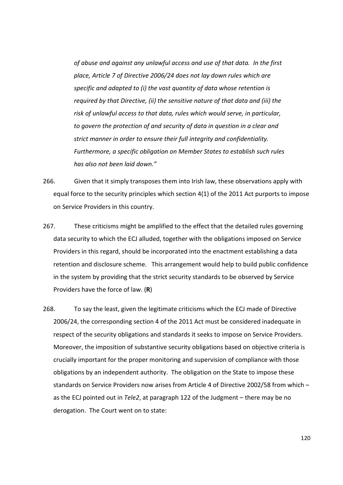of abuse and against any unlawful access and use of that data. In the first place, Article 7 of Directive 2006/24 does not lay down rules which are specific and adapted to (i) the vast quantity of data whose retention is required by that Directive, (ii) the sensitive nature of that data and (iii) the risk of unlawful access to that data, rules which would serve, in particular, to govern the protection of and security of data in question in a clear and strict manner in order to ensure their full integrity and confidentiality. Furthermore, a specific obligation on Member States to establish such rules has also not been laid down."

- 266. Given that it simply transposes them into Irish law, these observations apply with equal force to the security principles which section 4(1) of the 2011 Act purports to impose on Service Providers in this country.
- 267. These criticisms might be amplified to the effect that the detailed rules governing data security to which the ECJ alluded, together with the obligations imposed on Service Providers in this regard, should be incorporated into the enactment establishing a data retention and disclosure scheme. This arrangement would help to build public confidence in the system by providing that the strict security standards to be observed by Service Providers have the force of law. (R)
- 268. To say the least, given the legitimate criticisms which the ECJ made of Directive 2006/24, the corresponding section 4 of the 2011 Act must be considered inadequate in respect of the security obligations and standards it seeks to impose on Service Providers. Moreover, the imposition of substantive security obligations based on objective criteria is crucially important for the proper monitoring and supervision of compliance with those obligations by an independent authority. The obligation on the State to impose these standards on Service Providers now arises from Article 4 of Directive 2002/58 from which – as the ECJ pointed out in Tele2, at paragraph 122 of the Judgment – there may be no derogation. The Court went on to state: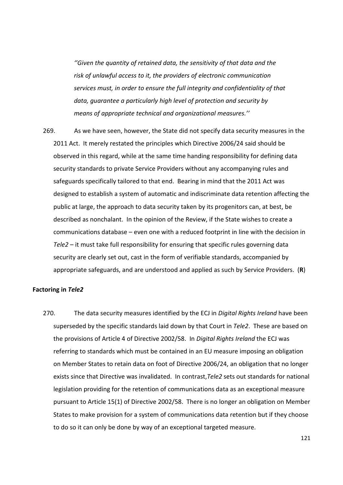''Given the quantity of retained data, the sensitivity of that data and the risk of unlawful access to it, the providers of electronic communication services must, in order to ensure the full integrity and confidentiality of that data, guarantee a particularly high level of protection and security by means of appropriate technical and organizational measures.''

269. As we have seen, however, the State did not specify data security measures in the 2011 Act. It merely restated the principles which Directive 2006/24 said should be observed in this regard, while at the same time handing responsibility for defining data security standards to private Service Providers without any accompanying rules and safeguards specifically tailored to that end. Bearing in mind that the 2011 Act was designed to establish a system of automatic and indiscriminate data retention affecting the public at large, the approach to data security taken by its progenitors can, at best, be described as nonchalant. In the opinion of the Review, if the State wishes to create a communications database – even one with a reduced footprint in line with the decision in Tele2 – it must take full responsibility for ensuring that specific rules governing data security are clearly set out, cast in the form of verifiable standards, accompanied by appropriate safeguards, and are understood and applied as such by Service Providers.  $(R)$ 

## Factoring in Tele2

270. The data security measures identified by the ECJ in Digital Rights Ireland have been superseded by the specific standards laid down by that Court in Tele2. These are based on the provisions of Article 4 of Directive 2002/58. In Digital Rights Ireland the ECJ was referring to standards which must be contained in an EU measure imposing an obligation on Member States to retain data on foot of Directive 2006/24, an obligation that no longer exists since that Directive was invalidated. In contrast, Tele2 sets out standards for national legislation providing for the retention of communications data as an exceptional measure pursuant to Article 15(1) of Directive 2002/58. There is no longer an obligation on Member States to make provision for a system of communications data retention but if they choose to do so it can only be done by way of an exceptional targeted measure.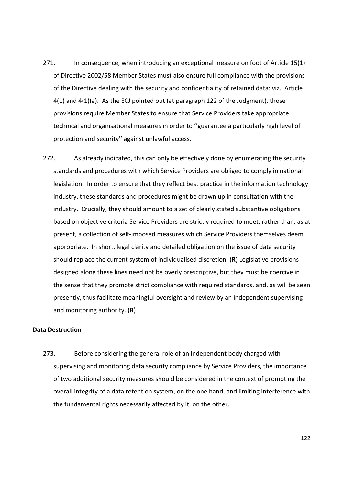- 271. In consequence, when introducing an exceptional measure on foot of Article 15(1) of Directive 2002/58 Member States must also ensure full compliance with the provisions of the Directive dealing with the security and confidentiality of retained data: viz., Article 4(1) and 4(1)(a). As the ECJ pointed out (at paragraph 122 of the Judgment), those provisions require Member States to ensure that Service Providers take appropriate technical and organisational measures in order to ''guarantee a particularly high level of protection and security'' against unlawful access.
- 272. As already indicated, this can only be effectively done by enumerating the security standards and procedures with which Service Providers are obliged to comply in national legislation. In order to ensure that they reflect best practice in the information technology industry, these standards and procedures might be drawn up in consultation with the industry. Crucially, they should amount to a set of clearly stated substantive obligations based on objective criteria Service Providers are strictly required to meet, rather than, as at present, a collection of self-imposed measures which Service Providers themselves deem appropriate. In short, legal clarity and detailed obligation on the issue of data security should replace the current system of individualised discretion. (R) Legislative provisions designed along these lines need not be overly prescriptive, but they must be coercive in the sense that they promote strict compliance with required standards, and, as will be seen presently, thus facilitate meaningful oversight and review by an independent supervising and monitoring authority. (R)

#### Data Destruction

273. Before considering the general role of an independent body charged with supervising and monitoring data security compliance by Service Providers, the importance of two additional security measures should be considered in the context of promoting the overall integrity of a data retention system, on the one hand, and limiting interference with the fundamental rights necessarily affected by it, on the other.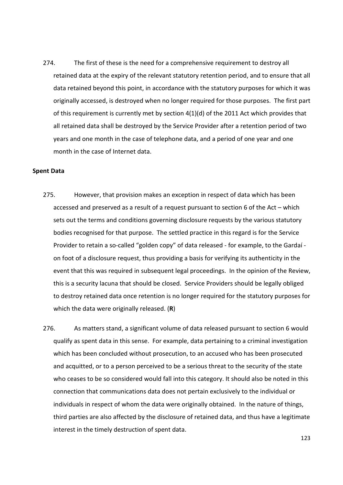274. The first of these is the need for a comprehensive requirement to destroy all retained data at the expiry of the relevant statutory retention period, and to ensure that all data retained beyond this point, in accordance with the statutory purposes for which it was originally accessed, is destroyed when no longer required for those purposes. The first part of this requirement is currently met by section 4(1)(d) of the 2011 Act which provides that all retained data shall be destroyed by the Service Provider after a retention period of two years and one month in the case of telephone data, and a period of one year and one month in the case of Internet data.

#### Spent Data

- 275. However, that provision makes an exception in respect of data which has been accessed and preserved as a result of a request pursuant to section 6 of the Act – which sets out the terms and conditions governing disclosure requests by the various statutory bodies recognised for that purpose. The settled practice in this regard is for the Service Provider to retain a so-called "golden copy" of data released - for example, to the Gardaí on foot of a disclosure request, thus providing a basis for verifying its authenticity in the event that this was required in subsequent legal proceedings. In the opinion of the Review, this is a security lacuna that should be closed. Service Providers should be legally obliged to destroy retained data once retention is no longer required for the statutory purposes for which the data were originally released. (R)
- 276. As matters stand, a significant volume of data released pursuant to section 6 would qualify as spent data in this sense. For example, data pertaining to a criminal investigation which has been concluded without prosecution, to an accused who has been prosecuted and acquitted, or to a person perceived to be a serious threat to the security of the state who ceases to be so considered would fall into this category. It should also be noted in this connection that communications data does not pertain exclusively to the individual or individuals in respect of whom the data were originally obtained. In the nature of things, third parties are also affected by the disclosure of retained data, and thus have a legitimate interest in the timely destruction of spent data.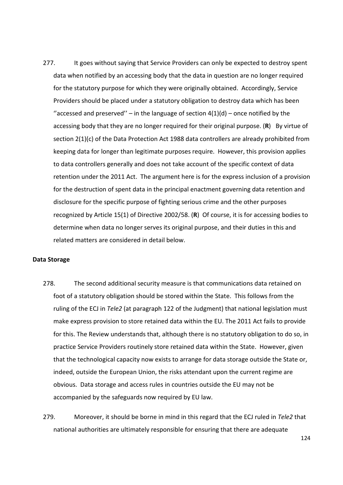277. It goes without saying that Service Providers can only be expected to destroy spent data when notified by an accessing body that the data in question are no longer required for the statutory purpose for which they were originally obtained. Accordingly, Service Providers should be placed under a statutory obligation to destroy data which has been "accessed and preserved" – in the language of section  $4(1)(d)$  – once notified by the accessing body that they are no longer required for their original purpose.  $(R)$  By virtue of section 2(1)(c) of the Data Protection Act 1988 data controllers are already prohibited from keeping data for longer than legitimate purposes require. However, this provision applies to data controllers generally and does not take account of the specific context of data retention under the 2011 Act. The argument here is for the express inclusion of a provision for the destruction of spent data in the principal enactment governing data retention and disclosure for the specific purpose of fighting serious crime and the other purposes recognized by Article 15(1) of Directive 2002/58. (R) Of course, it is for accessing bodies to determine when data no longer serves its original purpose, and their duties in this and related matters are considered in detail below.

#### Data Storage

- 278. The second additional security measure is that communications data retained on foot of a statutory obligation should be stored within the State. This follows from the ruling of the ECJ in Tele2 (at paragraph 122 of the Judgment) that national legislation must make express provision to store retained data within the EU. The 2011 Act fails to provide for this. The Review understands that, although there is no statutory obligation to do so, in practice Service Providers routinely store retained data within the State. However, given that the technological capacity now exists to arrange for data storage outside the State or, indeed, outside the European Union, the risks attendant upon the current regime are obvious. Data storage and access rules in countries outside the EU may not be accompanied by the safeguards now required by EU law.
- 279. Moreover, it should be borne in mind in this regard that the ECJ ruled in Tele2 that national authorities are ultimately responsible for ensuring that there are adequate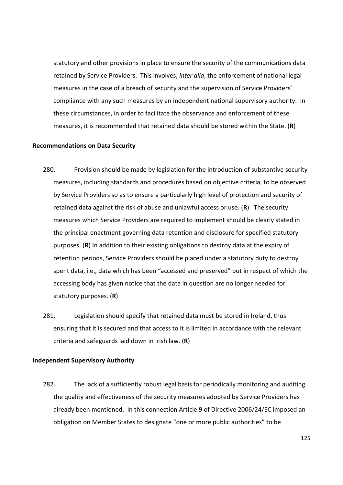statutory and other provisions in place to ensure the security of the communications data retained by Service Providers. This involves, *inter alia*, the enforcement of national legal measures in the case of a breach of security and the supervision of Service Providers' compliance with any such measures by an independent national supervisory authority. In these circumstances, in order to facilitate the observance and enforcement of these measures, it is recommended that retained data should be stored within the State.  $(R)$ 

#### Recommendations on Data Security

- 280. Provision should be made by legislation for the introduction of substantive security measures, including standards and procedures based on objective criteria, to be observed by Service Providers so as to ensure a particularly high level of protection and security of retained data against the risk of abuse and unlawful access or use.  $(R)$  The security measures which Service Providers are required to implement should be clearly stated in the principal enactment governing data retention and disclosure for specified statutory purposes. (R) In addition to their existing obligations to destroy data at the expiry of retention periods, Service Providers should be placed under a statutory duty to destroy spent data, i.e., data which has been "accessed and preserved" but in respect of which the accessing body has given notice that the data in question are no longer needed for statutory purposes. (R)
- 281. Legislation should specify that retained data must be stored in Ireland, thus ensuring that it is secured and that access to it is limited in accordance with the relevant criteria and safeguards laid down in Irish law.  $(R)$

## Independent Supervisory Authority

282. The lack of a sufficiently robust legal basis for periodically monitoring and auditing the quality and effectiveness of the security measures adopted by Service Providers has already been mentioned. In this connection Article 9 of Directive 2006/24/EC imposed an obligation on Member States to designate "one or more public authorities" to be

125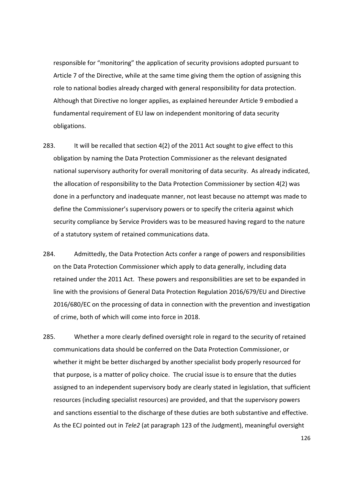responsible for "monitoring" the application of security provisions adopted pursuant to Article 7 of the Directive, while at the same time giving them the option of assigning this role to national bodies already charged with general responsibility for data protection. Although that Directive no longer applies, as explained hereunder Article 9 embodied a fundamental requirement of EU law on independent monitoring of data security obligations.

- 283. It will be recalled that section 4(2) of the 2011 Act sought to give effect to this obligation by naming the Data Protection Commissioner as the relevant designated national supervisory authority for overall monitoring of data security. As already indicated, the allocation of responsibility to the Data Protection Commissioner by section 4(2) was done in a perfunctory and inadequate manner, not least because no attempt was made to define the Commissioner's supervisory powers or to specify the criteria against which security compliance by Service Providers was to be measured having regard to the nature of a statutory system of retained communications data.
- 284. Admittedly, the Data Protection Acts confer a range of powers and responsibilities on the Data Protection Commissioner which apply to data generally, including data retained under the 2011 Act. These powers and responsibilities are set to be expanded in line with the provisions of General Data Protection Regulation 2016/679/EU and Directive 2016/680/EC on the processing of data in connection with the prevention and investigation of crime, both of which will come into force in 2018.
- 285. Whether a more clearly defined oversight role in regard to the security of retained communications data should be conferred on the Data Protection Commissioner, or whether it might be better discharged by another specialist body properly resourced for that purpose, is a matter of policy choice. The crucial issue is to ensure that the duties assigned to an independent supervisory body are clearly stated in legislation, that sufficient resources (including specialist resources) are provided, and that the supervisory powers and sanctions essential to the discharge of these duties are both substantive and effective. As the ECJ pointed out in Tele2 (at paragraph 123 of the Judgment), meaningful oversight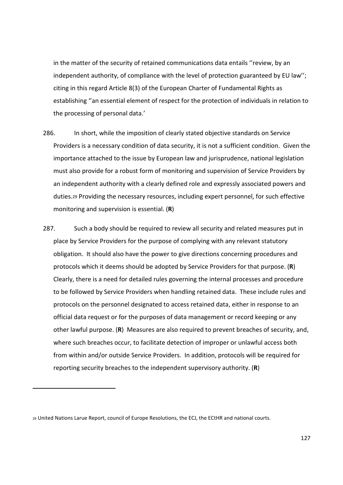in the matter of the security of retained communications data entails ''review, by an independent authority, of compliance with the level of protection guaranteed by EU law''; citing in this regard Article 8(3) of the European Charter of Fundamental Rights as establishing ''an essential element of respect for the protection of individuals in relation to the processing of personal data.'

- 286. In short, while the imposition of clearly stated objective standards on Service Providers is a necessary condition of data security, it is not a sufficient condition. Given the importance attached to the issue by European law and jurisprudence, national legislation must also provide for a robust form of monitoring and supervision of Service Providers by an independent authority with a clearly defined role and expressly associated powers and duties.29 Providing the necessary resources, including expert personnel, for such effective monitoring and supervision is essential. (R)
- 287. Such a body should be required to review all security and related measures put in place by Service Providers for the purpose of complying with any relevant statutory obligation. It should also have the power to give directions concerning procedures and protocols which it deems should be adopted by Service Providers for that purpose. (R) Clearly, there is a need for detailed rules governing the internal processes and procedure to be followed by Service Providers when handling retained data. These include rules and protocols on the personnel designated to access retained data, either in response to an official data request or for the purposes of data management or record keeping or any other lawful purpose. (R) Measures are also required to prevent breaches of security, and, where such breaches occur, to facilitate detection of improper or unlawful access both from within and/or outside Service Providers. In addition, protocols will be required for reporting security breaches to the independent supervisory authority. (R)

l

<sup>29</sup> United Nations Larue Report, council of Europe Resolutions, the ECJ, the ECtHR and national courts.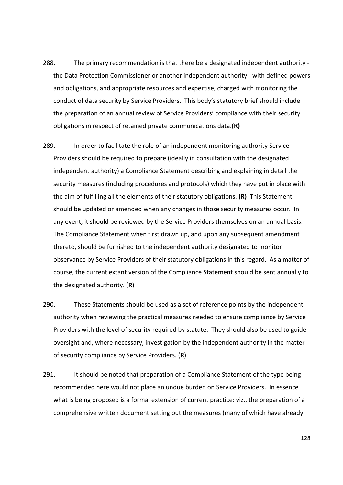- 288. The primary recommendation is that there be a designated independent authority the Data Protection Commissioner or another independent authority - with defined powers and obligations, and appropriate resources and expertise, charged with monitoring the conduct of data security by Service Providers. This body's statutory brief should include the preparation of an annual review of Service Providers' compliance with their security obligations in respect of retained private communications data.(R)
- 289. In order to facilitate the role of an independent monitoring authority Service Providers should be required to prepare (ideally in consultation with the designated independent authority) a Compliance Statement describing and explaining in detail the security measures (including procedures and protocols) which they have put in place with the aim of fulfilling all the elements of their statutory obligations.  $(R)$  This Statement should be updated or amended when any changes in those security measures occur. In any event, it should be reviewed by the Service Providers themselves on an annual basis. The Compliance Statement when first drawn up, and upon any subsequent amendment thereto, should be furnished to the independent authority designated to monitor observance by Service Providers of their statutory obligations in this regard. As a matter of course, the current extant version of the Compliance Statement should be sent annually to the designated authority. (R)
- 290. These Statements should be used as a set of reference points by the independent authority when reviewing the practical measures needed to ensure compliance by Service Providers with the level of security required by statute. They should also be used to guide oversight and, where necessary, investigation by the independent authority in the matter of security compliance by Service Providers. (R)
- 291. It should be noted that preparation of a Compliance Statement of the type being recommended here would not place an undue burden on Service Providers. In essence what is being proposed is a formal extension of current practice: viz., the preparation of a comprehensive written document setting out the measures (many of which have already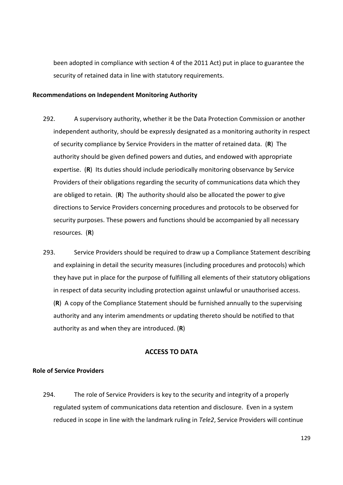been adopted in compliance with section 4 of the 2011 Act) put in place to guarantee the security of retained data in line with statutory requirements.

## Recommendations on Independent Monitoring Authority

- 292. A supervisory authority, whether it be the Data Protection Commission or another independent authority, should be expressly designated as a monitoring authority in respect of security compliance by Service Providers in the matter of retained data. (R) The authority should be given defined powers and duties, and endowed with appropriate expertise. (R) Its duties should include periodically monitoring observance by Service Providers of their obligations regarding the security of communications data which they are obliged to retain.  $(R)$  The authority should also be allocated the power to give directions to Service Providers concerning procedures and protocols to be observed for security purposes. These powers and functions should be accompanied by all necessary resources. (R)
- 293. Service Providers should be required to draw up a Compliance Statement describing and explaining in detail the security measures (including procedures and protocols) which they have put in place for the purpose of fulfilling all elements of their statutory obligations in respect of data security including protection against unlawful or unauthorised access. (R) A copy of the Compliance Statement should be furnished annually to the supervising authority and any interim amendments or updating thereto should be notified to that authority as and when they are introduced. (R)

# ACCESS TO DATA

# Role of Service Providers

294. The role of Service Providers is key to the security and integrity of a properly regulated system of communications data retention and disclosure. Even in a system reduced in scope in line with the landmark ruling in Tele2. Service Providers will continue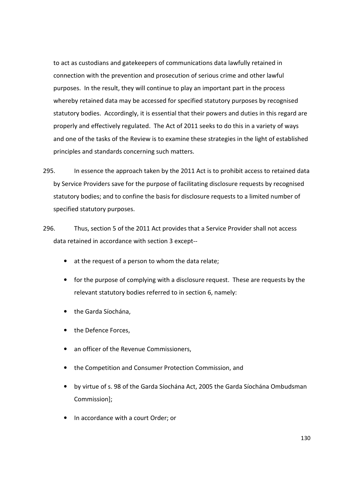to act as custodians and gatekeepers of communications data lawfully retained in connection with the prevention and prosecution of serious crime and other lawful purposes. In the result, they will continue to play an important part in the process whereby retained data may be accessed for specified statutory purposes by recognised statutory bodies. Accordingly, it is essential that their powers and duties in this regard are properly and effectively regulated. The Act of 2011 seeks to do this in a variety of ways and one of the tasks of the Review is to examine these strategies in the light of established principles and standards concerning such matters.

- 295. In essence the approach taken by the 2011 Act is to prohibit access to retained data by Service Providers save for the purpose of facilitating disclosure requests by recognised statutory bodies; and to confine the basis for disclosure requests to a limited number of specified statutory purposes.
- 296. Thus, section 5 of the 2011 Act provides that a Service Provider shall not access data retained in accordance with section 3 except-
	- at the request of a person to whom the data relate;
	- for the purpose of complying with a disclosure request. These are requests by the relevant statutory bodies referred to in section 6, namely:
	- the Garda Síochána,
	- the Defence Forces,
	- an officer of the Revenue Commissioners,
	- the Competition and Consumer Protection Commission, and
	- by virtue of s. 98 of the Garda Síochána Act, 2005 the Garda Síochána Ombudsman Commission];
	- In accordance with a court Order; or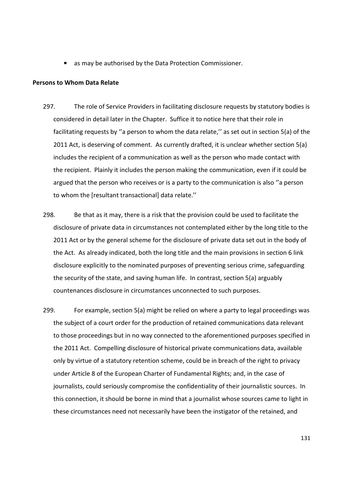as may be authorised by the Data Protection Commissioner.

#### Persons to Whom Data Relate

- 297. The role of Service Providers in facilitating disclosure requests by statutory bodies is considered in detail later in the Chapter. Suffice it to notice here that their role in facilitating requests by ''a person to whom the data relate,'' as set out in section 5(a) of the 2011 Act, is deserving of comment. As currently drafted, it is unclear whether section 5(a) includes the recipient of a communication as well as the person who made contact with the recipient. Plainly it includes the person making the communication, even if it could be argued that the person who receives or is a party to the communication is also ''a person to whom the [resultant transactional] data relate.''
- 298. Be that as it may, there is a risk that the provision could be used to facilitate the disclosure of private data in circumstances not contemplated either by the long title to the 2011 Act or by the general scheme for the disclosure of private data set out in the body of the Act. As already indicated, both the long title and the main provisions in section 6 link disclosure explicitly to the nominated purposes of preventing serious crime, safeguarding the security of the state, and saving human life. In contrast, section 5(a) arguably countenances disclosure in circumstances unconnected to such purposes.
- 299. For example, section 5(a) might be relied on where a party to legal proceedings was the subject of a court order for the production of retained communications data relevant to those proceedings but in no way connected to the aforementioned purposes specified in the 2011 Act. Compelling disclosure of historical private communications data, available only by virtue of a statutory retention scheme, could be in breach of the right to privacy under Article 8 of the European Charter of Fundamental Rights; and, in the case of journalists, could seriously compromise the confidentiality of their journalistic sources. In this connection, it should be borne in mind that a journalist whose sources came to light in these circumstances need not necessarily have been the instigator of the retained, and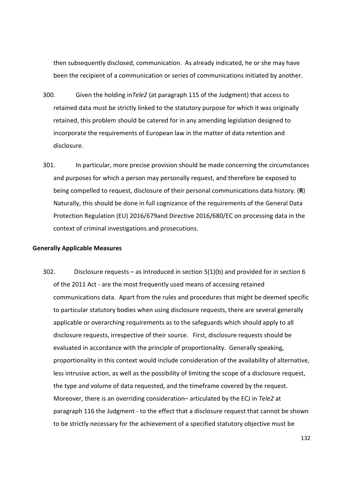then subsequently disclosed, communication. As already indicated, he or she may have been the recipient of a communication or series of communications initiated by another.

- 300. Given the holding inTele2 (at paragraph 115 of the Judgment) that access to retained data must be strictly linked to the statutory purpose for which it was originally retained, this problem should be catered for in any amending legislation designed to incorporate the requirements of European law in the matter of data retention and disclosure.
- 301. In particular, more precise provision should be made concerning the circumstances and purposes for which a person may personally request, and therefore be exposed to being compelled to request, disclosure of their personal communications data history. (R) Naturally, this should be done in full cognizance of the requirements of the General Data Protection Regulation (EU) 2016/679and Directive 2016/680/EC on processing data in the context of criminal investigations and prosecutions.

#### Generally Applicable Measures

302. Disclosure requests – as introduced in section 5(1)(b) and provided for in section 6 of the 2011 Act - are the most frequently used means of accessing retained communications data. Apart from the rules and procedures that might be deemed specific to particular statutory bodies when using disclosure requests, there are several generally applicable or overarching requirements as to the safeguards which should apply to all disclosure requests, irrespective of their source. First, disclosure requests should be evaluated in accordance with the principle of proportionality. Generally speaking, proportionality in this context would include consideration of the availability of alternative, less intrusive action, as well as the possibility of limiting the scope of a disclosure request, the type and volume of data requested, and the timeframe covered by the request. Moreover, there is an overriding consideration-articulated by the ECJ in Tele2 at paragraph 116 the Judgment - to the effect that a disclosure request that cannot be shown to be strictly necessary for the achievement of a specified statutory objective must be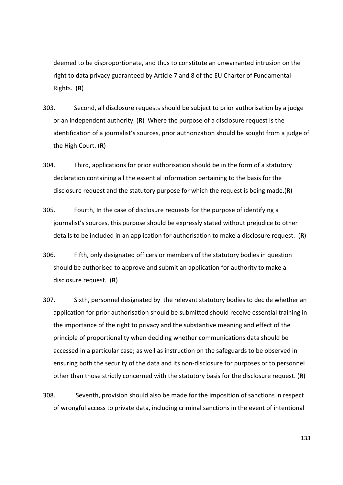deemed to be disproportionate, and thus to constitute an unwarranted intrusion on the right to data privacy guaranteed by Article 7 and 8 of the EU Charter of Fundamental Rights. (R)

- 303. Second, all disclosure requests should be subject to prior authorisation by a judge or an independent authority. (R) Where the purpose of a disclosure request is the identification of a journalist's sources, prior authorization should be sought from a judge of the High Court. (R)
- 304. Third, applications for prior authorisation should be in the form of a statutory declaration containing all the essential information pertaining to the basis for the disclosure request and the statutory purpose for which the request is being made. $(R)$
- 305. Fourth, In the case of disclosure requests for the purpose of identifying a journalist's sources, this purpose should be expressly stated without prejudice to other details to be included in an application for authorisation to make a disclosure request.  $(R)$
- 306. Fifth, only designated officers or members of the statutory bodies in question should be authorised to approve and submit an application for authority to make a disclosure request. (R)
- 307. Sixth, personnel designated by the relevant statutory bodies to decide whether an application for prior authorisation should be submitted should receive essential training in the importance of the right to privacy and the substantive meaning and effect of the principle of proportionality when deciding whether communications data should be accessed in a particular case; as well as instruction on the safeguards to be observed in ensuring both the security of the data and its non-disclosure for purposes or to personnel other than those strictly concerned with the statutory basis for the disclosure request. (R)
- 308. Seventh, provision should also be made for the imposition of sanctions in respect of wrongful access to private data, including criminal sanctions in the event of intentional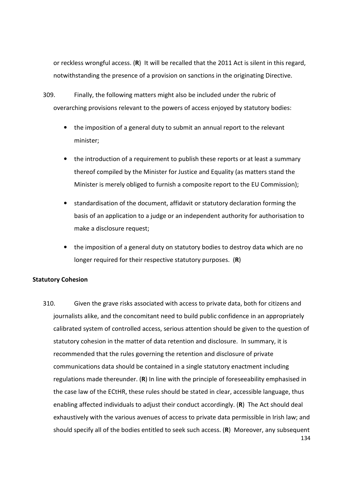or reckless wrongful access. (R) It will be recalled that the 2011 Act is silent in this regard, notwithstanding the presence of a provision on sanctions in the originating Directive.

309. Finally, the following matters might also be included under the rubric of overarching provisions relevant to the powers of access enjoyed by statutory bodies:

- the imposition of a general duty to submit an annual report to the relevant minister;
- the introduction of a requirement to publish these reports or at least a summary thereof compiled by the Minister for Justice and Equality (as matters stand the Minister is merely obliged to furnish a composite report to the EU Commission);
- standardisation of the document, affidavit or statutory declaration forming the basis of an application to a judge or an independent authority for authorisation to make a disclosure request;
- the imposition of a general duty on statutory bodies to destroy data which are no longer required for their respective statutory purposes. (R)

# Statutory Cohesion

310. Given the grave risks associated with access to private data, both for citizens and journalists alike, and the concomitant need to build public confidence in an appropriately calibrated system of controlled access, serious attention should be given to the question of statutory cohesion in the matter of data retention and disclosure. In summary, it is recommended that the rules governing the retention and disclosure of private communications data should be contained in a single statutory enactment including regulations made thereunder.  $(R)$  In line with the principle of foreseeability emphasised in the case law of the ECtHR, these rules should be stated in clear, accessible language, thus enabling affected individuals to adjust their conduct accordingly.  $(R)$  The Act should deal exhaustively with the various avenues of access to private data permissible in Irish law; and should specify all of the bodies entitled to seek such access. (R) Moreover, any subsequent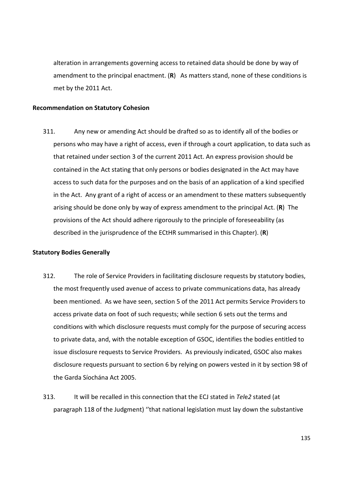alteration in arrangements governing access to retained data should be done by way of amendment to the principal enactment.  $(R)$  As matters stand, none of these conditions is met by the 2011 Act.

#### Recommendation on Statutory Cohesion

311. Any new or amending Act should be drafted so as to identify all of the bodies or persons who may have a right of access, even if through a court application, to data such as that retained under section 3 of the current 2011 Act. An express provision should be contained in the Act stating that only persons or bodies designated in the Act may have access to such data for the purposes and on the basis of an application of a kind specified in the Act. Any grant of a right of access or an amendment to these matters subsequently arising should be done only by way of express amendment to the principal Act.  $(R)$  The provisions of the Act should adhere rigorously to the principle of foreseeability (as described in the jurisprudence of the ECtHR summarised in this Chapter). (R)

#### Statutory Bodies Generally

- 312. The role of Service Providers in facilitating disclosure requests by statutory bodies, the most frequently used avenue of access to private communications data, has already been mentioned. As we have seen, section 5 of the 2011 Act permits Service Providers to access private data on foot of such requests; while section 6 sets out the terms and conditions with which disclosure requests must comply for the purpose of securing access to private data, and, with the notable exception of GSOC, identifies the bodies entitled to issue disclosure requests to Service Providers. As previously indicated, GSOC also makes disclosure requests pursuant to section 6 by relying on powers vested in it by section 98 of the Garda Síochána Act 2005.
- 313. It will be recalled in this connection that the ECJ stated in Tele2 stated (at paragraph 118 of the Judgment) ''that national legislation must lay down the substantive

135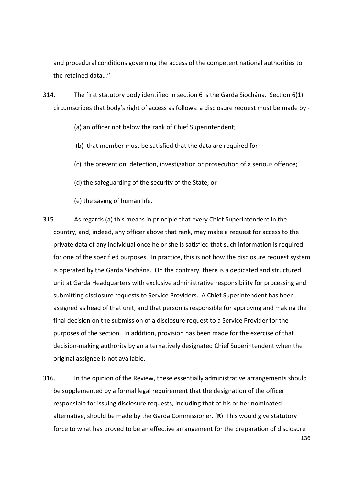and procedural conditions governing the access of the competent national authorities to the retained data…''

314. The first statutory body identified in section 6 is the Garda Síochána. Section 6(1) circumscribes that body's right of access as follows: a disclosure request must be made by -

(a) an officer not below the rank of Chief Superintendent;

- (b) that member must be satisfied that the data are required for
- (c) the prevention, detection, investigation or prosecution of a serious offence;
- (d) the safeguarding of the security of the State; or
- (e) the saving of human life.
- 315. As regards (a) this means in principle that every Chief Superintendent in the country, and, indeed, any officer above that rank, may make a request for access to the private data of any individual once he or she is satisfied that such information is required for one of the specified purposes. In practice, this is not how the disclosure request system is operated by the Garda Síochána. On the contrary, there is a dedicated and structured unit at Garda Headquarters with exclusive administrative responsibility for processing and submitting disclosure requests to Service Providers. A Chief Superintendent has been assigned as head of that unit, and that person is responsible for approving and making the final decision on the submission of a disclosure request to a Service Provider for the purposes of the section. In addition, provision has been made for the exercise of that decision-making authority by an alternatively designated Chief Superintendent when the original assignee is not available.
- 316. In the opinion of the Review, these essentially administrative arrangements should be supplemented by a formal legal requirement that the designation of the officer responsible for issuing disclosure requests, including that of his or her nominated alternative, should be made by the Garda Commissioner. (R) This would give statutory force to what has proved to be an effective arrangement for the preparation of disclosure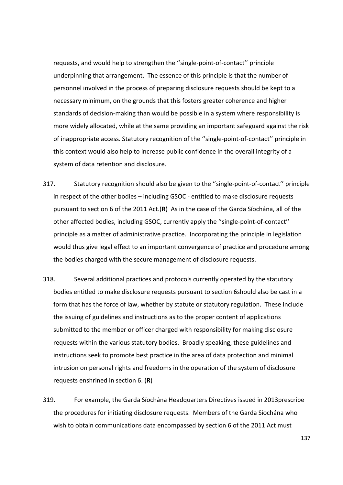requests, and would help to strengthen the ''single-point-of-contact'' principle underpinning that arrangement. The essence of this principle is that the number of personnel involved in the process of preparing disclosure requests should be kept to a necessary minimum, on the grounds that this fosters greater coherence and higher standards of decision-making than would be possible in a system where responsibility is more widely allocated, while at the same providing an important safeguard against the risk of inappropriate access. Statutory recognition of the ''single-point-of-contact'' principle in this context would also help to increase public confidence in the overall integrity of a system of data retention and disclosure.

- 317. Statutory recognition should also be given to the ''single-point-of-contact'' principle in respect of the other bodies – including GSOC - entitled to make disclosure requests pursuant to section 6 of the 2011 Act.(R) As in the case of the Garda Síochána, all of the other affected bodies, including GSOC, currently apply the ''single-point-of-contact'' principle as a matter of administrative practice. Incorporating the principle in legislation would thus give legal effect to an important convergence of practice and procedure among the bodies charged with the secure management of disclosure requests.
- 318. Several additional practices and protocols currently operated by the statutory bodies entitled to make disclosure requests pursuant to section 6should also be cast in a form that has the force of law, whether by statute or statutory regulation. These include the issuing of guidelines and instructions as to the proper content of applications submitted to the member or officer charged with responsibility for making disclosure requests within the various statutory bodies. Broadly speaking, these guidelines and instructions seek to promote best practice in the area of data protection and minimal intrusion on personal rights and freedoms in the operation of the system of disclosure requests enshrined in section 6. (R)
- 319. For example, the Garda Síochána Headquarters Directives issued in 2013prescribe the procedures for initiating disclosure requests. Members of the Garda Síochána who wish to obtain communications data encompassed by section 6 of the 2011 Act must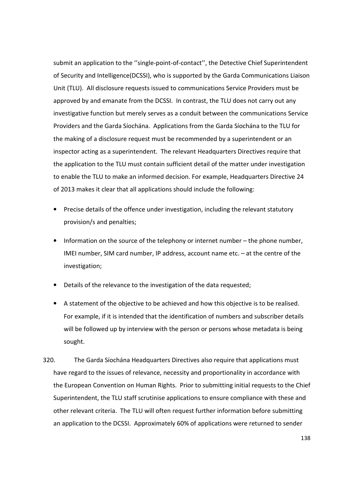submit an application to the ''single-point-of-contact'', the Detective Chief Superintendent of Security and Intelligence(DCSSI), who is supported by the Garda Communications Liaison Unit (TLU). All disclosure requests issued to communications Service Providers must be approved by and emanate from the DCSSI. In contrast, the TLU does not carry out any investigative function but merely serves as a conduit between the communications Service Providers and the Garda Síochána. Applications from the Garda Síochána to the TLU for the making of a disclosure request must be recommended by a superintendent or an inspector acting as a superintendent. The relevant Headquarters Directives require that the application to the TLU must contain sufficient detail of the matter under investigation to enable the TLU to make an informed decision. For example, Headquarters Directive 24 of 2013 makes it clear that all applications should include the following:

- Precise details of the offence under investigation, including the relevant statutory provision/s and penalties;
- Information on the source of the telephony or internet number the phone number, IMEI number, SIM card number, IP address, account name etc. – at the centre of the investigation;
- Details of the relevance to the investigation of the data requested;
- A statement of the objective to be achieved and how this objective is to be realised. For example, if it is intended that the identification of numbers and subscriber details will be followed up by interview with the person or persons whose metadata is being sought.
- 320. The Garda Síochána Headquarters Directives also require that applications must have regard to the issues of relevance, necessity and proportionality in accordance with the European Convention on Human Rights. Prior to submitting initial requests to the Chief Superintendent, the TLU staff scrutinise applications to ensure compliance with these and other relevant criteria. The TLU will often request further information before submitting an application to the DCSSI. Approximately 60% of applications were returned to sender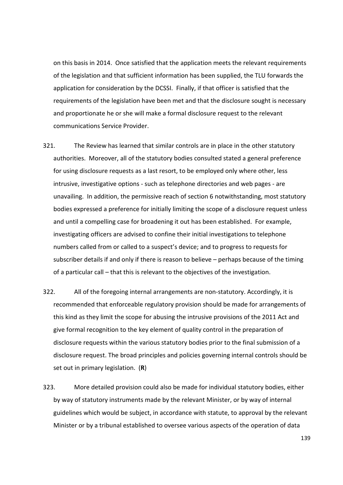on this basis in 2014. Once satisfied that the application meets the relevant requirements of the legislation and that sufficient information has been supplied, the TLU forwards the application for consideration by the DCSSI. Finally, if that officer is satisfied that the requirements of the legislation have been met and that the disclosure sought is necessary and proportionate he or she will make a formal disclosure request to the relevant communications Service Provider.

- 321. The Review has learned that similar controls are in place in the other statutory authorities. Moreover, all of the statutory bodies consulted stated a general preference for using disclosure requests as a last resort, to be employed only where other, less intrusive, investigative options - such as telephone directories and web pages - are unavailing. In addition, the permissive reach of section 6 notwithstanding, most statutory bodies expressed a preference for initially limiting the scope of a disclosure request unless and until a compelling case for broadening it out has been established. For example, investigating officers are advised to confine their initial investigations to telephone numbers called from or called to a suspect's device; and to progress to requests for subscriber details if and only if there is reason to believe – perhaps because of the timing of a particular call – that this is relevant to the objectives of the investigation.
- 322. All of the foregoing internal arrangements are non-statutory. Accordingly, it is recommended that enforceable regulatory provision should be made for arrangements of this kind as they limit the scope for abusing the intrusive provisions of the 2011 Act and give formal recognition to the key element of quality control in the preparation of disclosure requests within the various statutory bodies prior to the final submission of a disclosure request. The broad principles and policies governing internal controls should be set out in primary legislation. (R)
- 323. More detailed provision could also be made for individual statutory bodies, either by way of statutory instruments made by the relevant Minister, or by way of internal guidelines which would be subject, in accordance with statute, to approval by the relevant Minister or by a tribunal established to oversee various aspects of the operation of data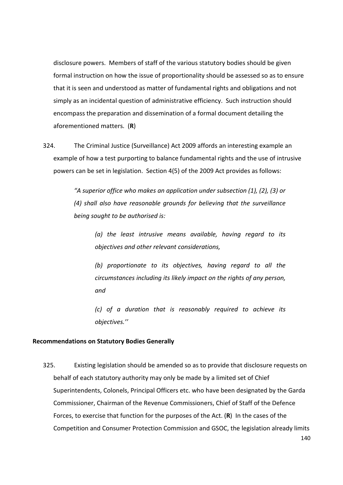disclosure powers. Members of staff of the various statutory bodies should be given formal instruction on how the issue of proportionality should be assessed so as to ensure that it is seen and understood as matter of fundamental rights and obligations and not simply as an incidental question of administrative efficiency. Such instruction should encompass the preparation and dissemination of a formal document detailing the aforementioned matters. (R)

324. The Criminal Justice (Surveillance) Act 2009 affords an interesting example an example of how a test purporting to balance fundamental rights and the use of intrusive powers can be set in legislation. Section 4(5) of the 2009 Act provides as follows:

> "A superior office who makes an application under subsection (1), (2), (3) or (4) shall also have reasonable grounds for believing that the surveillance being sought to be authorised is:

(a) the least intrusive means available, having regard to its objectives and other relevant considerations,

(b) proportionate to its objectives, having regard to all the circumstances including its likely impact on the rights of any person, and

(c) of a duration that is reasonably required to achieve its objectives.''

## Recommendations on Statutory Bodies Generally

325. Existing legislation should be amended so as to provide that disclosure requests on behalf of each statutory authority may only be made by a limited set of Chief Superintendents, Colonels, Principal Officers etc. who have been designated by the Garda Commissioner, Chairman of the Revenue Commissioners, Chief of Staff of the Defence Forces, to exercise that function for the purposes of the Act.  $(R)$  In the cases of the Competition and Consumer Protection Commission and GSOC, the legislation already limits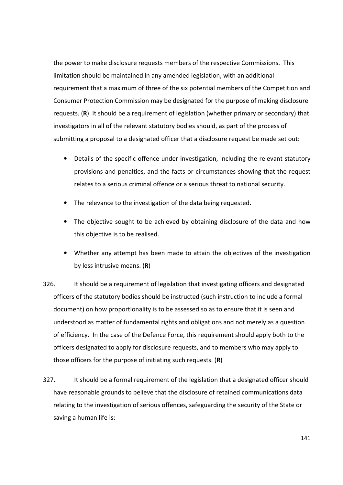the power to make disclosure requests members of the respective Commissions. This limitation should be maintained in any amended legislation, with an additional requirement that a maximum of three of the six potential members of the Competition and Consumer Protection Commission may be designated for the purpose of making disclosure requests. (R) It should be a requirement of legislation (whether primary or secondary) that investigators in all of the relevant statutory bodies should, as part of the process of submitting a proposal to a designated officer that a disclosure request be made set out:

- Details of the specific offence under investigation, including the relevant statutory provisions and penalties, and the facts or circumstances showing that the request relates to a serious criminal offence or a serious threat to national security.
- The relevance to the investigation of the data being requested.
- The objective sought to be achieved by obtaining disclosure of the data and how this objective is to be realised.
- Whether any attempt has been made to attain the objectives of the investigation by less intrusive means. (R)
- 326. It should be a requirement of legislation that investigating officers and designated officers of the statutory bodies should be instructed (such instruction to include a formal document) on how proportionality is to be assessed so as to ensure that it is seen and understood as matter of fundamental rights and obligations and not merely as a question of efficiency. In the case of the Defence Force, this requirement should apply both to the officers designated to apply for disclosure requests, and to members who may apply to those officers for the purpose of initiating such requests. (R)
- 327. It should be a formal requirement of the legislation that a designated officer should have reasonable grounds to believe that the disclosure of retained communications data relating to the investigation of serious offences, safeguarding the security of the State or saving a human life is: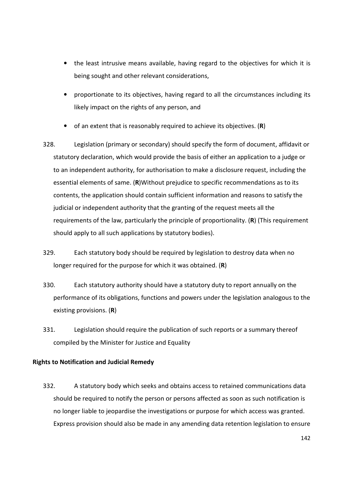- the least intrusive means available, having regard to the objectives for which it is being sought and other relevant considerations,
- proportionate to its objectives, having regard to all the circumstances including its likely impact on the rights of any person, and
- of an extent that is reasonably required to achieve its objectives.  $(R)$
- 328. Legislation (primary or secondary) should specify the form of document, affidavit or statutory declaration, which would provide the basis of either an application to a judge or to an independent authority, for authorisation to make a disclosure request, including the essential elements of same. (R)Without prejudice to specific recommendations as to its contents, the application should contain sufficient information and reasons to satisfy the judicial or independent authority that the granting of the request meets all the requirements of the law, particularly the principle of proportionality. (R) (This requirement should apply to all such applications by statutory bodies).
- 329. Each statutory body should be required by legislation to destroy data when no longer required for the purpose for which it was obtained. (R)
- 330. Each statutory authority should have a statutory duty to report annually on the performance of its obligations, functions and powers under the legislation analogous to the existing provisions. (R)
- 331. Legislation should require the publication of such reports or a summary thereof compiled by the Minister for Justice and Equality

## Rights to Notification and Judicial Remedy

332. A statutory body which seeks and obtains access to retained communications data should be required to notify the person or persons affected as soon as such notification is no longer liable to jeopardise the investigations or purpose for which access was granted. Express provision should also be made in any amending data retention legislation to ensure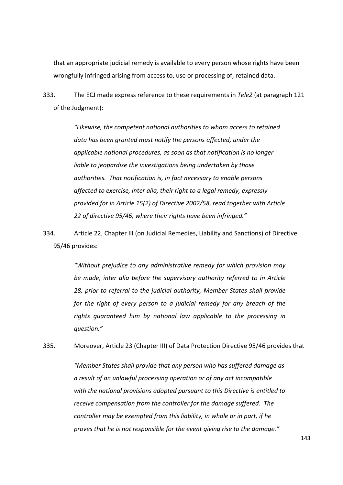that an appropriate judicial remedy is available to every person whose rights have been wrongfully infringed arising from access to, use or processing of, retained data.

333. The ECJ made express reference to these requirements in Tele2 (at paragraph 121 of the Judgment):

> "Likewise, the competent national authorities to whom access to retained data has been granted must notify the persons affected, under the applicable national procedures, as soon as that notification is no longer liable to jeopardise the investigations being undertaken by those authorities. That notification is, in fact necessary to enable persons affected to exercise, inter alia, their right to a legal remedy, expressly provided for in Article 15(2) of Directive 2002/58, read together with Article 22 of directive 95/46, where their rights have been infringed."

334. Article 22, Chapter III (on Judicial Remedies, Liability and Sanctions) of Directive 95/46 provides:

> "Without prejudice to any administrative remedy for which provision may be made, inter alia before the supervisory authority referred to in Article 28, prior to referral to the judicial authority, Member States shall provide for the right of every person to a judicial remedy for any breach of the rights guaranteed him by national law applicable to the processing in question."

335. Moreover, Article 23 (Chapter III) of Data Protection Directive 95/46 provides that

"Member States shall provide that any person who has suffered damage as a result of an unlawful processing operation or of any act incompatible with the national provisions adopted pursuant to this Directive is entitled to receive compensation from the controller for the damage suffered. The controller may be exempted from this liability, in whole or in part, if he proves that he is not responsible for the event giving rise to the damage."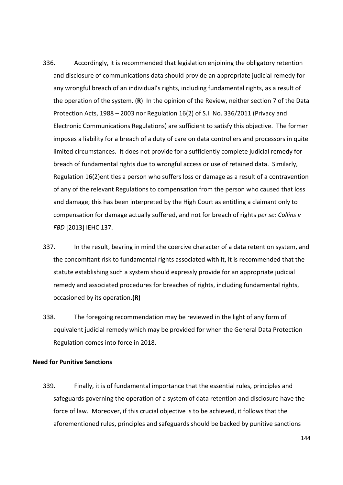- 336. Accordingly, it is recommended that legislation enjoining the obligatory retention and disclosure of communications data should provide an appropriate judicial remedy for any wrongful breach of an individual's rights, including fundamental rights, as a result of the operation of the system. (R) In the opinion of the Review, neither section 7 of the Data Protection Acts, 1988 – 2003 nor Regulation 16(2) of S.I. No. 336/2011 (Privacy and Electronic Communications Regulations) are sufficient to satisfy this objective. The former imposes a liability for a breach of a duty of care on data controllers and processors in quite limited circumstances. It does not provide for a sufficiently complete judicial remedy for breach of fundamental rights due to wrongful access or use of retained data. Similarly, Regulation 16(2)entitles a person who suffers loss or damage as a result of a contravention of any of the relevant Regulations to compensation from the person who caused that loss and damage; this has been interpreted by the High Court as entitling a claimant only to compensation for damage actually suffered, and not for breach of rights per se: Collins v FBD [2013] IEHC 137.
- 337. In the result, bearing in mind the coercive character of a data retention system, and the concomitant risk to fundamental rights associated with it, it is recommended that the statute establishing such a system should expressly provide for an appropriate judicial remedy and associated procedures for breaches of rights, including fundamental rights, occasioned by its operation.(R)
- 338. The foregoing recommendation may be reviewed in the light of any form of equivalent judicial remedy which may be provided for when the General Data Protection Regulation comes into force in 2018.

## Need for Punitive Sanctions

339. Finally, it is of fundamental importance that the essential rules, principles and safeguards governing the operation of a system of data retention and disclosure have the force of law. Moreover, if this crucial objective is to be achieved, it follows that the aforementioned rules, principles and safeguards should be backed by punitive sanctions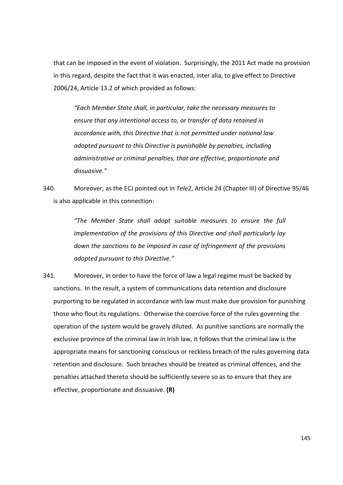that can be imposed in the event of violation. Surprisingly, the 2011 Act made no provision in this regard, despite the fact that it was enacted, inter alia, to give effect to Directive 2006/24, Article 13.2 of which provided as follows:

"Each Member State shall, in particular, take the necessary measures to ensure that any intentional access to, or transfer of data retained in accordance with, this Directive that is not permitted under national law adopted pursuant to this Directive is punishable by penalties, including administrative or criminal penalties, that are effective, proportionate and dissuasive."

340. Moreover, as the ECJ pointed out in Tele2, Article 24 (Chapter III) of Directive 95/46 is also applicable in this connection:

> "The Member State shall adopt suitable measures to ensure the full implementation of the provisions of this Directive and shall particularly lay down the sanctions to be imposed in case of infringement of the provisions adopted pursuant to this Directive."

341. Moreover, in order to have the force of law a legal regime must be backed by sanctions. In the result, a system of communications data retention and disclosure purporting to be regulated in accordance with law must make due provision for punishing those who flout its regulations. Otherwise the coercive force of the rules governing the operation of the system would be gravely diluted. As punitive sanctions are normally the exclusive province of the criminal law in Irish law, it follows that the criminal law is the appropriate means for sanctioning conscious or reckless breach of the rules governing data retention and disclosure. Such breaches should be treated as criminal offences, and the penalties attached thereto should be sufficiently severe so as to ensure that they are effective, proportionate and dissuasive. (R)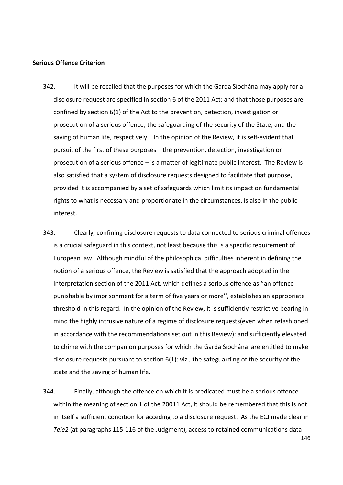#### Serious Offence Criterion

- 342. It will be recalled that the purposes for which the Garda Síochána may apply for a disclosure request are specified in section 6 of the 2011 Act; and that those purposes are confined by section 6(1) of the Act to the prevention, detection, investigation or prosecution of a serious offence; the safeguarding of the security of the State; and the saving of human life, respectively. In the opinion of the Review, it is self-evident that pursuit of the first of these purposes – the prevention, detection, investigation or prosecution of a serious offence – is a matter of legitimate public interest. The Review is also satisfied that a system of disclosure requests designed to facilitate that purpose, provided it is accompanied by a set of safeguards which limit its impact on fundamental rights to what is necessary and proportionate in the circumstances, is also in the public interest.
- 343. Clearly, confining disclosure requests to data connected to serious criminal offences is a crucial safeguard in this context, not least because this is a specific requirement of European law. Although mindful of the philosophical difficulties inherent in defining the notion of a serious offence, the Review is satisfied that the approach adopted in the Interpretation section of the 2011 Act, which defines a serious offence as ''an offence punishable by imprisonment for a term of five years or more'', establishes an appropriate threshold in this regard. In the opinion of the Review, it is sufficiently restrictive bearing in mind the highly intrusive nature of a regime of disclosure requests(even when refashioned in accordance with the recommendations set out in this Review); and sufficiently elevated to chime with the companion purposes for which the Garda Síochána are entitled to make disclosure requests pursuant to section 6(1): viz., the safeguarding of the security of the state and the saving of human life.
- 344. Finally, although the offence on which it is predicated must be a serious offence within the meaning of section 1 of the 20011 Act, it should be remembered that this is not in itself a sufficient condition for acceding to a disclosure request. As the ECJ made clear in Tele2 (at paragraphs 115-116 of the Judgment), access to retained communications data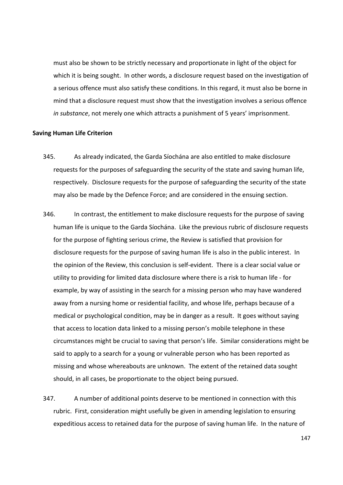must also be shown to be strictly necessary and proportionate in light of the object for which it is being sought. In other words, a disclosure request based on the investigation of a serious offence must also satisfy these conditions. In this regard, it must also be borne in mind that a disclosure request must show that the investigation involves a serious offence in substance, not merely one which attracts a punishment of 5 years' imprisonment.

#### Saving Human Life Criterion

- 345. As already indicated, the Garda Síochána are also entitled to make disclosure requests for the purposes of safeguarding the security of the state and saving human life, respectively. Disclosure requests for the purpose of safeguarding the security of the state may also be made by the Defence Force; and are considered in the ensuing section.
- 346. In contrast, the entitlement to make disclosure requests for the purpose of saving human life is unique to the Garda Síochána. Like the previous rubric of disclosure requests for the purpose of fighting serious crime, the Review is satisfied that provision for disclosure requests for the purpose of saving human life is also in the public interest. In the opinion of the Review, this conclusion is self-evident. There is a clear social value or utility to providing for limited data disclosure where there is a risk to human life - for example, by way of assisting in the search for a missing person who may have wandered away from a nursing home or residential facility, and whose life, perhaps because of a medical or psychological condition, may be in danger as a result. It goes without saying that access to location data linked to a missing person's mobile telephone in these circumstances might be crucial to saving that person's life. Similar considerations might be said to apply to a search for a young or vulnerable person who has been reported as missing and whose whereabouts are unknown. The extent of the retained data sought should, in all cases, be proportionate to the object being pursued.
- 347. A number of additional points deserve to be mentioned in connection with this rubric. First, consideration might usefully be given in amending legislation to ensuring expeditious access to retained data for the purpose of saving human life. In the nature of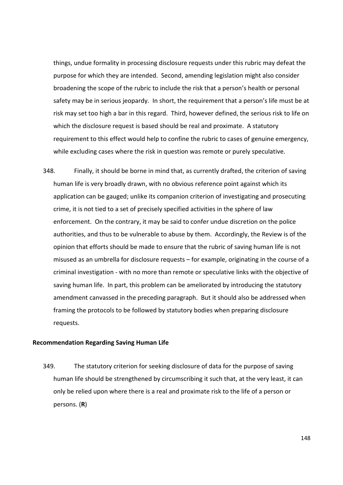things, undue formality in processing disclosure requests under this rubric may defeat the purpose for which they are intended. Second, amending legislation might also consider broadening the scope of the rubric to include the risk that a person's health or personal safety may be in serious jeopardy. In short, the requirement that a person's life must be at risk may set too high a bar in this regard. Third, however defined, the serious risk to life on which the disclosure request is based should be real and proximate. A statutory requirement to this effect would help to confine the rubric to cases of genuine emergency, while excluding cases where the risk in question was remote or purely speculative.

348. Finally, it should be borne in mind that, as currently drafted, the criterion of saving human life is very broadly drawn, with no obvious reference point against which its application can be gauged; unlike its companion criterion of investigating and prosecuting crime, it is not tied to a set of precisely specified activities in the sphere of law enforcement. On the contrary, it may be said to confer undue discretion on the police authorities, and thus to be vulnerable to abuse by them. Accordingly, the Review is of the opinion that efforts should be made to ensure that the rubric of saving human life is not misused as an umbrella for disclosure requests – for example, originating in the course of a criminal investigation - with no more than remote or speculative links with the objective of saving human life. In part, this problem can be ameliorated by introducing the statutory amendment canvassed in the preceding paragraph. But it should also be addressed when framing the protocols to be followed by statutory bodies when preparing disclosure requests.

#### Recommendation Regarding Saving Human Life

349. The statutory criterion for seeking disclosure of data for the purpose of saving human life should be strengthened by circumscribing it such that, at the very least, it can only be relied upon where there is a real and proximate risk to the life of a person or persons. (R)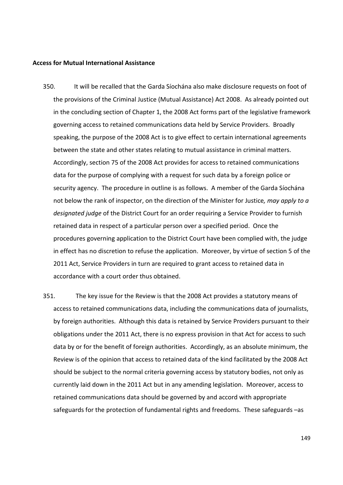#### Access for Mutual International Assistance

- 350. It will be recalled that the Garda Síochána also make disclosure requests on foot of the provisions of the Criminal Justice (Mutual Assistance) Act 2008. As already pointed out in the concluding section of Chapter 1, the 2008 Act forms part of the legislative framework governing access to retained communications data held by Service Providers. Broadly speaking, the purpose of the 2008 Act is to give effect to certain international agreements between the state and other states relating to mutual assistance in criminal matters. Accordingly, section 75 of the 2008 Act provides for access to retained communications data for the purpose of complying with a request for such data by a foreign police or security agency. The procedure in outline is as follows. A member of the Garda Síochána not below the rank of inspector, on the direction of the Minister for Justice, may apply to a designated judge of the District Court for an order requiring a Service Provider to furnish retained data in respect of a particular person over a specified period. Once the procedures governing application to the District Court have been complied with, the judge in effect has no discretion to refuse the application. Moreover, by virtue of section 5 of the 2011 Act, Service Providers in turn are required to grant access to retained data in accordance with a court order thus obtained.
- 351. The key issue for the Review is that the 2008 Act provides a statutory means of access to retained communications data, including the communications data of journalists, by foreign authorities. Although this data is retained by Service Providers pursuant to their obligations under the 2011 Act, there is no express provision in that Act for access to such data by or for the benefit of foreign authorities. Accordingly, as an absolute minimum, the Review is of the opinion that access to retained data of the kind facilitated by the 2008 Act should be subject to the normal criteria governing access by statutory bodies, not only as currently laid down in the 2011 Act but in any amending legislation. Moreover, access to retained communications data should be governed by and accord with appropriate safeguards for the protection of fundamental rights and freedoms. These safeguards –as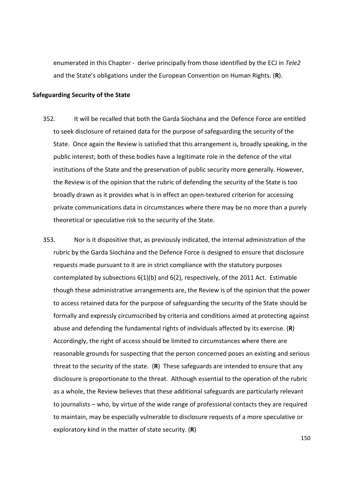enumerated in this Chapter - derive principally from those identified by the ECJ in Tele2 and the State's obligations under the European Convention on Human Rights.  $(R)$ .

#### Safeguarding Security of the State

- 352. It will be recalled that both the Garda Síochána and the Defence Force are entitled to seek disclosure of retained data for the purpose of safeguarding the security of the State. Once again the Review is satisfied that this arrangement is, broadly speaking, in the public interest; both of these bodies have a legitimate role in the defence of the vital institutions of the State and the preservation of public security more generally. However, the Review is of the opinion that the rubric of defending the security of the State is too broadly drawn as it provides what is in effect an open-textured criterion for accessing private communications data in circumstances where there may be no more than a purely theoretical or speculative risk to the security of the State.
- 353. Nor is it dispositive that, as previously indicated, the internal administration of the rubric by the Garda Síochána and the Defence Force is designed to ensure that disclosure requests made pursuant to it are in strict compliance with the statutory purposes contemplated by subsections  $6(1)(b)$  and  $6(2)$ , respectively, of the 2011 Act. Estimable though these administrative arrangements are, the Review is of the opinion that the power to access retained data for the purpose of safeguarding the security of the State should be formally and expressly circumscribed by criteria and conditions aimed at protecting against abuse and defending the fundamental rights of individuals affected by its exercise. (R) Accordingly, the right of access should be limited to circumstances where there are reasonable grounds for suspecting that the person concerned poses an existing and serious threat to the security of the state.  $(R)$  These safeguards are intended to ensure that any disclosure is proportionate to the threat. Although essential to the operation of the rubric as a whole, the Review believes that these additional safeguards are particularly relevant to journalists – who, by virtue of the wide range of professional contacts they are required to maintain, may be especially vulnerable to disclosure requests of a more speculative or exploratory kind in the matter of state security.  $(R)$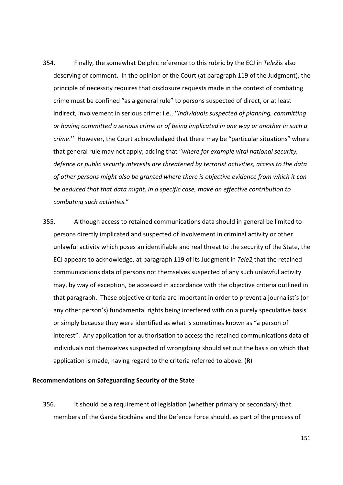- 354. Finally, the somewhat Delphic reference to this rubric by the ECJ in Tele2is also deserving of comment. In the opinion of the Court (at paragraph 119 of the Judgment), the principle of necessity requires that disclosure requests made in the context of combating crime must be confined "as a general rule" to persons suspected of direct, or at least indirect, involvement in serious crime: i.e., ''individuals suspected of planning, committing or having committed a serious crime or of being implicated in one way or another in such a crime.'' However, the Court acknowledged that there may be "particular situations" where that general rule may not apply; adding that "where for example vital national security, defence or public security interests are threatened by terrorist activities, access to the data of other persons might also be granted where there is objective evidence from which it can be deduced that that data might, in a specific case, make an effective contribution to combating such activities."
- 355. Although access to retained communications data should in general be limited to persons directly implicated and suspected of involvement in criminal activity or other unlawful activity which poses an identifiable and real threat to the security of the State, the ECJ appears to acknowledge, at paragraph 119 of its Judgment in Tele2, that the retained communications data of persons not themselves suspected of any such unlawful activity may, by way of exception, be accessed in accordance with the objective criteria outlined in that paragraph. These objective criteria are important in order to prevent a journalist's (or any other person's) fundamental rights being interfered with on a purely speculative basis or simply because they were identified as what is sometimes known as "a person of interest". Any application for authorisation to access the retained communications data of individuals not themselves suspected of wrongdoing should set out the basis on which that application is made, having regard to the criteria referred to above.  $(R)$

#### Recommendations on Safeguarding Security of the State

356. It should be a requirement of legislation (whether primary or secondary) that members of the Garda Síochána and the Defence Force should, as part of the process of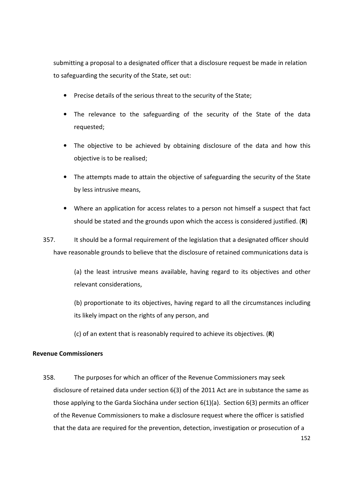submitting a proposal to a designated officer that a disclosure request be made in relation to safeguarding the security of the State, set out:

- Precise details of the serious threat to the security of the State;
- The relevance to the safeguarding of the security of the State of the data requested;
- The objective to be achieved by obtaining disclosure of the data and how this objective is to be realised;
- The attempts made to attain the objective of safeguarding the security of the State by less intrusive means,
- Where an application for access relates to a person not himself a suspect that fact should be stated and the grounds upon which the access is considered justified.  $(R)$

357. It should be a formal requirement of the legislation that a designated officer should have reasonable grounds to believe that the disclosure of retained communications data is

> (a) the least intrusive means available, having regard to its objectives and other relevant considerations,

> (b) proportionate to its objectives, having regard to all the circumstances including its likely impact on the rights of any person, and

(c) of an extent that is reasonably required to achieve its objectives. (R)

## Revenue Commissioners

358. The purposes for which an officer of the Revenue Commissioners may seek disclosure of retained data under section 6(3) of the 2011 Act are in substance the same as those applying to the Garda Síochána under section 6(1)(a). Section 6(3) permits an officer of the Revenue Commissioners to make a disclosure request where the officer is satisfied that the data are required for the prevention, detection, investigation or prosecution of a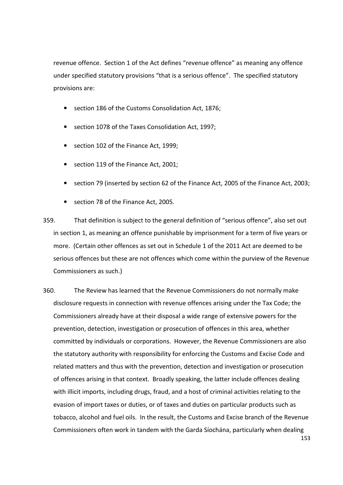revenue offence. Section 1 of the Act defines "revenue offence" as meaning any offence under specified statutory provisions "that is a serious offence". The specified statutory provisions are:

- section 186 of the Customs Consolidation Act, 1876;
- section 1078 of the Taxes Consolidation Act, 1997;
- section 102 of the Finance Act, 1999;
- section 119 of the Finance Act, 2001;
- section 79 (inserted by section 62 of the Finance Act, 2005 of the Finance Act, 2003;
- section 78 of the Finance Act, 2005.

359. That definition is subject to the general definition of "serious offence", also set out in section 1, as meaning an offence punishable by imprisonment for a term of five years or more. (Certain other offences as set out in Schedule 1 of the 2011 Act are deemed to be serious offences but these are not offences which come within the purview of the Revenue Commissioners as such.)

360. The Review has learned that the Revenue Commissioners do not normally make disclosure requests in connection with revenue offences arising under the Tax Code; the Commissioners already have at their disposal a wide range of extensive powers for the prevention, detection, investigation or prosecution of offences in this area, whether committed by individuals or corporations. However, the Revenue Commissioners are also the statutory authority with responsibility for enforcing the Customs and Excise Code and related matters and thus with the prevention, detection and investigation or prosecution of offences arising in that context. Broadly speaking, the latter include offences dealing with illicit imports, including drugs, fraud, and a host of criminal activities relating to the evasion of import taxes or duties, or of taxes and duties on particular products such as tobacco, alcohol and fuel oils. In the result, the Customs and Excise branch of the Revenue Commissioners often work in tandem with the Garda Síochána, particularly when dealing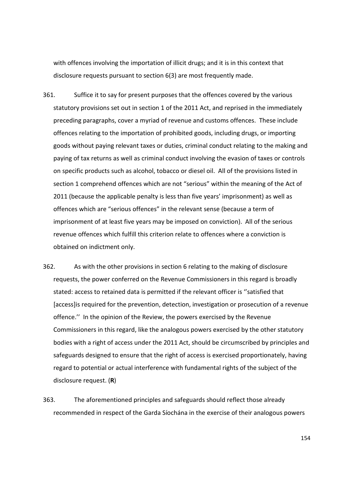with offences involving the importation of illicit drugs; and it is in this context that disclosure requests pursuant to section 6(3) are most frequently made.

- 361. Suffice it to say for present purposes that the offences covered by the various statutory provisions set out in section 1 of the 2011 Act, and reprised in the immediately preceding paragraphs, cover a myriad of revenue and customs offences. These include offences relating to the importation of prohibited goods, including drugs, or importing goods without paying relevant taxes or duties, criminal conduct relating to the making and paying of tax returns as well as criminal conduct involving the evasion of taxes or controls on specific products such as alcohol, tobacco or diesel oil. All of the provisions listed in section 1 comprehend offences which are not "serious" within the meaning of the Act of 2011 (because the applicable penalty is less than five years' imprisonment) as well as offences which are "serious offences" in the relevant sense (because a term of imprisonment of at least five years may be imposed on conviction). All of the serious revenue offences which fulfill this criterion relate to offences where a conviction is obtained on indictment only.
- 362. As with the other provisions in section 6 relating to the making of disclosure requests, the power conferred on the Revenue Commissioners in this regard is broadly stated: access to retained data is permitted if the relevant officer is ''satisfied that [access]is required for the prevention, detection, investigation or prosecution of a revenue offence.'' In the opinion of the Review, the powers exercised by the Revenue Commissioners in this regard, like the analogous powers exercised by the other statutory bodies with a right of access under the 2011 Act, should be circumscribed by principles and safeguards designed to ensure that the right of access is exercised proportionately, having regard to potential or actual interference with fundamental rights of the subject of the disclosure request. (R)
- 363. The aforementioned principles and safeguards should reflect those already recommended in respect of the Garda Síochána in the exercise of their analogous powers

154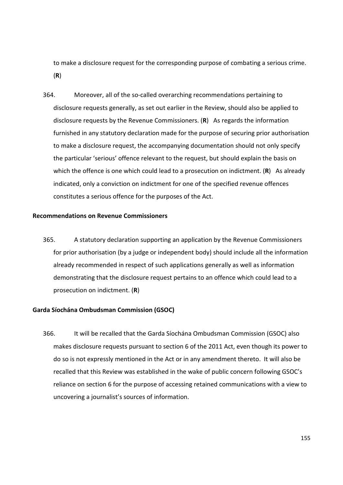to make a disclosure request for the corresponding purpose of combating a serious crime. (R)

364. Moreover, all of the so-called overarching recommendations pertaining to disclosure requests generally, as set out earlier in the Review, should also be applied to disclosure requests by the Revenue Commissioners.  $(R)$  As regards the information furnished in any statutory declaration made for the purpose of securing prior authorisation to make a disclosure request, the accompanying documentation should not only specify the particular 'serious' offence relevant to the request, but should explain the basis on which the offence is one which could lead to a prosecution on indictment.  $(R)$  As already indicated, only a conviction on indictment for one of the specified revenue offences constitutes a serious offence for the purposes of the Act.

## Recommendations on Revenue Commissioners

365. A statutory declaration supporting an application by the Revenue Commissioners for prior authorisation (by a judge or independent body) should include all the information already recommended in respect of such applications generally as well as information demonstrating that the disclosure request pertains to an offence which could lead to a prosecution on indictment. (R)

## Garda Síochána Ombudsman Commission (GSOC)

366. It will be recalled that the Garda Síochána Ombudsman Commission (GSOC) also makes disclosure requests pursuant to section 6 of the 2011 Act, even though its power to do so is not expressly mentioned in the Act or in any amendment thereto. It will also be recalled that this Review was established in the wake of public concern following GSOC's reliance on section 6 for the purpose of accessing retained communications with a view to uncovering a journalist's sources of information.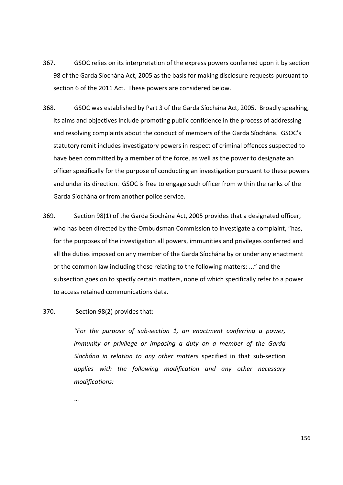- 367. GSOC relies on its interpretation of the express powers conferred upon it by section 98 of the Garda Síochána Act, 2005 as the basis for making disclosure requests pursuant to section 6 of the 2011 Act. These powers are considered below.
- 368. GSOC was established by Part 3 of the Garda Síochána Act, 2005. Broadly speaking, its aims and objectives include promoting public confidence in the process of addressing and resolving complaints about the conduct of members of the Garda Síochána. GSOC's statutory remit includes investigatory powers in respect of criminal offences suspected to have been committed by a member of the force, as well as the power to designate an officer specifically for the purpose of conducting an investigation pursuant to these powers and under its direction. GSOC is free to engage such officer from within the ranks of the Garda Síochána or from another police service.
- 369. Section 98(1) of the Garda Síochána Act, 2005 provides that a designated officer, who has been directed by the Ombudsman Commission to investigate a complaint, "has, for the purposes of the investigation all powers, immunities and privileges conferred and all the duties imposed on any member of the Garda Síochána by or under any enactment or the common law including those relating to the following matters: ..." and the subsection goes on to specify certain matters, none of which specifically refer to a power to access retained communications data.

## 370. Section 98(2) provides that:

"For the purpose of sub-section 1, an enactment conferring a power, immunity or privilege or imposing a duty on a member of the Garda Síochána in relation to any other matters specified in that sub-section applies with the following modification and any other necessary modifications:

…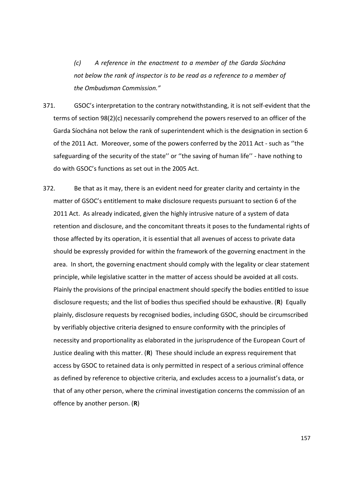(c) A reference in the enactment to a member of the Garda Síochána not below the rank of inspector is to be read as a reference to a member of the Ombudsman Commission."

- 371. GSOC's interpretation to the contrary notwithstanding, it is not self-evident that the terms of section 98(2)(c) necessarily comprehend the powers reserved to an officer of the Garda Síochána not below the rank of superintendent which is the designation in section 6 of the 2011 Act. Moreover, some of the powers conferred by the 2011 Act - such as ''the safeguarding of the security of the state'' or ''the saving of human life'' - have nothing to do with GSOC's functions as set out in the 2005 Act.
- 372. Be that as it may, there is an evident need for greater clarity and certainty in the matter of GSOC's entitlement to make disclosure requests pursuant to section 6 of the 2011 Act. As already indicated, given the highly intrusive nature of a system of data retention and disclosure, and the concomitant threats it poses to the fundamental rights of those affected by its operation, it is essential that all avenues of access to private data should be expressly provided for within the framework of the governing enactment in the area. In short, the governing enactment should comply with the legality or clear statement principle, while legislative scatter in the matter of access should be avoided at all costs. Plainly the provisions of the principal enactment should specify the bodies entitled to issue disclosure requests; and the list of bodies thus specified should be exhaustive.  $(R)$  Equally plainly, disclosure requests by recognised bodies, including GSOC, should be circumscribed by verifiably objective criteria designed to ensure conformity with the principles of necessity and proportionality as elaborated in the jurisprudence of the European Court of Justice dealing with this matter.  $(R)$  These should include an express requirement that access by GSOC to retained data is only permitted in respect of a serious criminal offence as defined by reference to objective criteria, and excludes access to a journalist's data, or that of any other person, where the criminal investigation concerns the commission of an offence by another person. (R)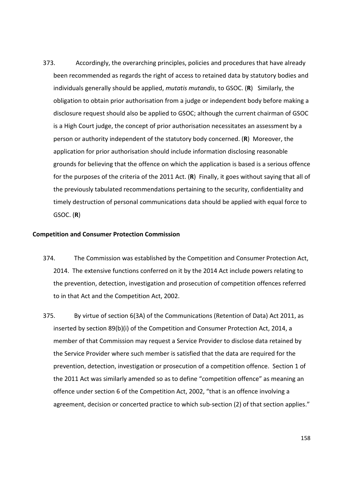373. Accordingly, the overarching principles, policies and procedures that have already been recommended as regards the right of access to retained data by statutory bodies and individuals generally should be applied, *mutatis mutandis*, to GSOC.  $(R)$  Similarly, the obligation to obtain prior authorisation from a judge or independent body before making a disclosure request should also be applied to GSOC; although the current chairman of GSOC is a High Court judge, the concept of prior authorisation necessitates an assessment by a person or authority independent of the statutory body concerned. (R) Moreover, the application for prior authorisation should include information disclosing reasonable grounds for believing that the offence on which the application is based is a serious offence for the purposes of the criteria of the 2011 Act. (R) Finally, it goes without saying that all of the previously tabulated recommendations pertaining to the security, confidentiality and timely destruction of personal communications data should be applied with equal force to GSOC. (R)

#### Competition and Consumer Protection Commission

- 374. The Commission was established by the Competition and Consumer Protection Act, 2014. The extensive functions conferred on it by the 2014 Act include powers relating to the prevention, detection, investigation and prosecution of competition offences referred to in that Act and the Competition Act, 2002.
- 375. By virtue of section 6(3A) of the Communications (Retention of Data) Act 2011, as inserted by section 89(b)(i) of the Competition and Consumer Protection Act, 2014, a member of that Commission may request a Service Provider to disclose data retained by the Service Provider where such member is satisfied that the data are required for the prevention, detection, investigation or prosecution of a competition offence. Section 1 of the 2011 Act was similarly amended so as to define "competition offence" as meaning an offence under section 6 of the Competition Act, 2002, "that is an offence involving a agreement, decision or concerted practice to which sub-section (2) of that section applies."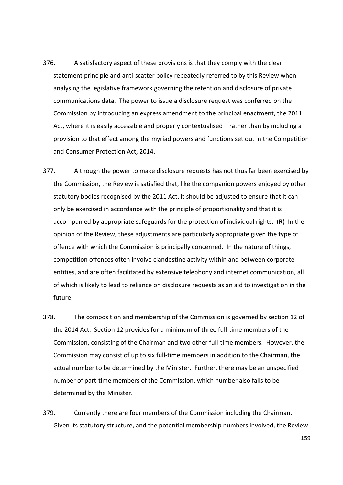- 376. A satisfactory aspect of these provisions is that they comply with the clear statement principle and anti-scatter policy repeatedly referred to by this Review when analysing the legislative framework governing the retention and disclosure of private communications data. The power to issue a disclosure request was conferred on the Commission by introducing an express amendment to the principal enactment, the 2011 Act, where it is easily accessible and properly contextualised – rather than by including a provision to that effect among the myriad powers and functions set out in the Competition and Consumer Protection Act, 2014.
- 377. Although the power to make disclosure requests has not thus far been exercised by the Commission, the Review is satisfied that, like the companion powers enjoyed by other statutory bodies recognised by the 2011 Act, it should be adjusted to ensure that it can only be exercised in accordance with the principle of proportionality and that it is accompanied by appropriate safeguards for the protection of individual rights.  $(R)$  In the opinion of the Review, these adjustments are particularly appropriate given the type of offence with which the Commission is principally concerned. In the nature of things, competition offences often involve clandestine activity within and between corporate entities, and are often facilitated by extensive telephony and internet communication, all of which is likely to lead to reliance on disclosure requests as an aid to investigation in the future.
- 378. The composition and membership of the Commission is governed by section 12 of the 2014 Act. Section 12 provides for a minimum of three full-time members of the Commission, consisting of the Chairman and two other full-time members. However, the Commission may consist of up to six full-time members in addition to the Chairman, the actual number to be determined by the Minister. Further, there may be an unspecified number of part-time members of the Commission, which number also falls to be determined by the Minister.
- 379. Currently there are four members of the Commission including the Chairman. Given its statutory structure, and the potential membership numbers involved, the Review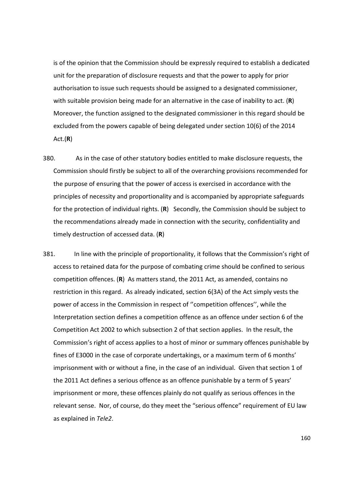is of the opinion that the Commission should be expressly required to establish a dedicated unit for the preparation of disclosure requests and that the power to apply for prior authorisation to issue such requests should be assigned to a designated commissioner, with suitable provision being made for an alternative in the case of inability to act.  $(R)$ Moreover, the function assigned to the designated commissioner in this regard should be excluded from the powers capable of being delegated under section 10(6) of the 2014 Act.(R)

- 380. As in the case of other statutory bodies entitled to make disclosure requests, the Commission should firstly be subject to all of the overarching provisions recommended for the purpose of ensuring that the power of access is exercised in accordance with the principles of necessity and proportionality and is accompanied by appropriate safeguards for the protection of individual rights. (R) Secondly, the Commission should be subject to the recommendations already made in connection with the security, confidentiality and timely destruction of accessed data. (R)
- 381. In line with the principle of proportionality, it follows that the Commission's right of access to retained data for the purpose of combating crime should be confined to serious competition offences.  $(R)$  As matters stand, the 2011 Act, as amended, contains no restriction in this regard. As already indicated, section 6(3A) of the Act simply vests the power of access in the Commission in respect of ''competition offences'', while the Interpretation section defines a competition offence as an offence under section 6 of the Competition Act 2002 to which subsection 2 of that section applies. In the result, the Commission's right of access applies to a host of minor or summary offences punishable by fines of E3000 in the case of corporate undertakings, or a maximum term of 6 months' imprisonment with or without a fine, in the case of an individual. Given that section 1 of the 2011 Act defines a serious offence as an offence punishable by a term of 5 years' imprisonment or more, these offences plainly do not qualify as serious offences in the relevant sense. Nor, of course, do they meet the "serious offence" requirement of EU law as explained in Tele2.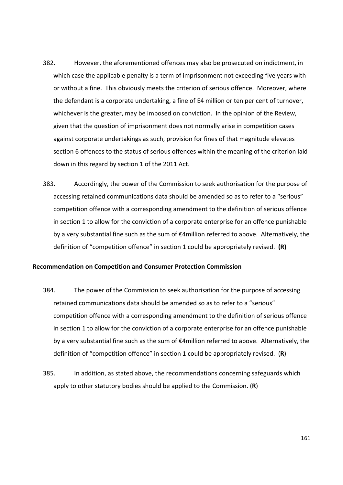- 382. However, the aforementioned offences may also be prosecuted on indictment, in which case the applicable penalty is a term of imprisonment not exceeding five years with or without a fine. This obviously meets the criterion of serious offence. Moreover, where the defendant is a corporate undertaking, a fine of E4 million or ten per cent of turnover, whichever is the greater, may be imposed on conviction. In the opinion of the Review, given that the question of imprisonment does not normally arise in competition cases against corporate undertakings as such, provision for fines of that magnitude elevates section 6 offences to the status of serious offences within the meaning of the criterion laid down in this regard by section 1 of the 2011 Act.
- 383. Accordingly, the power of the Commission to seek authorisation for the purpose of accessing retained communications data should be amended so as to refer to a "serious" competition offence with a corresponding amendment to the definition of serious offence in section 1 to allow for the conviction of a corporate enterprise for an offence punishable by a very substantial fine such as the sum of €4million referred to above. Alternatively, the definition of "competition offence" in section 1 could be appropriately revised.  $(R)$

#### Recommendation on Competition and Consumer Protection Commission

- 384. The power of the Commission to seek authorisation for the purpose of accessing retained communications data should be amended so as to refer to a "serious" competition offence with a corresponding amendment to the definition of serious offence in section 1 to allow for the conviction of a corporate enterprise for an offence punishable by a very substantial fine such as the sum of €4million referred to above. Alternatively, the definition of "competition offence" in section 1 could be appropriately revised.  $(R)$
- 385. In addition, as stated above, the recommendations concerning safeguards which apply to other statutory bodies should be applied to the Commission.  $(R)$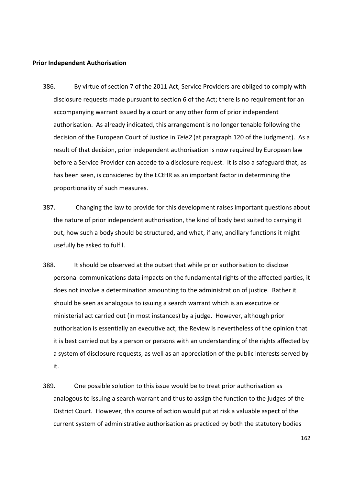#### Prior Independent Authorisation

- 386. By virtue of section 7 of the 2011 Act, Service Providers are obliged to comply with disclosure requests made pursuant to section 6 of the Act; there is no requirement for an accompanying warrant issued by a court or any other form of prior independent authorisation. As already indicated, this arrangement is no longer tenable following the decision of the European Court of Justice in Tele2 (at paragraph 120 of the Judgment). As a result of that decision, prior independent authorisation is now required by European law before a Service Provider can accede to a disclosure request. It is also a safeguard that, as has been seen, is considered by the ECtHR as an important factor in determining the proportionality of such measures.
- 387. Changing the law to provide for this development raises important questions about the nature of prior independent authorisation, the kind of body best suited to carrying it out, how such a body should be structured, and what, if any, ancillary functions it might usefully be asked to fulfil.
- 388. It should be observed at the outset that while prior authorisation to disclose personal communications data impacts on the fundamental rights of the affected parties, it does not involve a determination amounting to the administration of justice. Rather it should be seen as analogous to issuing a search warrant which is an executive or ministerial act carried out (in most instances) by a judge. However, although prior authorisation is essentially an executive act, the Review is nevertheless of the opinion that it is best carried out by a person or persons with an understanding of the rights affected by a system of disclosure requests, as well as an appreciation of the public interests served by it.
- 389. One possible solution to this issue would be to treat prior authorisation as analogous to issuing a search warrant and thus to assign the function to the judges of the District Court. However, this course of action would put at risk a valuable aspect of the current system of administrative authorisation as practiced by both the statutory bodies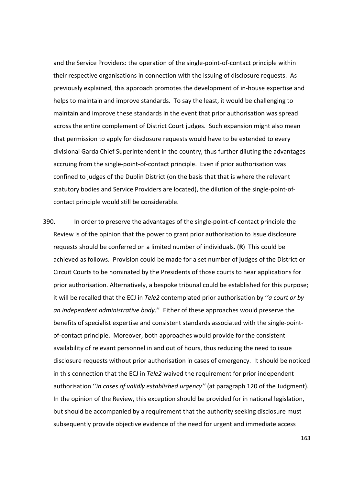and the Service Providers: the operation of the single-point-of-contact principle within their respective organisations in connection with the issuing of disclosure requests. As previously explained, this approach promotes the development of in-house expertise and helps to maintain and improve standards. To say the least, it would be challenging to maintain and improve these standards in the event that prior authorisation was spread across the entire complement of District Court judges. Such expansion might also mean that permission to apply for disclosure requests would have to be extended to every divisional Garda Chief Superintendent in the country, thus further diluting the advantages accruing from the single-point-of-contact principle. Even if prior authorisation was confined to judges of the Dublin District (on the basis that that is where the relevant statutory bodies and Service Providers are located), the dilution of the single-point-ofcontact principle would still be considerable.

390. In order to preserve the advantages of the single-point-of-contact principle the Review is of the opinion that the power to grant prior authorisation to issue disclosure requests should be conferred on a limited number of individuals. (R) This could be achieved as follows. Provision could be made for a set number of judges of the District or Circuit Courts to be nominated by the Presidents of those courts to hear applications for prior authorisation. Alternatively, a bespoke tribunal could be established for this purpose; it will be recalled that the ECJ in Tele2 contemplated prior authorisation by "a court or by an independent administrative body.'' Either of these approaches would preserve the benefits of specialist expertise and consistent standards associated with the single-pointof-contact principle. Moreover, both approaches would provide for the consistent availability of relevant personnel in and out of hours, thus reducing the need to issue disclosure requests without prior authorisation in cases of emergency. It should be noticed in this connection that the ECJ in Tele2 waived the requirement for prior independent authorisation "in cases of validly established urgency" (at paragraph 120 of the Judgment). In the opinion of the Review, this exception should be provided for in national legislation, but should be accompanied by a requirement that the authority seeking disclosure must subsequently provide objective evidence of the need for urgent and immediate access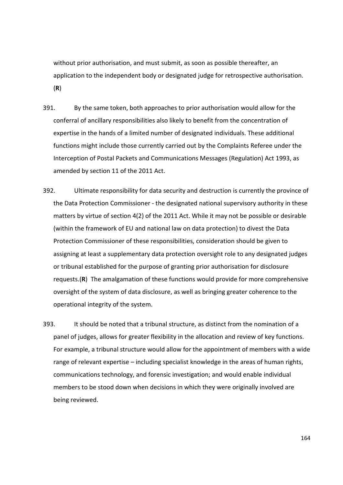without prior authorisation, and must submit, as soon as possible thereafter, an application to the independent body or designated judge for retrospective authorisation. (R)

- 391. By the same token, both approaches to prior authorisation would allow for the conferral of ancillary responsibilities also likely to benefit from the concentration of expertise in the hands of a limited number of designated individuals. These additional functions might include those currently carried out by the Complaints Referee under the Interception of Postal Packets and Communications Messages (Regulation) Act 1993, as amended by section 11 of the 2011 Act.
- 392. Ultimate responsibility for data security and destruction is currently the province of the Data Protection Commissioner - the designated national supervisory authority in these matters by virtue of section 4(2) of the 2011 Act. While it may not be possible or desirable (within the framework of EU and national law on data protection) to divest the Data Protection Commissioner of these responsibilities, consideration should be given to assigning at least a supplementary data protection oversight role to any designated judges or tribunal established for the purpose of granting prior authorisation for disclosure requests.(R) The amalgamation of these functions would provide for more comprehensive oversight of the system of data disclosure, as well as bringing greater coherence to the operational integrity of the system.
- 393. It should be noted that a tribunal structure, as distinct from the nomination of a panel of judges, allows for greater flexibility in the allocation and review of key functions. For example, a tribunal structure would allow for the appointment of members with a wide range of relevant expertise – including specialist knowledge in the areas of human rights, communications technology, and forensic investigation; and would enable individual members to be stood down when decisions in which they were originally involved are being reviewed.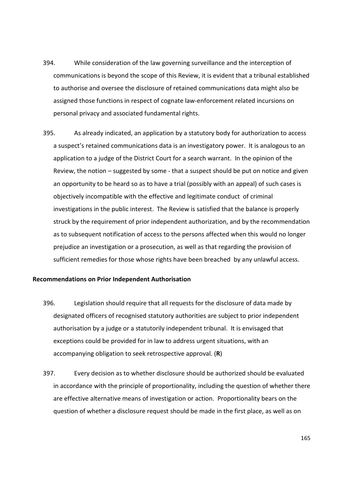- 394. While consideration of the law governing surveillance and the interception of communications is beyond the scope of this Review, it is evident that a tribunal established to authorise and oversee the disclosure of retained communications data might also be assigned those functions in respect of cognate law-enforcement related incursions on personal privacy and associated fundamental rights.
- 395. As already indicated, an application by a statutory body for authorization to access a suspect's retained communications data is an investigatory power. It is analogous to an application to a judge of the District Court for a search warrant. In the opinion of the Review, the notion – suggested by some - that a suspect should be put on notice and given an opportunity to be heard so as to have a trial (possibly with an appeal) of such cases is objectively incompatible with the effective and legitimate conduct of criminal investigations in the public interest. The Review is satisfied that the balance is properly struck by the requirement of prior independent authorization, and by the recommendation as to subsequent notification of access to the persons affected when this would no longer prejudice an investigation or a prosecution, as well as that regarding the provision of sufficient remedies for those whose rights have been breached by any unlawful access.

## Recommendations on Prior Independent Authorisation

- 396. Legislation should require that all requests for the disclosure of data made by designated officers of recognised statutory authorities are subject to prior independent authorisation by a judge or a statutorily independent tribunal. It is envisaged that exceptions could be provided for in law to address urgent situations, with an accompanying obligation to seek retrospective approval. (R)
- 397. Every decision as to whether disclosure should be authorized should be evaluated in accordance with the principle of proportionality, including the question of whether there are effective alternative means of investigation or action. Proportionality bears on the question of whether a disclosure request should be made in the first place, as well as on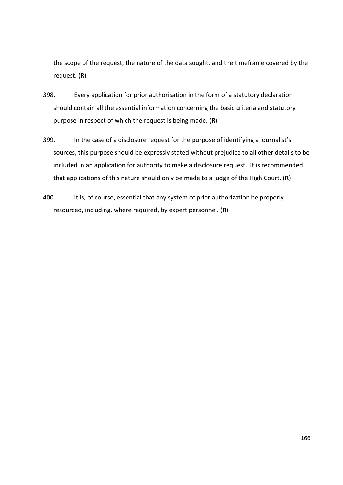the scope of the request, the nature of the data sought, and the timeframe covered by the request. (R)

- 398. Every application for prior authorisation in the form of a statutory declaration should contain all the essential information concerning the basic criteria and statutory purpose in respect of which the request is being made. (R)
- 399. In the case of a disclosure request for the purpose of identifying a journalist's sources, this purpose should be expressly stated without prejudice to all other details to be included in an application for authority to make a disclosure request. It is recommended that applications of this nature should only be made to a judge of the High Court. (R)
- 400. It is, of course, essential that any system of prior authorization be properly resourced, including, where required, by expert personnel. (R)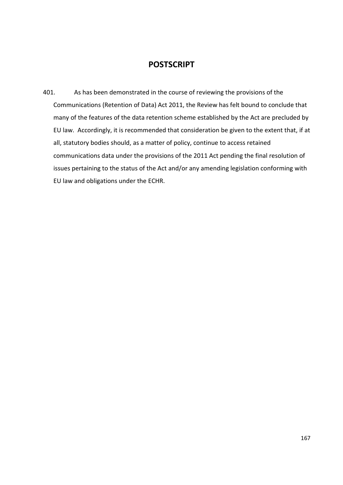# **POSTSCRIPT**

401. As has been demonstrated in the course of reviewing the provisions of the Communications (Retention of Data) Act 2011, the Review has felt bound to conclude that many of the features of the data retention scheme established by the Act are precluded by EU law. Accordingly, it is recommended that consideration be given to the extent that, if at all, statutory bodies should, as a matter of policy, continue to access retained communications data under the provisions of the 2011 Act pending the final resolution of issues pertaining to the status of the Act and/or any amending legislation conforming with EU law and obligations under the ECHR.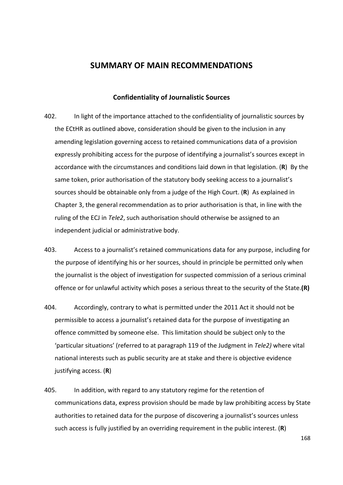## SUMMARY OF MAIN RECOMMENDATIONS

## Confidentiality of Journalistic Sources

- 402. In light of the importance attached to the confidentiality of journalistic sources by the ECtHR as outlined above, consideration should be given to the inclusion in any amending legislation governing access to retained communications data of a provision expressly prohibiting access for the purpose of identifying a journalist's sources except in accordance with the circumstances and conditions laid down in that legislation.  $(R)$  By the same token, prior authorisation of the statutory body seeking access to a journalist's sources should be obtainable only from a judge of the High Court.  $(R)$  As explained in Chapter 3, the general recommendation as to prior authorisation is that, in line with the ruling of the ECJ in Tele2, such authorisation should otherwise be assigned to an independent judicial or administrative body.
- 403. Access to a journalist's retained communications data for any purpose, including for the purpose of identifying his or her sources, should in principle be permitted only when the journalist is the object of investigation for suspected commission of a serious criminal offence or for unlawful activity which poses a serious threat to the security of the State.(R)
- 404. Accordingly, contrary to what is permitted under the 2011 Act it should not be permissible to access a journalist's retained data for the purpose of investigating an offence committed by someone else. This limitation should be subject only to the 'particular situations' (referred to at paragraph 119 of the Judgment in Tele2) where vital national interests such as public security are at stake and there is objective evidence justifying access. (R)
- 405. In addition, with regard to any statutory regime for the retention of communications data, express provision should be made by law prohibiting access by State authorities to retained data for the purpose of discovering a journalist's sources unless such access is fully justified by an overriding requirement in the public interest.  $(R)$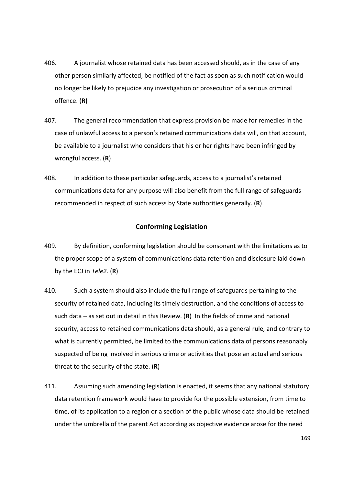- 406. A journalist whose retained data has been accessed should, as in the case of any other person similarly affected, be notified of the fact as soon as such notification would no longer be likely to prejudice any investigation or prosecution of a serious criminal offence. (R)
- 407. The general recommendation that express provision be made for remedies in the case of unlawful access to a person's retained communications data will, on that account, be available to a journalist who considers that his or her rights have been infringed by wrongful access. (R)
- 408. In addition to these particular safeguards, access to a journalist's retained communications data for any purpose will also benefit from the full range of safeguards recommended in respect of such access by State authorities generally. (R)

## Conforming Legislation

- 409. By definition, conforming legislation should be consonant with the limitations as to the proper scope of a system of communications data retention and disclosure laid down by the ECJ in Tele2. (R)
- 410. Such a system should also include the full range of safeguards pertaining to the security of retained data, including its timely destruction, and the conditions of access to such data – as set out in detail in this Review.  $(R)$  In the fields of crime and national security, access to retained communications data should, as a general rule, and contrary to what is currently permitted, be limited to the communications data of persons reasonably suspected of being involved in serious crime or activities that pose an actual and serious threat to the security of the state. (R)
- 411. Assuming such amending legislation is enacted, it seems that any national statutory data retention framework would have to provide for the possible extension, from time to time, of its application to a region or a section of the public whose data should be retained under the umbrella of the parent Act according as objective evidence arose for the need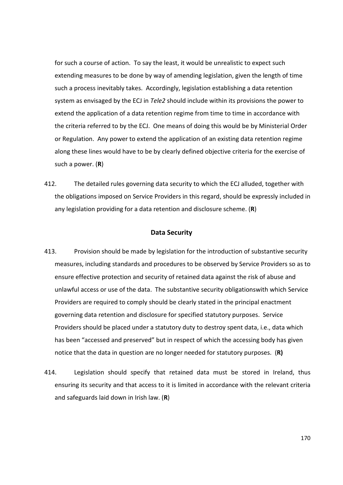for such a course of action. To say the least, it would be unrealistic to expect such extending measures to be done by way of amending legislation, given the length of time such a process inevitably takes. Accordingly, legislation establishing a data retention system as envisaged by the ECJ in Tele2 should include within its provisions the power to extend the application of a data retention regime from time to time in accordance with the criteria referred to by the ECJ. One means of doing this would be by Ministerial Order or Regulation. Any power to extend the application of an existing data retention regime along these lines would have to be by clearly defined objective criteria for the exercise of such a power.  $(R)$ 

412. The detailed rules governing data security to which the ECJ alluded, together with the obligations imposed on Service Providers in this regard, should be expressly included in any legislation providing for a data retention and disclosure scheme. (R)

## Data Security

- 413. Provision should be made by legislation for the introduction of substantive security measures, including standards and procedures to be observed by Service Providers so as to ensure effective protection and security of retained data against the risk of abuse and unlawful access or use of the data. The substantive security obligationswith which Service Providers are required to comply should be clearly stated in the principal enactment governing data retention and disclosure for specified statutory purposes. Service Providers should be placed under a statutory duty to destroy spent data, i.e., data which has been "accessed and preserved" but in respect of which the accessing body has given notice that the data in question are no longer needed for statutory purposes. (R)
- 414. Legislation should specify that retained data must be stored in Ireland, thus ensuring its security and that access to it is limited in accordance with the relevant criteria and safeguards laid down in Irish law. (R)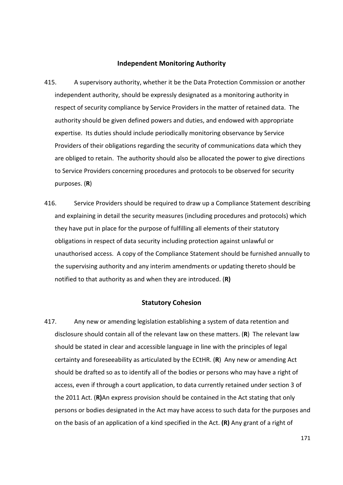## Independent Monitoring Authority

- 415. A supervisory authority, whether it be the Data Protection Commission or another independent authority, should be expressly designated as a monitoring authority in respect of security compliance by Service Providers in the matter of retained data. The authority should be given defined powers and duties, and endowed with appropriate expertise. Its duties should include periodically monitoring observance by Service Providers of their obligations regarding the security of communications data which they are obliged to retain. The authority should also be allocated the power to give directions to Service Providers concerning procedures and protocols to be observed for security purposes. (R)
- 416. Service Providers should be required to draw up a Compliance Statement describing and explaining in detail the security measures (including procedures and protocols) which they have put in place for the purpose of fulfilling all elements of their statutory obligations in respect of data security including protection against unlawful or unauthorised access. A copy of the Compliance Statement should be furnished annually to the supervising authority and any interim amendments or updating thereto should be notified to that authority as and when they are introduced. (R)

## Statutory Cohesion

417. Any new or amending legislation establishing a system of data retention and disclosure should contain all of the relevant law on these matters. (R) The relevant law should be stated in clear and accessible language in line with the principles of legal certainty and foreseeability as articulated by the ECtHR. (R) Any new or amending Act should be drafted so as to identify all of the bodies or persons who may have a right of access, even if through a court application, to data currently retained under section 3 of the 2011 Act. (R)An express provision should be contained in the Act stating that only persons or bodies designated in the Act may have access to such data for the purposes and on the basis of an application of a kind specified in the Act.  $(R)$  Any grant of a right of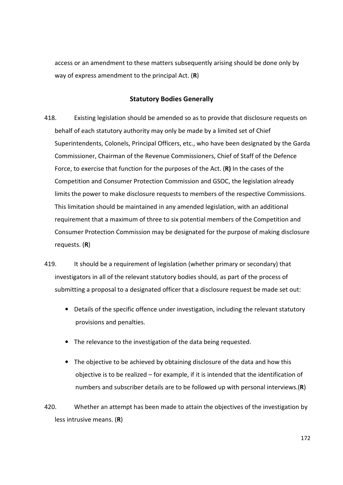access or an amendment to these matters subsequently arising should be done only by way of express amendment to the principal Act. (R)

## Statutory Bodies Generally

- 418. Existing legislation should be amended so as to provide that disclosure requests on behalf of each statutory authority may only be made by a limited set of Chief Superintendents, Colonels, Principal Officers, etc., who have been designated by the Garda Commissioner, Chairman of the Revenue Commissioners, Chief of Staff of the Defence Force, to exercise that function for the purposes of the Act.  $(R)$  In the cases of the Competition and Consumer Protection Commission and GSOC, the legislation already limits the power to make disclosure requests to members of the respective Commissions. This limitation should be maintained in any amended legislation, with an additional requirement that a maximum of three to six potential members of the Competition and Consumer Protection Commission may be designated for the purpose of making disclosure requests. (R)
- 419. It should be a requirement of legislation (whether primary or secondary) that investigators in all of the relevant statutory bodies should, as part of the process of submitting a proposal to a designated officer that a disclosure request be made set out:
	- Details of the specific offence under investigation, including the relevant statutory provisions and penalties.
	- The relevance to the investigation of the data being requested.
	- The objective to be achieved by obtaining disclosure of the data and how this objective is to be realized – for example, if it is intended that the identification of numbers and subscriber details are to be followed up with personal interviews.(R)

420. Whether an attempt has been made to attain the objectives of the investigation by less intrusive means. (R)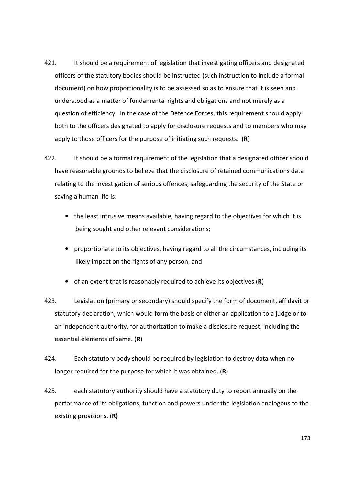- 421. It should be a requirement of legislation that investigating officers and designated officers of the statutory bodies should be instructed (such instruction to include a formal document) on how proportionality is to be assessed so as to ensure that it is seen and understood as a matter of fundamental rights and obligations and not merely as a question of efficiency. In the case of the Defence Forces, this requirement should apply both to the officers designated to apply for disclosure requests and to members who may apply to those officers for the purpose of initiating such requests. (R)
- 422. It should be a formal requirement of the legislation that a designated officer should have reasonable grounds to believe that the disclosure of retained communications data relating to the investigation of serious offences, safeguarding the security of the State or saving a human life is:
	- the least intrusive means available, having regard to the objectives for which it is being sought and other relevant considerations;
	- proportionate to its objectives, having regard to all the circumstances, including its likely impact on the rights of any person, and
	- of an extent that is reasonably required to achieve its objectives. $(R)$
- 423. Legislation (primary or secondary) should specify the form of document, affidavit or statutory declaration, which would form the basis of either an application to a judge or to an independent authority, for authorization to make a disclosure request, including the essential elements of same. (R)
- 424. Each statutory body should be required by legislation to destroy data when no longer required for the purpose for which it was obtained. (R)
- 425. each statutory authority should have a statutory duty to report annually on the performance of its obligations, function and powers under the legislation analogous to the existing provisions. (R)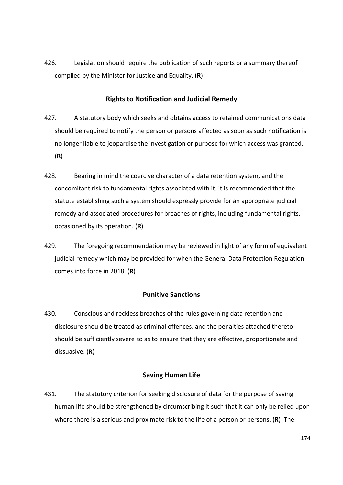426. Legislation should require the publication of such reports or a summary thereof compiled by the Minister for Justice and Equality. (R)

## Rights to Notification and Judicial Remedy

- 427. A statutory body which seeks and obtains access to retained communications data should be required to notify the person or persons affected as soon as such notification is no longer liable to jeopardise the investigation or purpose for which access was granted. (R)
- 428. Bearing in mind the coercive character of a data retention system, and the concomitant risk to fundamental rights associated with it, it is recommended that the statute establishing such a system should expressly provide for an appropriate judicial remedy and associated procedures for breaches of rights, including fundamental rights, occasioned by its operation. (R)
- 429. The foregoing recommendation may be reviewed in light of any form of equivalent judicial remedy which may be provided for when the General Data Protection Regulation comes into force in 2018. (R)

# Punitive Sanctions

430. Conscious and reckless breaches of the rules governing data retention and disclosure should be treated as criminal offences, and the penalties attached thereto should be sufficiently severe so as to ensure that they are effective, proportionate and dissuasive. (R)

# Saving Human Life

431. The statutory criterion for seeking disclosure of data for the purpose of saving human life should be strengthened by circumscribing it such that it can only be relied upon where there is a serious and proximate risk to the life of a person or persons. (R) The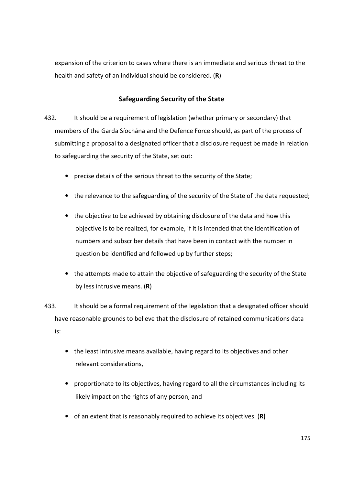expansion of the criterion to cases where there is an immediate and serious threat to the health and safety of an individual should be considered. (R)

# Safeguarding Security of the State

- 432. It should be a requirement of legislation (whether primary or secondary) that members of the Garda Síochána and the Defence Force should, as part of the process of submitting a proposal to a designated officer that a disclosure request be made in relation to safeguarding the security of the State, set out:
	- precise details of the serious threat to the security of the State;
	- the relevance to the safeguarding of the security of the State of the data requested;
	- the objective to be achieved by obtaining disclosure of the data and how this objective is to be realized, for example, if it is intended that the identification of numbers and subscriber details that have been in contact with the number in question be identified and followed up by further steps;
	- the attempts made to attain the objective of safeguarding the security of the State by less intrusive means. (R)

433. It should be a formal requirement of the legislation that a designated officer should have reasonable grounds to believe that the disclosure of retained communications data is:

- the least intrusive means available, having regard to its objectives and other relevant considerations,
- proportionate to its objectives, having regard to all the circumstances including its likely impact on the rights of any person, and
- of an extent that is reasonably required to achieve its objectives.  $(R)$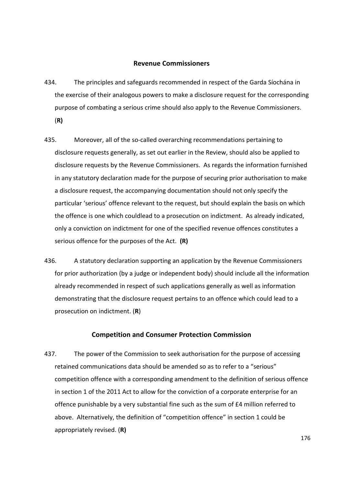#### Revenue Commissioners

- 434. The principles and safeguards recommended in respect of the Garda Síochána in the exercise of their analogous powers to make a disclosure request for the corresponding purpose of combating a serious crime should also apply to the Revenue Commissioners. (R)
- 435. Moreover, all of the so-called overarching recommendations pertaining to disclosure requests generally, as set out earlier in the Review, should also be applied to disclosure requests by the Revenue Commissioners. As regards the information furnished in any statutory declaration made for the purpose of securing prior authorisation to make a disclosure request, the accompanying documentation should not only specify the particular 'serious' offence relevant to the request, but should explain the basis on which the offence is one which couldlead to a prosecution on indictment. As already indicated, only a conviction on indictment for one of the specified revenue offences constitutes a serious offence for the purposes of the Act.  $(R)$
- 436. A statutory declaration supporting an application by the Revenue Commissioners for prior authorization (by a judge or independent body) should include all the information already recommended in respect of such applications generally as well as information demonstrating that the disclosure request pertains to an offence which could lead to a prosecution on indictment. (R)

#### Competition and Consumer Protection Commission

437. The power of the Commission to seek authorisation for the purpose of accessing retained communications data should be amended so as to refer to a "serious" competition offence with a corresponding amendment to the definition of serious offence in section 1 of the 2011 Act to allow for the conviction of a corporate enterprise for an offence punishable by a very substantial fine such as the sum of £4 million referred to above. Alternatively, the definition of "competition offence" in section 1 could be appropriately revised. (R)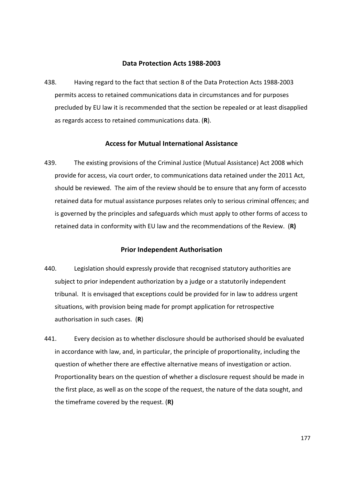#### Data Protection Acts 1988-2003

438. Having regard to the fact that section 8 of the Data Protection Acts 1988-2003 permits access to retained communications data in circumstances and for purposes precluded by EU law it is recommended that the section be repealed or at least disapplied as regards access to retained communications data. (R).

## Access for Mutual International Assistance

439. The existing provisions of the Criminal Justice (Mutual Assistance) Act 2008 which provide for access, via court order, to communications data retained under the 2011 Act, should be reviewed. The aim of the review should be to ensure that any form of accessto retained data for mutual assistance purposes relates only to serious criminal offences; and is governed by the principles and safeguards which must apply to other forms of access to retained data in conformity with EU law and the recommendations of the Review. (R)

## Prior Independent Authorisation

- 440. Legislation should expressly provide that recognised statutory authorities are subject to prior independent authorization by a judge or a statutorily independent tribunal. It is envisaged that exceptions could be provided for in law to address urgent situations, with provision being made for prompt application for retrospective authorisation in such cases. (R)
- 441. Every decision as to whether disclosure should be authorised should be evaluated in accordance with law, and, in particular, the principle of proportionality, including the question of whether there are effective alternative means of investigation or action. Proportionality bears on the question of whether a disclosure request should be made in the first place, as well as on the scope of the request, the nature of the data sought, and the timeframe covered by the request.  $(R)$